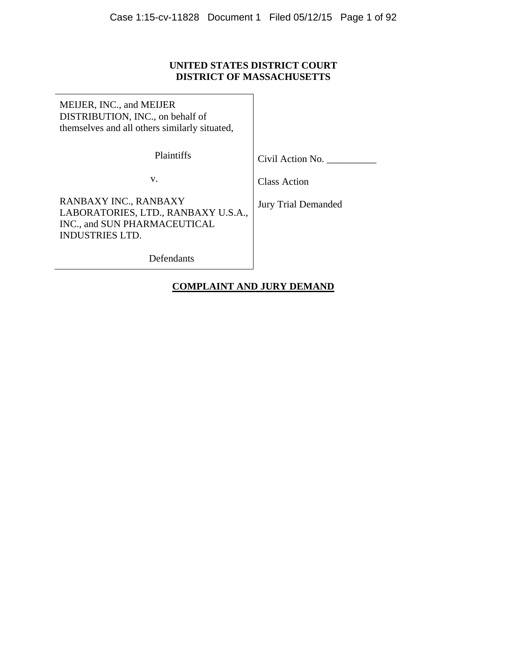# **UNITED STATES DISTRICT COURT DISTRICT OF MASSACHUSETTS**

MEIJER, INC., and MEIJER DISTRIBUTION, INC., on behalf of themselves and all others similarly situated,

Plaintiffs

Civil Action No. \_\_\_\_\_\_\_\_\_\_

v.

Class Action

RANBAXY INC., RANBAXY LABORATORIES, LTD., RANBAXY U.S.A., INC., and SUN PHARMACEUTICAL INDUSTRIES LTD.

Jury Trial Demanded

Defendants

# **COMPLAINT AND JURY DEMAND**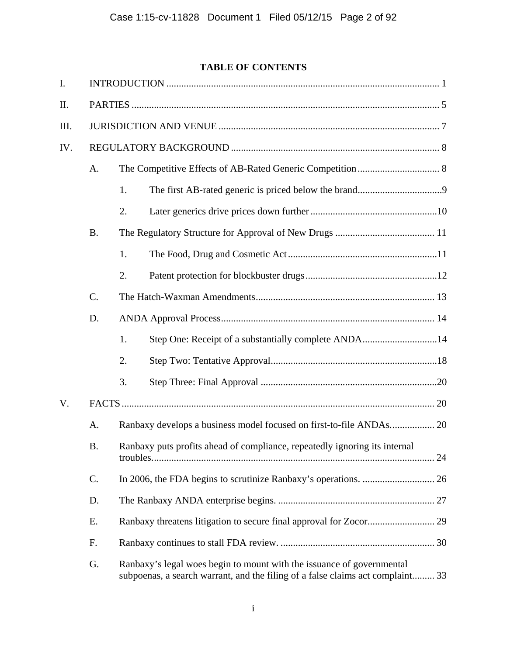# **TABLE OF CONTENTS**

| I.   |           |                                                                                                                                                         |                                                      |  |  |  |  |
|------|-----------|---------------------------------------------------------------------------------------------------------------------------------------------------------|------------------------------------------------------|--|--|--|--|
| II.  |           |                                                                                                                                                         |                                                      |  |  |  |  |
| III. |           |                                                                                                                                                         |                                                      |  |  |  |  |
| IV.  |           |                                                                                                                                                         |                                                      |  |  |  |  |
|      | A.        |                                                                                                                                                         |                                                      |  |  |  |  |
|      |           | 1.                                                                                                                                                      |                                                      |  |  |  |  |
|      |           | 2.                                                                                                                                                      |                                                      |  |  |  |  |
|      | <b>B.</b> |                                                                                                                                                         |                                                      |  |  |  |  |
|      |           | 1.                                                                                                                                                      |                                                      |  |  |  |  |
|      |           | 2.                                                                                                                                                      |                                                      |  |  |  |  |
|      | C.        |                                                                                                                                                         |                                                      |  |  |  |  |
|      | D.        |                                                                                                                                                         |                                                      |  |  |  |  |
|      |           | 1.                                                                                                                                                      | Step One: Receipt of a substantially complete ANDA14 |  |  |  |  |
|      |           | 2.                                                                                                                                                      |                                                      |  |  |  |  |
|      |           | 3.                                                                                                                                                      |                                                      |  |  |  |  |
| V.   |           |                                                                                                                                                         |                                                      |  |  |  |  |
|      | Α.        | Ranbaxy develops a business model focused on first-to-file ANDAs 20                                                                                     |                                                      |  |  |  |  |
|      | <b>B.</b> | Ranbaxy puts profits ahead of compliance, repeatedly ignoring its internal                                                                              |                                                      |  |  |  |  |
|      | C.        |                                                                                                                                                         |                                                      |  |  |  |  |
|      | D.        |                                                                                                                                                         |                                                      |  |  |  |  |
|      | Ε.        |                                                                                                                                                         |                                                      |  |  |  |  |
|      | F.        |                                                                                                                                                         |                                                      |  |  |  |  |
|      | G.        | Ranbaxy's legal woes begin to mount with the issuance of governmental<br>subpoenas, a search warrant, and the filing of a false claims act complaint 33 |                                                      |  |  |  |  |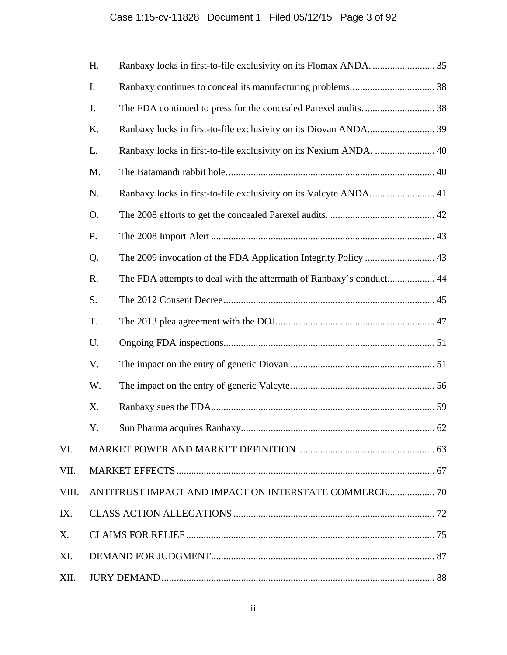# Case 1:15-cv-11828 Document 1 Filed 05/12/15 Page 3 of 92

|       | H. |                                                                     |  |  |  |  |
|-------|----|---------------------------------------------------------------------|--|--|--|--|
|       | I. |                                                                     |  |  |  |  |
|       | J. |                                                                     |  |  |  |  |
|       | K. |                                                                     |  |  |  |  |
|       | L. | Ranbaxy locks in first-to-file exclusivity on its Nexium ANDA.  40  |  |  |  |  |
|       | M. |                                                                     |  |  |  |  |
|       | N. |                                                                     |  |  |  |  |
|       | Ο. |                                                                     |  |  |  |  |
|       | P. |                                                                     |  |  |  |  |
|       | Q. | The 2009 invocation of the FDA Application Integrity Policy  43     |  |  |  |  |
|       | R. | The FDA attempts to deal with the aftermath of Ranbaxy's conduct 44 |  |  |  |  |
|       | S. |                                                                     |  |  |  |  |
|       | T. |                                                                     |  |  |  |  |
|       | U. |                                                                     |  |  |  |  |
|       | V. |                                                                     |  |  |  |  |
|       | W. |                                                                     |  |  |  |  |
|       | X. |                                                                     |  |  |  |  |
|       | Y. |                                                                     |  |  |  |  |
| VI.   |    |                                                                     |  |  |  |  |
| VII.  |    |                                                                     |  |  |  |  |
| VIII. |    |                                                                     |  |  |  |  |
| IX.   |    |                                                                     |  |  |  |  |
| Х.    |    |                                                                     |  |  |  |  |
| XI.   |    |                                                                     |  |  |  |  |
| XII.  |    |                                                                     |  |  |  |  |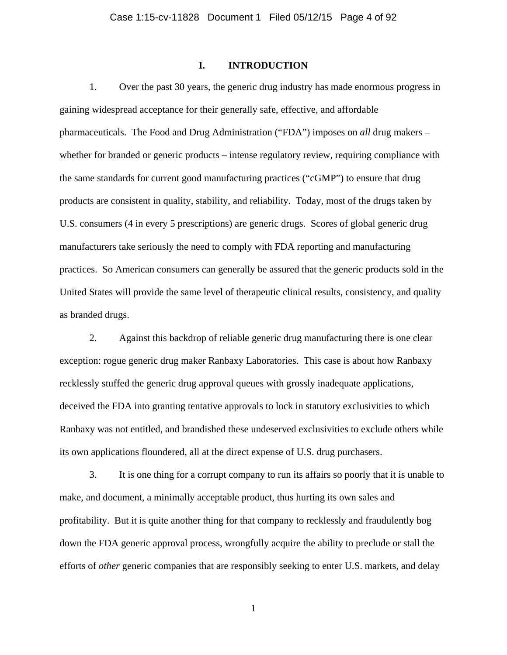# **I. INTRODUCTION**

1. Over the past 30 years, the generic drug industry has made enormous progress in gaining widespread acceptance for their generally safe, effective, and affordable pharmaceuticals. The Food and Drug Administration ("FDA") imposes on *all* drug makers – whether for branded or generic products – intense regulatory review, requiring compliance with the same standards for current good manufacturing practices ("cGMP") to ensure that drug products are consistent in quality, stability, and reliability. Today, most of the drugs taken by U.S. consumers (4 in every 5 prescriptions) are generic drugs. Scores of global generic drug manufacturers take seriously the need to comply with FDA reporting and manufacturing practices. So American consumers can generally be assured that the generic products sold in the United States will provide the same level of therapeutic clinical results, consistency, and quality as branded drugs.

2. Against this backdrop of reliable generic drug manufacturing there is one clear exception: rogue generic drug maker Ranbaxy Laboratories. This case is about how Ranbaxy recklessly stuffed the generic drug approval queues with grossly inadequate applications, deceived the FDA into granting tentative approvals to lock in statutory exclusivities to which Ranbaxy was not entitled, and brandished these undeserved exclusivities to exclude others while its own applications floundered, all at the direct expense of U.S. drug purchasers.

3. It is one thing for a corrupt company to run its affairs so poorly that it is unable to make, and document, a minimally acceptable product, thus hurting its own sales and profitability. But it is quite another thing for that company to recklessly and fraudulently bog down the FDA generic approval process, wrongfully acquire the ability to preclude or stall the efforts of *other* generic companies that are responsibly seeking to enter U.S. markets, and delay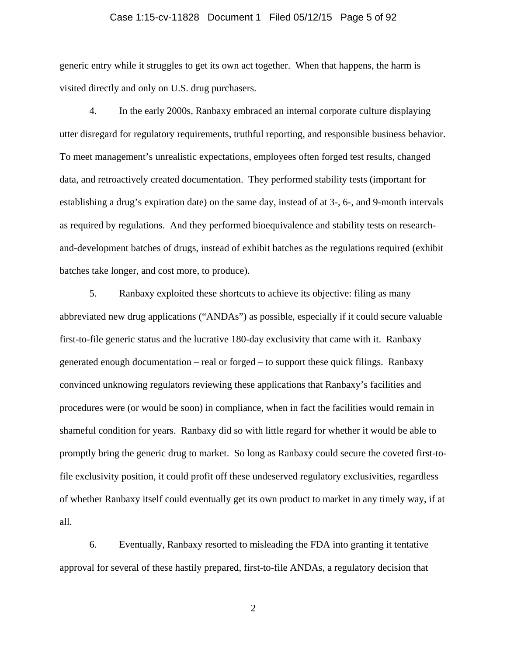### Case 1:15-cv-11828 Document 1 Filed 05/12/15 Page 5 of 92

generic entry while it struggles to get its own act together. When that happens, the harm is visited directly and only on U.S. drug purchasers.

4. In the early 2000s, Ranbaxy embraced an internal corporate culture displaying utter disregard for regulatory requirements, truthful reporting, and responsible business behavior. To meet management's unrealistic expectations, employees often forged test results, changed data, and retroactively created documentation. They performed stability tests (important for establishing a drug's expiration date) on the same day, instead of at 3-, 6-, and 9-month intervals as required by regulations. And they performed bioequivalence and stability tests on researchand-development batches of drugs, instead of exhibit batches as the regulations required (exhibit batches take longer, and cost more, to produce).

5. Ranbaxy exploited these shortcuts to achieve its objective: filing as many abbreviated new drug applications ("ANDAs") as possible, especially if it could secure valuable first-to-file generic status and the lucrative 180-day exclusivity that came with it. Ranbaxy generated enough documentation – real or forged – to support these quick filings. Ranbaxy convinced unknowing regulators reviewing these applications that Ranbaxy's facilities and procedures were (or would be soon) in compliance, when in fact the facilities would remain in shameful condition for years. Ranbaxy did so with little regard for whether it would be able to promptly bring the generic drug to market. So long as Ranbaxy could secure the coveted first-tofile exclusivity position, it could profit off these undeserved regulatory exclusivities, regardless of whether Ranbaxy itself could eventually get its own product to market in any timely way, if at all.

6. Eventually, Ranbaxy resorted to misleading the FDA into granting it tentative approval for several of these hastily prepared, first-to-file ANDAs, a regulatory decision that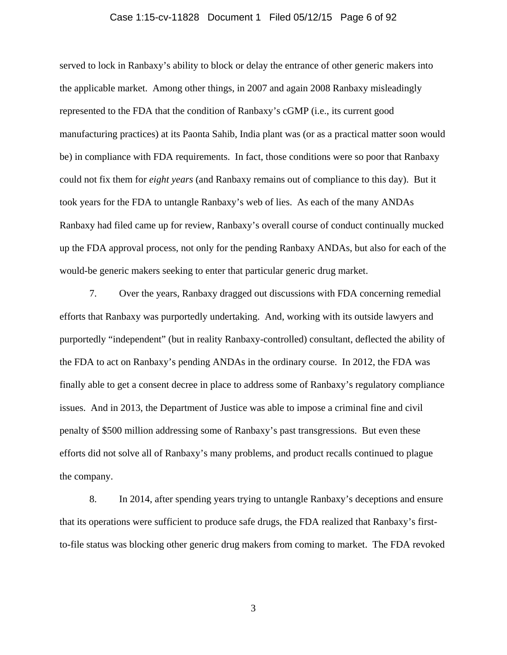### Case 1:15-cv-11828 Document 1 Filed 05/12/15 Page 6 of 92

served to lock in Ranbaxy's ability to block or delay the entrance of other generic makers into the applicable market. Among other things, in 2007 and again 2008 Ranbaxy misleadingly represented to the FDA that the condition of Ranbaxy's cGMP (i.e., its current good manufacturing practices) at its Paonta Sahib, India plant was (or as a practical matter soon would be) in compliance with FDA requirements. In fact, those conditions were so poor that Ranbaxy could not fix them for *eight years* (and Ranbaxy remains out of compliance to this day). But it took years for the FDA to untangle Ranbaxy's web of lies. As each of the many ANDAs Ranbaxy had filed came up for review, Ranbaxy's overall course of conduct continually mucked up the FDA approval process, not only for the pending Ranbaxy ANDAs, but also for each of the would-be generic makers seeking to enter that particular generic drug market.

7. Over the years, Ranbaxy dragged out discussions with FDA concerning remedial efforts that Ranbaxy was purportedly undertaking. And, working with its outside lawyers and purportedly "independent" (but in reality Ranbaxy-controlled) consultant, deflected the ability of the FDA to act on Ranbaxy's pending ANDAs in the ordinary course. In 2012, the FDA was finally able to get a consent decree in place to address some of Ranbaxy's regulatory compliance issues. And in 2013, the Department of Justice was able to impose a criminal fine and civil penalty of \$500 million addressing some of Ranbaxy's past transgressions. But even these efforts did not solve all of Ranbaxy's many problems, and product recalls continued to plague the company.

8. In 2014, after spending years trying to untangle Ranbaxy's deceptions and ensure that its operations were sufficient to produce safe drugs, the FDA realized that Ranbaxy's firstto-file status was blocking other generic drug makers from coming to market. The FDA revoked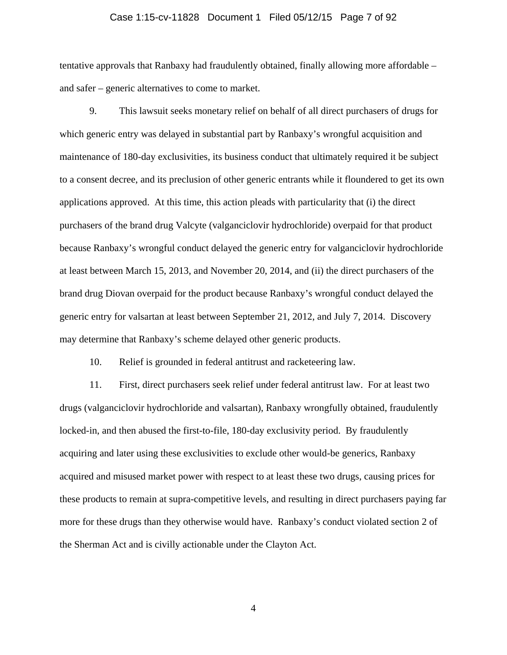### Case 1:15-cv-11828 Document 1 Filed 05/12/15 Page 7 of 92

tentative approvals that Ranbaxy had fraudulently obtained, finally allowing more affordable – and safer – generic alternatives to come to market.

9. This lawsuit seeks monetary relief on behalf of all direct purchasers of drugs for which generic entry was delayed in substantial part by Ranbaxy's wrongful acquisition and maintenance of 180-day exclusivities, its business conduct that ultimately required it be subject to a consent decree, and its preclusion of other generic entrants while it floundered to get its own applications approved. At this time, this action pleads with particularity that (i) the direct purchasers of the brand drug Valcyte (valganciclovir hydrochloride) overpaid for that product because Ranbaxy's wrongful conduct delayed the generic entry for valganciclovir hydrochloride at least between March 15, 2013, and November 20, 2014, and (ii) the direct purchasers of the brand drug Diovan overpaid for the product because Ranbaxy's wrongful conduct delayed the generic entry for valsartan at least between September 21, 2012, and July 7, 2014. Discovery may determine that Ranbaxy's scheme delayed other generic products.

10. Relief is grounded in federal antitrust and racketeering law.

11. First, direct purchasers seek relief under federal antitrust law. For at least two drugs (valganciclovir hydrochloride and valsartan), Ranbaxy wrongfully obtained, fraudulently locked-in, and then abused the first-to-file, 180-day exclusivity period. By fraudulently acquiring and later using these exclusivities to exclude other would-be generics, Ranbaxy acquired and misused market power with respect to at least these two drugs, causing prices for these products to remain at supra-competitive levels, and resulting in direct purchasers paying far more for these drugs than they otherwise would have. Ranbaxy's conduct violated section 2 of the Sherman Act and is civilly actionable under the Clayton Act.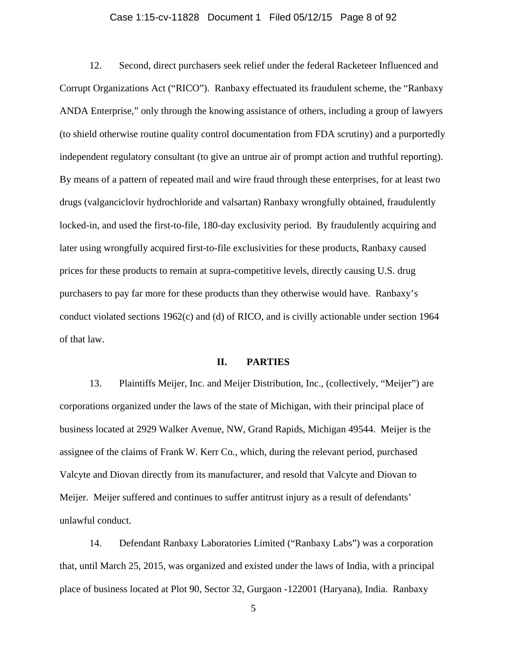### Case 1:15-cv-11828 Document 1 Filed 05/12/15 Page 8 of 92

12. Second, direct purchasers seek relief under the federal Racketeer Influenced and Corrupt Organizations Act ("RICO"). Ranbaxy effectuated its fraudulent scheme, the "Ranbaxy ANDA Enterprise," only through the knowing assistance of others, including a group of lawyers (to shield otherwise routine quality control documentation from FDA scrutiny) and a purportedly independent regulatory consultant (to give an untrue air of prompt action and truthful reporting). By means of a pattern of repeated mail and wire fraud through these enterprises, for at least two drugs (valganciclovir hydrochloride and valsartan) Ranbaxy wrongfully obtained, fraudulently locked-in, and used the first-to-file, 180-day exclusivity period. By fraudulently acquiring and later using wrongfully acquired first-to-file exclusivities for these products, Ranbaxy caused prices for these products to remain at supra-competitive levels, directly causing U.S. drug purchasers to pay far more for these products than they otherwise would have. Ranbaxy's conduct violated sections 1962(c) and (d) of RICO, and is civilly actionable under section 1964 of that law.

### **II. PARTIES**

13. Plaintiffs Meijer, Inc. and Meijer Distribution, Inc., (collectively, "Meijer") are corporations organized under the laws of the state of Michigan, with their principal place of business located at 2929 Walker Avenue, NW, Grand Rapids, Michigan 49544. Meijer is the assignee of the claims of Frank W. Kerr Co., which, during the relevant period, purchased Valcyte and Diovan directly from its manufacturer, and resold that Valcyte and Diovan to Meijer. Meijer suffered and continues to suffer antitrust injury as a result of defendants' unlawful conduct.

14. Defendant Ranbaxy Laboratories Limited ("Ranbaxy Labs") was a corporation that, until March 25, 2015, was organized and existed under the laws of India, with a principal place of business located at Plot 90, Sector 32, Gurgaon -122001 (Haryana), India. Ranbaxy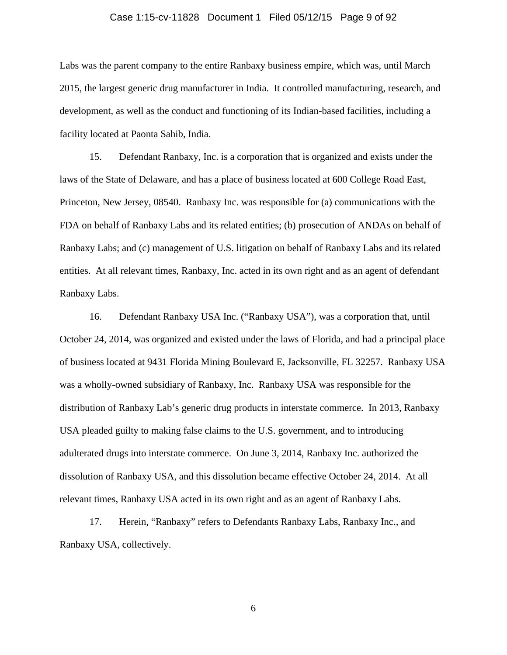### Case 1:15-cv-11828 Document 1 Filed 05/12/15 Page 9 of 92

Labs was the parent company to the entire Ranbaxy business empire, which was, until March 2015, the largest generic drug manufacturer in India. It controlled manufacturing, research, and development, as well as the conduct and functioning of its Indian-based facilities, including a facility located at Paonta Sahib, India.

15. Defendant Ranbaxy, Inc. is a corporation that is organized and exists under the laws of the State of Delaware, and has a place of business located at 600 College Road East, Princeton, New Jersey, 08540. Ranbaxy Inc. was responsible for (a) communications with the FDA on behalf of Ranbaxy Labs and its related entities; (b) prosecution of ANDAs on behalf of Ranbaxy Labs; and (c) management of U.S. litigation on behalf of Ranbaxy Labs and its related entities. At all relevant times, Ranbaxy, Inc. acted in its own right and as an agent of defendant Ranbaxy Labs.

16. Defendant Ranbaxy USA Inc. ("Ranbaxy USA"), was a corporation that, until October 24, 2014, was organized and existed under the laws of Florida, and had a principal place of business located at 9431 Florida Mining Boulevard E, Jacksonville, FL 32257. Ranbaxy USA was a wholly-owned subsidiary of Ranbaxy, Inc. Ranbaxy USA was responsible for the distribution of Ranbaxy Lab's generic drug products in interstate commerce. In 2013, Ranbaxy USA pleaded guilty to making false claims to the U.S. government, and to introducing adulterated drugs into interstate commerce. On June 3, 2014, Ranbaxy Inc. authorized the dissolution of Ranbaxy USA, and this dissolution became effective October 24, 2014. At all relevant times, Ranbaxy USA acted in its own right and as an agent of Ranbaxy Labs.

17. Herein, "Ranbaxy" refers to Defendants Ranbaxy Labs, Ranbaxy Inc., and Ranbaxy USA, collectively.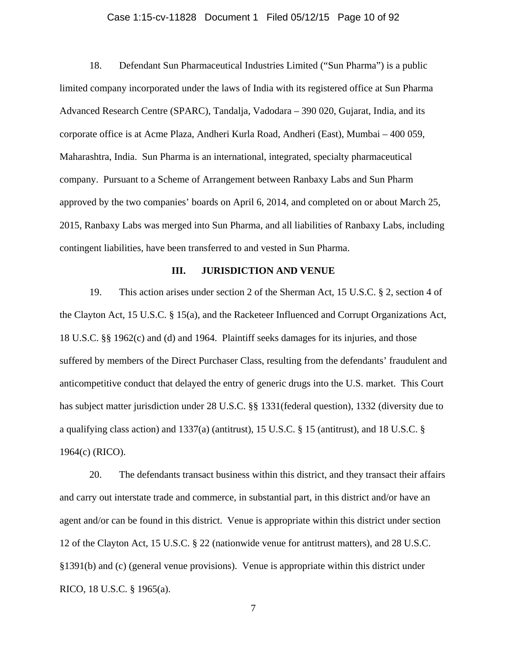### Case 1:15-cv-11828 Document 1 Filed 05/12/15 Page 10 of 92

18. Defendant Sun Pharmaceutical Industries Limited ("Sun Pharma") is a public limited company incorporated under the laws of India with its registered office at Sun Pharma Advanced Research Centre (SPARC), Tandalja, Vadodara – 390 020, Gujarat, India, and its corporate office is at Acme Plaza, Andheri Kurla Road, Andheri (East), Mumbai – 400 059, Maharashtra, India. Sun Pharma is an international, integrated, specialty pharmaceutical company. Pursuant to a Scheme of Arrangement between Ranbaxy Labs and Sun Pharm approved by the two companies' boards on April 6, 2014, and completed on or about March 25, 2015, Ranbaxy Labs was merged into Sun Pharma, and all liabilities of Ranbaxy Labs, including contingent liabilities, have been transferred to and vested in Sun Pharma.

### **III. JURISDICTION AND VENUE**

19. This action arises under section 2 of the Sherman Act, 15 U.S.C. § 2, section 4 of the Clayton Act, 15 U.S.C. § 15(a), and the Racketeer Influenced and Corrupt Organizations Act, 18 U.S.C. §§ 1962(c) and (d) and 1964. Plaintiff seeks damages for its injuries, and those suffered by members of the Direct Purchaser Class, resulting from the defendants' fraudulent and anticompetitive conduct that delayed the entry of generic drugs into the U.S. market. This Court has subject matter jurisdiction under 28 U.S.C. §§ 1331(federal question), 1332 (diversity due to a qualifying class action) and 1337(a) (antitrust), 15 U.S.C. § 15 (antitrust), and 18 U.S.C. § 1964(c) (RICO).

20. The defendants transact business within this district, and they transact their affairs and carry out interstate trade and commerce, in substantial part, in this district and/or have an agent and/or can be found in this district. Venue is appropriate within this district under section 12 of the Clayton Act, 15 U.S.C. § 22 (nationwide venue for antitrust matters), and 28 U.S.C. §1391(b) and (c) (general venue provisions). Venue is appropriate within this district under RICO, 18 U.S.C. § 1965(a).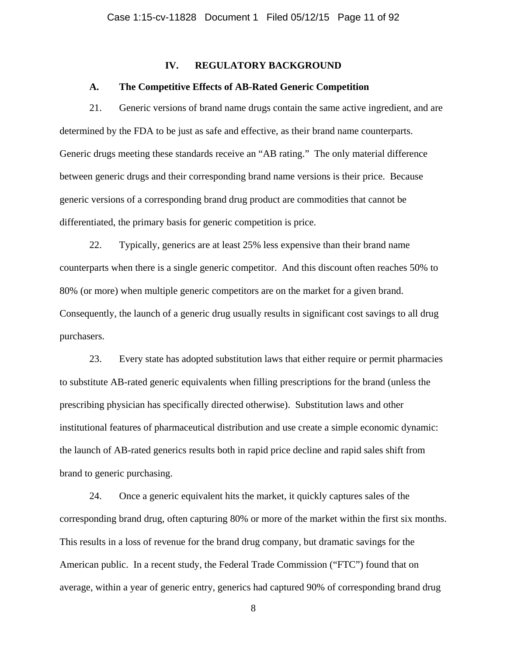## **IV. REGULATORY BACKGROUND**

#### **A. The Competitive Effects of AB-Rated Generic Competition**

21. Generic versions of brand name drugs contain the same active ingredient, and are determined by the FDA to be just as safe and effective, as their brand name counterparts. Generic drugs meeting these standards receive an "AB rating." The only material difference between generic drugs and their corresponding brand name versions is their price. Because generic versions of a corresponding brand drug product are commodities that cannot be differentiated, the primary basis for generic competition is price.

22. Typically, generics are at least 25% less expensive than their brand name counterparts when there is a single generic competitor. And this discount often reaches 50% to 80% (or more) when multiple generic competitors are on the market for a given brand. Consequently, the launch of a generic drug usually results in significant cost savings to all drug purchasers.

23. Every state has adopted substitution laws that either require or permit pharmacies to substitute AB-rated generic equivalents when filling prescriptions for the brand (unless the prescribing physician has specifically directed otherwise). Substitution laws and other institutional features of pharmaceutical distribution and use create a simple economic dynamic: the launch of AB-rated generics results both in rapid price decline and rapid sales shift from brand to generic purchasing.

24. Once a generic equivalent hits the market, it quickly captures sales of the corresponding brand drug, often capturing 80% or more of the market within the first six months. This results in a loss of revenue for the brand drug company, but dramatic savings for the American public. In a recent study, the Federal Trade Commission ("FTC") found that on average, within a year of generic entry, generics had captured 90% of corresponding brand drug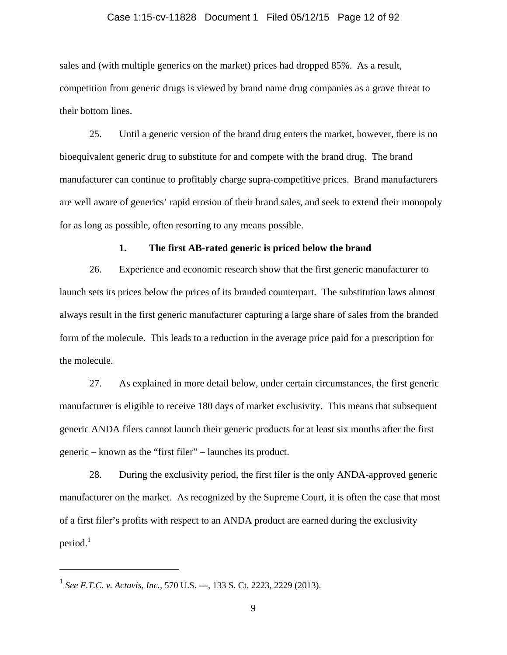### Case 1:15-cv-11828 Document 1 Filed 05/12/15 Page 12 of 92

sales and (with multiple generics on the market) prices had dropped 85%. As a result, competition from generic drugs is viewed by brand name drug companies as a grave threat to their bottom lines.

25. Until a generic version of the brand drug enters the market, however, there is no bioequivalent generic drug to substitute for and compete with the brand drug. The brand manufacturer can continue to profitably charge supra-competitive prices. Brand manufacturers are well aware of generics' rapid erosion of their brand sales, and seek to extend their monopoly for as long as possible, often resorting to any means possible.

#### **1. The first AB-rated generic is priced below the brand**

26. Experience and economic research show that the first generic manufacturer to launch sets its prices below the prices of its branded counterpart. The substitution laws almost always result in the first generic manufacturer capturing a large share of sales from the branded form of the molecule. This leads to a reduction in the average price paid for a prescription for the molecule.

27. As explained in more detail below, under certain circumstances, the first generic manufacturer is eligible to receive 180 days of market exclusivity. This means that subsequent generic ANDA filers cannot launch their generic products for at least six months after the first generic – known as the "first filer" – launches its product.

28. During the exclusivity period, the first filer is the only ANDA-approved generic manufacturer on the market. As recognized by the Supreme Court, it is often the case that most of a first filer's profits with respect to an ANDA product are earned during the exclusivity  $period.<sup>1</sup>$ 

<sup>1</sup> *See F.T.C. v. Actavis*, *Inc.*, 570 U.S. ---, 133 S. Ct. 2223, 2229 (2013).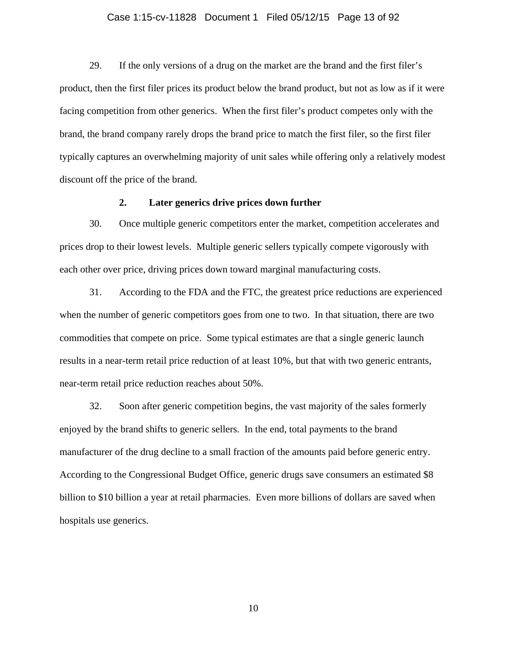### Case 1:15-cv-11828 Document 1 Filed 05/12/15 Page 13 of 92

29. If the only versions of a drug on the market are the brand and the first filer's product, then the first filer prices its product below the brand product, but not as low as if it were facing competition from other generics. When the first filer's product competes only with the brand, the brand company rarely drops the brand price to match the first filer, so the first filer typically captures an overwhelming majority of unit sales while offering only a relatively modest discount off the price of the brand.

# **2. Later generics drive prices down further**

30. Once multiple generic competitors enter the market, competition accelerates and prices drop to their lowest levels. Multiple generic sellers typically compete vigorously with each other over price, driving prices down toward marginal manufacturing costs.

31. According to the FDA and the FTC, the greatest price reductions are experienced when the number of generic competitors goes from one to two. In that situation, there are two commodities that compete on price. Some typical estimates are that a single generic launch results in a near-term retail price reduction of at least 10%, but that with two generic entrants, near-term retail price reduction reaches about 50%.

32. Soon after generic competition begins, the vast majority of the sales formerly enjoyed by the brand shifts to generic sellers. In the end, total payments to the brand manufacturer of the drug decline to a small fraction of the amounts paid before generic entry. According to the Congressional Budget Office, generic drugs save consumers an estimated \$8 billion to \$10 billion a year at retail pharmacies. Even more billions of dollars are saved when hospitals use generics.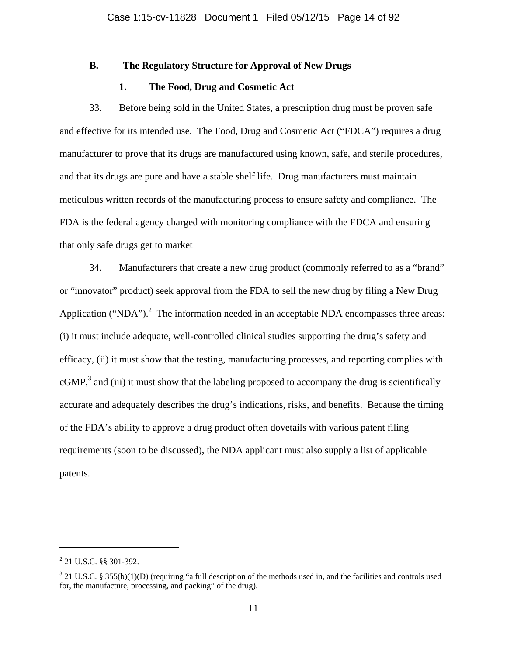## **B. The Regulatory Structure for Approval of New Drugs**

# **1. The Food, Drug and Cosmetic Act**

33. Before being sold in the United States, a prescription drug must be proven safe and effective for its intended use. The Food, Drug and Cosmetic Act ("FDCA") requires a drug manufacturer to prove that its drugs are manufactured using known, safe, and sterile procedures, and that its drugs are pure and have a stable shelf life. Drug manufacturers must maintain meticulous written records of the manufacturing process to ensure safety and compliance. The FDA is the federal agency charged with monitoring compliance with the FDCA and ensuring that only safe drugs get to market

34. Manufacturers that create a new drug product (commonly referred to as a "brand" or "innovator" product) seek approval from the FDA to sell the new drug by filing a New Drug Application ("NDA").<sup>2</sup> The information needed in an acceptable NDA encompasses three areas: (i) it must include adequate, well-controlled clinical studies supporting the drug's safety and efficacy, (ii) it must show that the testing, manufacturing processes, and reporting complies with  $cGMP$ ,<sup>3</sup> and (iii) it must show that the labeling proposed to accompany the drug is scientifically accurate and adequately describes the drug's indications, risks, and benefits. Because the timing of the FDA's ability to approve a drug product often dovetails with various patent filing requirements (soon to be discussed), the NDA applicant must also supply a list of applicable patents.

 $2$  21 U.S.C. §§ 301-392.

 $3$  21 U.S.C. § 355(b)(1)(D) (requiring "a full description of the methods used in, and the facilities and controls used for, the manufacture, processing, and packing" of the drug).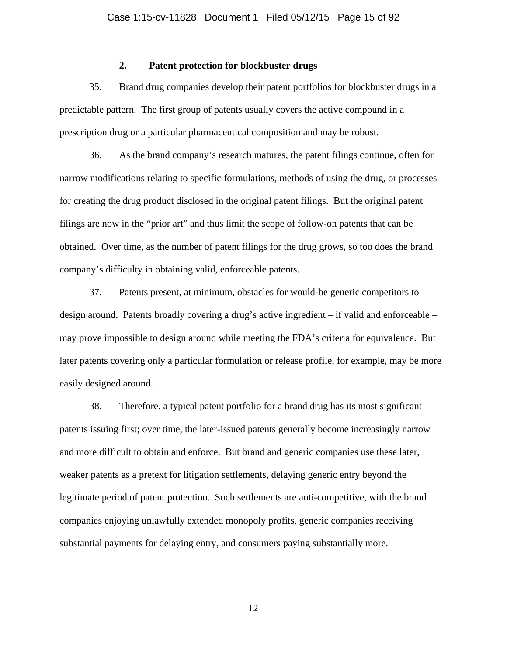## **2. Patent protection for blockbuster drugs**

35. Brand drug companies develop their patent portfolios for blockbuster drugs in a predictable pattern. The first group of patents usually covers the active compound in a prescription drug or a particular pharmaceutical composition and may be robust.

36. As the brand company's research matures, the patent filings continue, often for narrow modifications relating to specific formulations, methods of using the drug, or processes for creating the drug product disclosed in the original patent filings. But the original patent filings are now in the "prior art" and thus limit the scope of follow-on patents that can be obtained. Over time, as the number of patent filings for the drug grows, so too does the brand company's difficulty in obtaining valid, enforceable patents.

37. Patents present, at minimum, obstacles for would-be generic competitors to design around. Patents broadly covering a drug's active ingredient – if valid and enforceable – may prove impossible to design around while meeting the FDA's criteria for equivalence. But later patents covering only a particular formulation or release profile, for example, may be more easily designed around.

38. Therefore, a typical patent portfolio for a brand drug has its most significant patents issuing first; over time, the later-issued patents generally become increasingly narrow and more difficult to obtain and enforce. But brand and generic companies use these later, weaker patents as a pretext for litigation settlements, delaying generic entry beyond the legitimate period of patent protection. Such settlements are anti-competitive, with the brand companies enjoying unlawfully extended monopoly profits, generic companies receiving substantial payments for delaying entry, and consumers paying substantially more.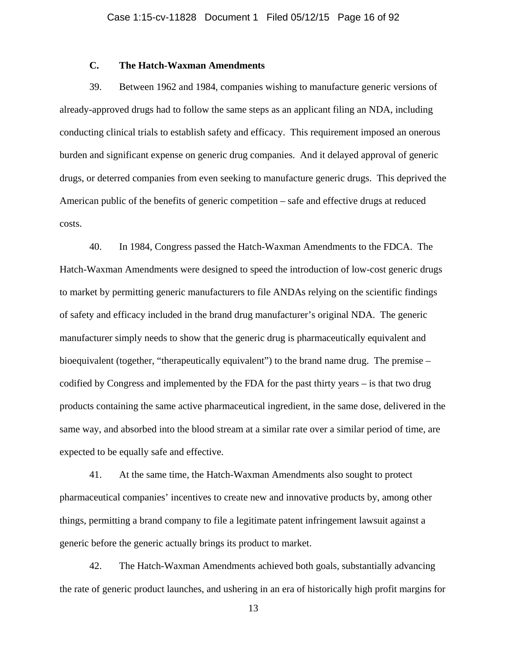# **C. The Hatch-Waxman Amendments**

39. Between 1962 and 1984, companies wishing to manufacture generic versions of already-approved drugs had to follow the same steps as an applicant filing an NDA, including conducting clinical trials to establish safety and efficacy. This requirement imposed an onerous burden and significant expense on generic drug companies. And it delayed approval of generic drugs, or deterred companies from even seeking to manufacture generic drugs. This deprived the American public of the benefits of generic competition – safe and effective drugs at reduced costs.

40. In 1984, Congress passed the Hatch-Waxman Amendments to the FDCA. The Hatch-Waxman Amendments were designed to speed the introduction of low-cost generic drugs to market by permitting generic manufacturers to file ANDAs relying on the scientific findings of safety and efficacy included in the brand drug manufacturer's original NDA. The generic manufacturer simply needs to show that the generic drug is pharmaceutically equivalent and bioequivalent (together, "therapeutically equivalent") to the brand name drug. The premise – codified by Congress and implemented by the FDA for the past thirty years – is that two drug products containing the same active pharmaceutical ingredient, in the same dose, delivered in the same way, and absorbed into the blood stream at a similar rate over a similar period of time, are expected to be equally safe and effective.

41. At the same time, the Hatch-Waxman Amendments also sought to protect pharmaceutical companies' incentives to create new and innovative products by, among other things, permitting a brand company to file a legitimate patent infringement lawsuit against a generic before the generic actually brings its product to market.

42. The Hatch-Waxman Amendments achieved both goals, substantially advancing the rate of generic product launches, and ushering in an era of historically high profit margins for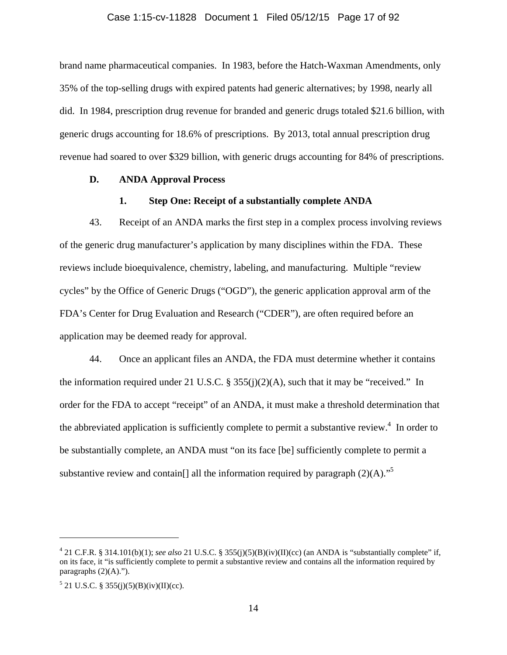#### Case 1:15-cv-11828 Document 1 Filed 05/12/15 Page 17 of 92

brand name pharmaceutical companies. In 1983, before the Hatch-Waxman Amendments, only 35% of the top-selling drugs with expired patents had generic alternatives; by 1998, nearly all did. In 1984, prescription drug revenue for branded and generic drugs totaled \$21.6 billion, with generic drugs accounting for 18.6% of prescriptions. By 2013, total annual prescription drug revenue had soared to over \$329 billion, with generic drugs accounting for 84% of prescriptions.

### **D. ANDA Approval Process**

## **1. Step One: Receipt of a substantially complete ANDA**

43. Receipt of an ANDA marks the first step in a complex process involving reviews of the generic drug manufacturer's application by many disciplines within the FDA. These reviews include bioequivalence, chemistry, labeling, and manufacturing. Multiple "review cycles" by the Office of Generic Drugs ("OGD"), the generic application approval arm of the FDA's Center for Drug Evaluation and Research ("CDER"), are often required before an application may be deemed ready for approval.

44. Once an applicant files an ANDA, the FDA must determine whether it contains the information required under 21 U.S.C. § 355(j)(2)(A), such that it may be "received." In order for the FDA to accept "receipt" of an ANDA, it must make a threshold determination that the abbreviated application is sufficiently complete to permit a substantive review.<sup>4</sup> In order to be substantially complete, an ANDA must "on its face [be] sufficiently complete to permit a substantive review and contain<sup>[]</sup> all the information required by paragraph  $(2)(A)$ .<sup>"5</sup>

<sup>&</sup>lt;sup>4</sup> 21 C.F.R. § 314.101(b)(1); *see also* 21 U.S.C. § 355(j)(5)(B)(iv)(II)(cc) (an ANDA is "substantially complete" if, on its face, it "is sufficiently complete to permit a substantive review and contains all the information required by paragraphs  $(2)(A)$ .").

 $5$  21 U.S.C. § 355(j)(5)(B)(iv)(II)(cc).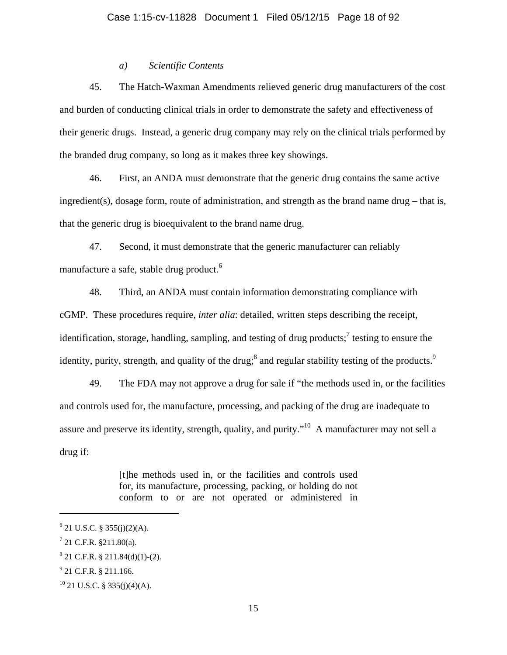# *a) Scientific Contents*

45. The Hatch-Waxman Amendments relieved generic drug manufacturers of the cost and burden of conducting clinical trials in order to demonstrate the safety and effectiveness of their generic drugs. Instead, a generic drug company may rely on the clinical trials performed by the branded drug company, so long as it makes three key showings.

46. First, an ANDA must demonstrate that the generic drug contains the same active ingredient(s), dosage form, route of administration, and strength as the brand name drug – that is, that the generic drug is bioequivalent to the brand name drug.

47. Second, it must demonstrate that the generic manufacturer can reliably manufacture a safe, stable drug product.<sup>6</sup>

48. Third, an ANDA must contain information demonstrating compliance with cGMP. These procedures require, *inter alia*: detailed, written steps describing the receipt, identification, storage, handling, sampling, and testing of drug products;<sup>7</sup> testing to ensure the identity, purity, strength, and quality of the drug;<sup>8</sup> and regular stability testing of the products.<sup>9</sup>

49. The FDA may not approve a drug for sale if "the methods used in, or the facilities and controls used for, the manufacture, processing, and packing of the drug are inadequate to assure and preserve its identity, strength, quality, and purity."<sup>10</sup> A manufacturer may not sell a drug if:

> [t]he methods used in, or the facilities and controls used for, its manufacture, processing, packing, or holding do not conform to or are not operated or administered in

 $6$  21 U.S.C. § 355(j)(2)(A).

 $7$  21 C.F.R. §211.80(a).

 $8$  21 C.F.R. § 211.84(d)(1)-(2).

 $9^9$  21 C.F.R. § 211.166.

 $10$  21 U.S.C. § 335(j)(4)(A).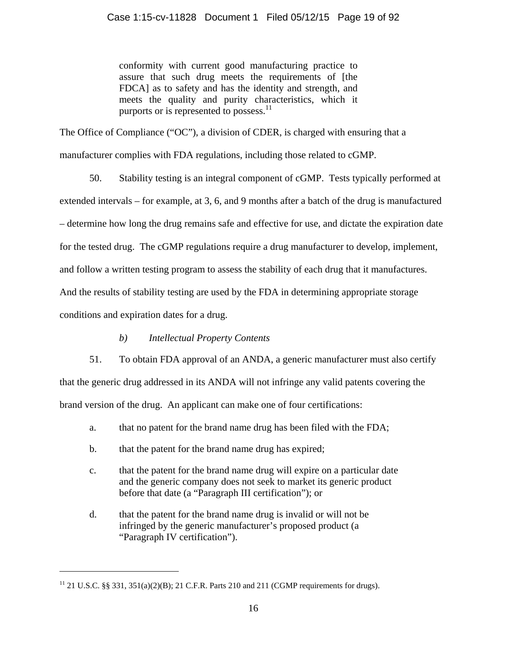conformity with current good manufacturing practice to assure that such drug meets the requirements of [the FDCA] as to safety and has the identity and strength, and meets the quality and purity characteristics, which it purports or is represented to possess. $11$ 

The Office of Compliance ("OC"), a division of CDER, is charged with ensuring that a manufacturer complies with FDA regulations, including those related to cGMP.

50. Stability testing is an integral component of cGMP. Tests typically performed at extended intervals – for example, at 3, 6, and 9 months after a batch of the drug is manufactured – determine how long the drug remains safe and effective for use, and dictate the expiration date for the tested drug. The cGMP regulations require a drug manufacturer to develop, implement, and follow a written testing program to assess the stability of each drug that it manufactures. And the results of stability testing are used by the FDA in determining appropriate storage conditions and expiration dates for a drug.

# *b) Intellectual Property Contents*

51. To obtain FDA approval of an ANDA, a generic manufacturer must also certify that the generic drug addressed in its ANDA will not infringe any valid patents covering the brand version of the drug. An applicant can make one of four certifications:

- a. that no patent for the brand name drug has been filed with the FDA;
- b. that the patent for the brand name drug has expired;
- c. that the patent for the brand name drug will expire on a particular date and the generic company does not seek to market its generic product before that date (a "Paragraph III certification"); or
- d. that the patent for the brand name drug is invalid or will not be infringed by the generic manufacturer's proposed product (a "Paragraph IV certification").

<sup>&</sup>lt;sup>11</sup> 21 U.S.C. §§ 331, 351(a)(2)(B); 21 C.F.R. Parts 210 and 211 (CGMP requirements for drugs).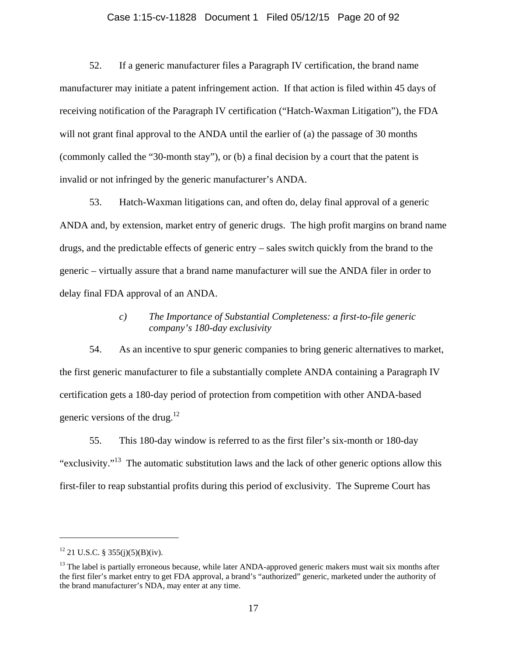# Case 1:15-cv-11828 Document 1 Filed 05/12/15 Page 20 of 92

52. If a generic manufacturer files a Paragraph IV certification, the brand name manufacturer may initiate a patent infringement action. If that action is filed within 45 days of receiving notification of the Paragraph IV certification ("Hatch-Waxman Litigation"), the FDA will not grant final approval to the ANDA until the earlier of (a) the passage of 30 months (commonly called the "30-month stay"), or (b) a final decision by a court that the patent is invalid or not infringed by the generic manufacturer's ANDA.

53. Hatch-Waxman litigations can, and often do, delay final approval of a generic ANDA and, by extension, market entry of generic drugs. The high profit margins on brand name drugs, and the predictable effects of generic entry – sales switch quickly from the brand to the generic – virtually assure that a brand name manufacturer will sue the ANDA filer in order to delay final FDA approval of an ANDA.

# *c) The Importance of Substantial Completeness: a first-to-file generic company's 180-day exclusivity*

54. As an incentive to spur generic companies to bring generic alternatives to market, the first generic manufacturer to file a substantially complete ANDA containing a Paragraph IV certification gets a 180-day period of protection from competition with other ANDA-based generic versions of the drug. $12$ 

55. This 180-day window is referred to as the first filer's six-month or 180-day "exclusivity."13 The automatic substitution laws and the lack of other generic options allow this first-filer to reap substantial profits during this period of exclusivity. The Supreme Court has

 $12$  21 U.S.C. § 355(j)(5)(B)(iv).

 $<sup>13</sup>$  The label is partially erroneous because, while later ANDA-approved generic makers must wait six months after</sup> the first filer's market entry to get FDA approval, a brand's "authorized" generic, marketed under the authority of the brand manufacturer's NDA, may enter at any time.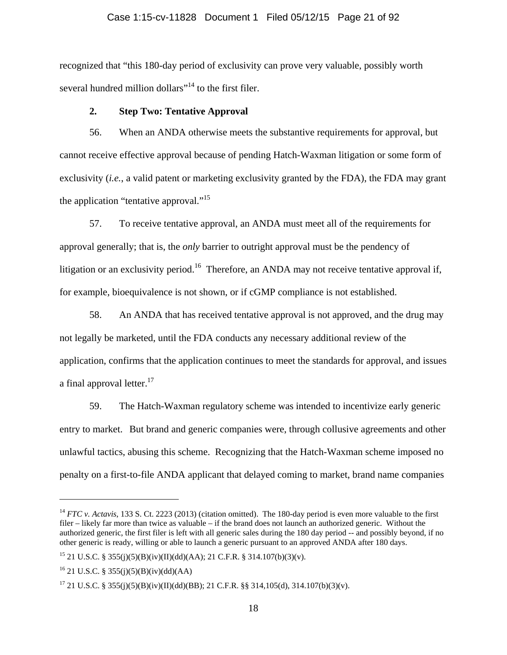#### Case 1:15-cv-11828 Document 1 Filed 05/12/15 Page 21 of 92

recognized that "this 180-day period of exclusivity can prove very valuable, possibly worth several hundred million dollars"<sup>14</sup> to the first filer.

### **2. Step Two: Tentative Approval**

56. When an ANDA otherwise meets the substantive requirements for approval, but cannot receive effective approval because of pending Hatch-Waxman litigation or some form of exclusivity (*i.e.*, a valid patent or marketing exclusivity granted by the FDA), the FDA may grant the application "tentative approval."<sup>15</sup>

57. To receive tentative approval, an ANDA must meet all of the requirements for approval generally; that is, the *only* barrier to outright approval must be the pendency of litigation or an exclusivity period.<sup>16</sup> Therefore, an ANDA may not receive tentative approval if, for example, bioequivalence is not shown, or if cGMP compliance is not established.

58. An ANDA that has received tentative approval is not approved, and the drug may not legally be marketed, until the FDA conducts any necessary additional review of the application, confirms that the application continues to meet the standards for approval, and issues a final approval letter. $17$ 

59. The Hatch-Waxman regulatory scheme was intended to incentivize early generic entry to market. But brand and generic companies were, through collusive agreements and other unlawful tactics, abusing this scheme. Recognizing that the Hatch-Waxman scheme imposed no penalty on a first-to-file ANDA applicant that delayed coming to market, brand name companies

<sup>&</sup>lt;sup>14</sup> *FTC v. Actavis*, 133 S. Ct. 2223 (2013) (citation omitted). The 180-day period is even more valuable to the first filer – likely far more than twice as valuable – if the brand does not launch an authorized generic. Without the authorized generic, the first filer is left with all generic sales during the 180 day period -- and possibly beyond, if no other generic is ready, willing or able to launch a generic pursuant to an approved ANDA after 180 days.

<sup>&</sup>lt;sup>15</sup> 21 U.S.C. § 355(j)(5)(B)(iv)(II)(dd)(AA); 21 C.F.R. § 314.107(b)(3)(v).

<sup>&</sup>lt;sup>16</sup> 21 U.S.C. § 355(j)(5)(B)(iv)(dd)(AA)

<sup>&</sup>lt;sup>17</sup> 21 U.S.C. § 355(j)(5)(B)(iv)(II)(dd)(BB); 21 C.F.R. §§ 314,105(d), 314.107(b)(3)(v).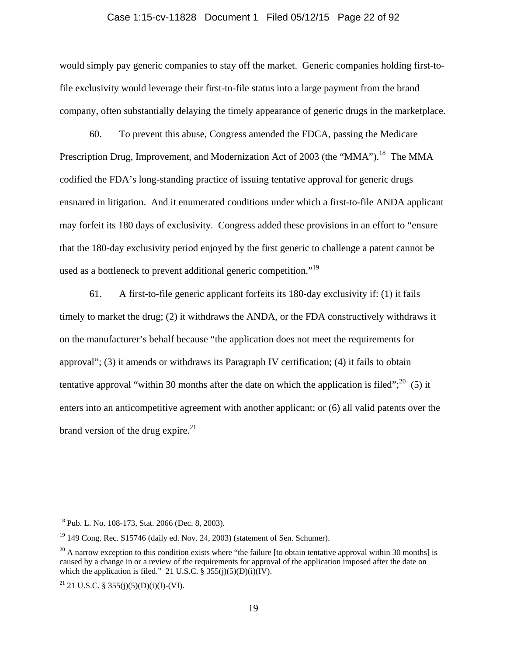#### Case 1:15-cv-11828 Document 1 Filed 05/12/15 Page 22 of 92

would simply pay generic companies to stay off the market. Generic companies holding first-tofile exclusivity would leverage their first-to-file status into a large payment from the brand company, often substantially delaying the timely appearance of generic drugs in the marketplace.

60. To prevent this abuse, Congress amended the FDCA, passing the Medicare Prescription Drug, Improvement, and Modernization Act of 2003 (the "MMA").<sup>18</sup> The MMA codified the FDA's long-standing practice of issuing tentative approval for generic drugs ensnared in litigation. And it enumerated conditions under which a first-to-file ANDA applicant may forfeit its 180 days of exclusivity. Congress added these provisions in an effort to "ensure that the 180-day exclusivity period enjoyed by the first generic to challenge a patent cannot be used as a bottleneck to prevent additional generic competition."<sup>19</sup>

61. A first-to-file generic applicant forfeits its 180-day exclusivity if: (1) it fails timely to market the drug; (2) it withdraws the ANDA, or the FDA constructively withdraws it on the manufacturer's behalf because "the application does not meet the requirements for approval"; (3) it amends or withdraws its Paragraph IV certification; (4) it fails to obtain tentative approval "within 30 months after the date on which the application is filed";  $^{20}$  (5) it enters into an anticompetitive agreement with another applicant; or (6) all valid patents over the brand version of the drug expire. $^{21}$ 

<sup>18</sup> Pub. L. No. 108-173, Stat. 2066 (Dec. 8, 2003).

 $19$  149 Cong. Rec. S15746 (daily ed. Nov. 24, 2003) (statement of Sen. Schumer).

 $^{20}$  A narrow exception to this condition exists where "the failure [to obtain tentative approval within 30 months] is caused by a change in or a review of the requirements for approval of the application imposed after the date on which the application is filed." 21 U.S.C.  $\S 355(j)(5)(D)(i)(IV)$ .

<sup>&</sup>lt;sup>21</sup> 21 U.S.C. § 355(j)(5)(D)(i)(I)-(VI).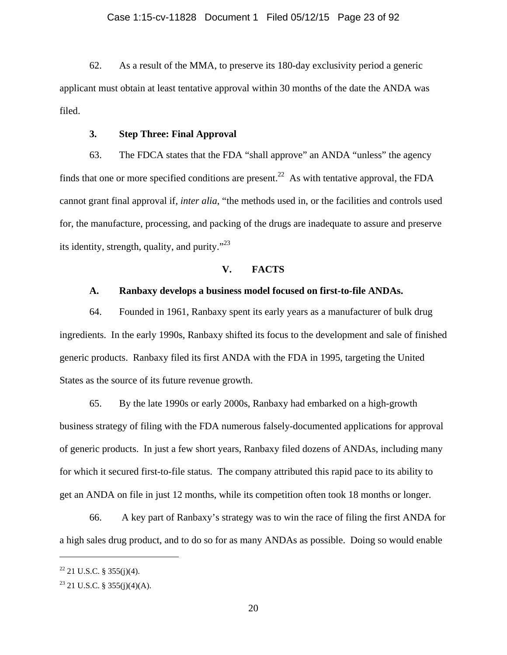62. As a result of the MMA, to preserve its 180-day exclusivity period a generic applicant must obtain at least tentative approval within 30 months of the date the ANDA was filed.

### **3. Step Three: Final Approval**

63. The FDCA states that the FDA "shall approve" an ANDA "unless" the agency finds that one or more specified conditions are present.<sup>22</sup> As with tentative approval, the FDA cannot grant final approval if, *inter alia*, "the methods used in, or the facilities and controls used for, the manufacture, processing, and packing of the drugs are inadequate to assure and preserve its identity, strength, quality, and purity."23

# **V. FACTS**

### **A. Ranbaxy develops a business model focused on first-to-file ANDAs.**

64. Founded in 1961, Ranbaxy spent its early years as a manufacturer of bulk drug ingredients. In the early 1990s, Ranbaxy shifted its focus to the development and sale of finished generic products. Ranbaxy filed its first ANDA with the FDA in 1995, targeting the United States as the source of its future revenue growth.

65. By the late 1990s or early 2000s, Ranbaxy had embarked on a high-growth business strategy of filing with the FDA numerous falsely-documented applications for approval of generic products. In just a few short years, Ranbaxy filed dozens of ANDAs, including many for which it secured first-to-file status. The company attributed this rapid pace to its ability to get an ANDA on file in just 12 months, while its competition often took 18 months or longer.

66. A key part of Ranbaxy's strategy was to win the race of filing the first ANDA for a high sales drug product, and to do so for as many ANDAs as possible. Doing so would enable

 $22$  21 U.S.C. § 355(j)(4).

 $23$  21 U.S.C. § 355(j)(4)(A).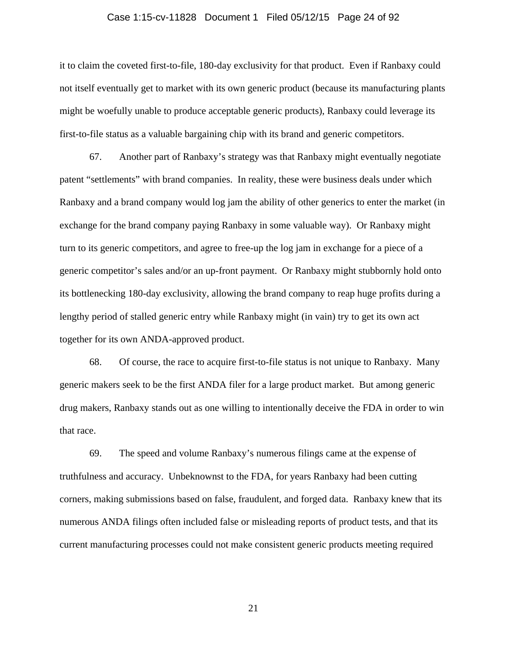### Case 1:15-cv-11828 Document 1 Filed 05/12/15 Page 24 of 92

it to claim the coveted first-to-file, 180-day exclusivity for that product. Even if Ranbaxy could not itself eventually get to market with its own generic product (because its manufacturing plants might be woefully unable to produce acceptable generic products), Ranbaxy could leverage its first-to-file status as a valuable bargaining chip with its brand and generic competitors.

67. Another part of Ranbaxy's strategy was that Ranbaxy might eventually negotiate patent "settlements" with brand companies. In reality, these were business deals under which Ranbaxy and a brand company would log jam the ability of other generics to enter the market (in exchange for the brand company paying Ranbaxy in some valuable way). Or Ranbaxy might turn to its generic competitors, and agree to free-up the log jam in exchange for a piece of a generic competitor's sales and/or an up-front payment. Or Ranbaxy might stubbornly hold onto its bottlenecking 180-day exclusivity, allowing the brand company to reap huge profits during a lengthy period of stalled generic entry while Ranbaxy might (in vain) try to get its own act together for its own ANDA-approved product.

68. Of course, the race to acquire first-to-file status is not unique to Ranbaxy. Many generic makers seek to be the first ANDA filer for a large product market. But among generic drug makers, Ranbaxy stands out as one willing to intentionally deceive the FDA in order to win that race.

69. The speed and volume Ranbaxy's numerous filings came at the expense of truthfulness and accuracy. Unbeknownst to the FDA, for years Ranbaxy had been cutting corners, making submissions based on false, fraudulent, and forged data. Ranbaxy knew that its numerous ANDA filings often included false or misleading reports of product tests, and that its current manufacturing processes could not make consistent generic products meeting required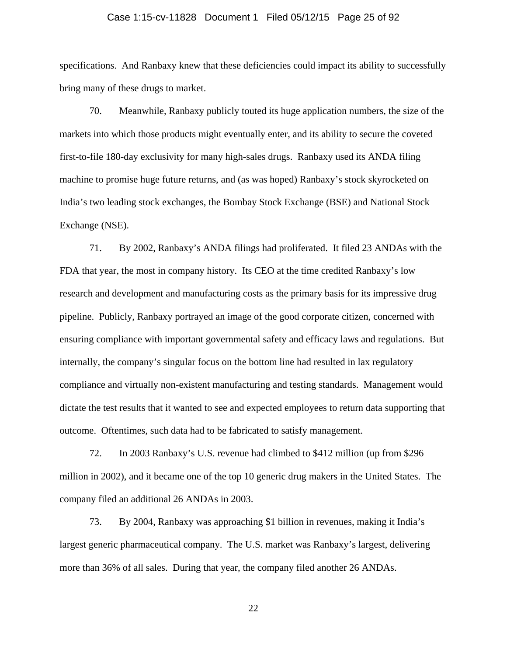### Case 1:15-cv-11828 Document 1 Filed 05/12/15 Page 25 of 92

specifications. And Ranbaxy knew that these deficiencies could impact its ability to successfully bring many of these drugs to market.

70. Meanwhile, Ranbaxy publicly touted its huge application numbers, the size of the markets into which those products might eventually enter, and its ability to secure the coveted first-to-file 180-day exclusivity for many high-sales drugs. Ranbaxy used its ANDA filing machine to promise huge future returns, and (as was hoped) Ranbaxy's stock skyrocketed on India's two leading stock exchanges, the Bombay Stock Exchange (BSE) and National Stock Exchange (NSE).

71. By 2002, Ranbaxy's ANDA filings had proliferated. It filed 23 ANDAs with the FDA that year, the most in company history. Its CEO at the time credited Ranbaxy's low research and development and manufacturing costs as the primary basis for its impressive drug pipeline. Publicly, Ranbaxy portrayed an image of the good corporate citizen, concerned with ensuring compliance with important governmental safety and efficacy laws and regulations. But internally, the company's singular focus on the bottom line had resulted in lax regulatory compliance and virtually non-existent manufacturing and testing standards. Management would dictate the test results that it wanted to see and expected employees to return data supporting that outcome. Oftentimes, such data had to be fabricated to satisfy management.

72. In 2003 Ranbaxy's U.S. revenue had climbed to \$412 million (up from \$296 million in 2002), and it became one of the top 10 generic drug makers in the United States. The company filed an additional 26 ANDAs in 2003.

73. By 2004, Ranbaxy was approaching \$1 billion in revenues, making it India's largest generic pharmaceutical company. The U.S. market was Ranbaxy's largest, delivering more than 36% of all sales. During that year, the company filed another 26 ANDAs.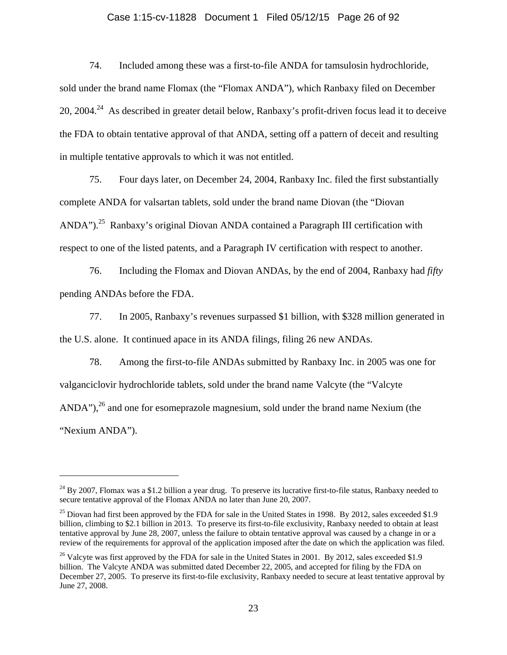## Case 1:15-cv-11828 Document 1 Filed 05/12/15 Page 26 of 92

74. Included among these was a first-to-file ANDA for tamsulosin hydrochloride, sold under the brand name Flomax (the "Flomax ANDA"), which Ranbaxy filed on December 20, 2004.<sup>24</sup> As described in greater detail below, Ranbaxy's profit-driven focus lead it to deceive the FDA to obtain tentative approval of that ANDA, setting off a pattern of deceit and resulting in multiple tentative approvals to which it was not entitled.

75. Four days later, on December 24, 2004, Ranbaxy Inc. filed the first substantially complete ANDA for valsartan tablets, sold under the brand name Diovan (the "Diovan ANDA").<sup>25</sup> Ranbaxy's original Diovan ANDA contained a Paragraph III certification with respect to one of the listed patents, and a Paragraph IV certification with respect to another.

76. Including the Flomax and Diovan ANDAs, by the end of 2004, Ranbaxy had *fifty* pending ANDAs before the FDA.

77. In 2005, Ranbaxy's revenues surpassed \$1 billion, with \$328 million generated in the U.S. alone. It continued apace in its ANDA filings, filing 26 new ANDAs.

78. Among the first-to-file ANDAs submitted by Ranbaxy Inc. in 2005 was one for valganciclovir hydrochloride tablets, sold under the brand name Valcyte (the "Valcyte ANDA"),<sup>26</sup> and one for esomeprazole magnesium, sold under the brand name Nexium (the "Nexium ANDA").

 $24$  By 2007, Flomax was a \$1.2 billion a year drug. To preserve its lucrative first-to-file status, Ranbaxy needed to secure tentative approval of the Flomax ANDA no later than June 20, 2007.

 $25$  Diovan had first been approved by the FDA for sale in the United States in 1998. By 2012, sales exceeded \$1.9 billion, climbing to \$2.1 billion in 2013. To preserve its first-to-file exclusivity, Ranbaxy needed to obtain at least tentative approval by June 28, 2007, unless the failure to obtain tentative approval was caused by a change in or a review of the requirements for approval of the application imposed after the date on which the application was filed.

<sup>&</sup>lt;sup>26</sup> Valcyte was first approved by the FDA for sale in the United States in 2001. By 2012, sales exceeded \$1.9 billion. The Valcyte ANDA was submitted dated December 22, 2005, and accepted for filing by the FDA on December 27, 2005. To preserve its first-to-file exclusivity, Ranbaxy needed to secure at least tentative approval by June 27, 2008.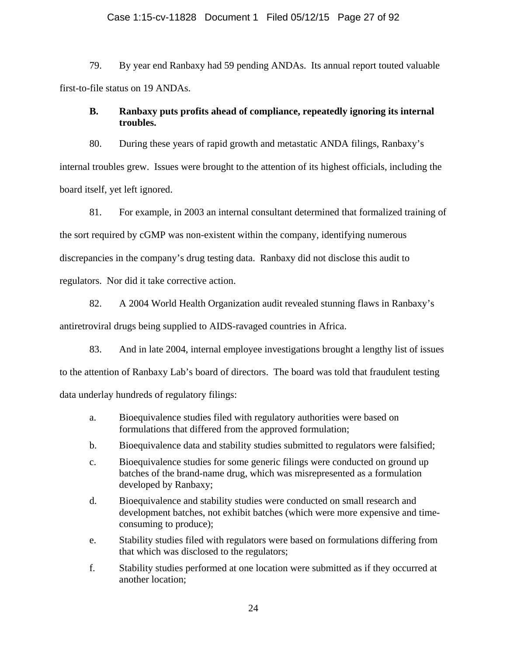### Case 1:15-cv-11828 Document 1 Filed 05/12/15 Page 27 of 92

79. By year end Ranbaxy had 59 pending ANDAs. Its annual report touted valuable first-to-file status on 19 ANDAs.

# **B. Ranbaxy puts profits ahead of compliance, repeatedly ignoring its internal troubles.**

80. During these years of rapid growth and metastatic ANDA filings, Ranbaxy's internal troubles grew. Issues were brought to the attention of its highest officials, including the board itself, yet left ignored.

81. For example, in 2003 an internal consultant determined that formalized training of the sort required by cGMP was non-existent within the company, identifying numerous discrepancies in the company's drug testing data. Ranbaxy did not disclose this audit to regulators. Nor did it take corrective action.

82. A 2004 World Health Organization audit revealed stunning flaws in Ranbaxy's antiretroviral drugs being supplied to AIDS-ravaged countries in Africa.

83. And in late 2004, internal employee investigations brought a lengthy list of issues to the attention of Ranbaxy Lab's board of directors. The board was told that fraudulent testing data underlay hundreds of regulatory filings:

- a. Bioequivalence studies filed with regulatory authorities were based on formulations that differed from the approved formulation;
- b. Bioequivalence data and stability studies submitted to regulators were falsified;
- c. Bioequivalence studies for some generic filings were conducted on ground up batches of the brand-name drug, which was misrepresented as a formulation developed by Ranbaxy;
- d. Bioequivalence and stability studies were conducted on small research and development batches, not exhibit batches (which were more expensive and timeconsuming to produce);
- e. Stability studies filed with regulators were based on formulations differing from that which was disclosed to the regulators;
- f. Stability studies performed at one location were submitted as if they occurred at another location;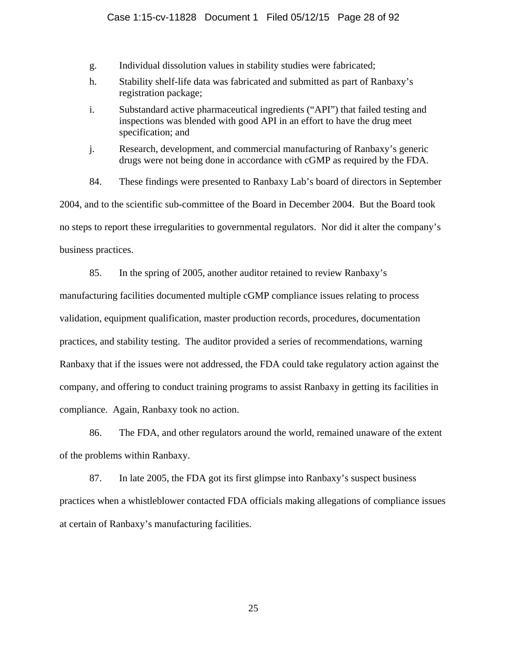### Case 1:15-cv-11828 Document 1 Filed 05/12/15 Page 28 of 92

- g. Individual dissolution values in stability studies were fabricated;
- h. Stability shelf-life data was fabricated and submitted as part of Ranbaxy's registration package;
- i. Substandard active pharmaceutical ingredients ("API") that failed testing and inspections was blended with good API in an effort to have the drug meet specification; and
- j. Research, development, and commercial manufacturing of Ranbaxy's generic drugs were not being done in accordance with cGMP as required by the FDA.
- 84. These findings were presented to Ranbaxy Lab's board of directors in September

2004, and to the scientific sub-committee of the Board in December 2004. But the Board took no steps to report these irregularities to governmental regulators. Nor did it alter the company's business practices.

85. In the spring of 2005, another auditor retained to review Ranbaxy's manufacturing facilities documented multiple cGMP compliance issues relating to process validation, equipment qualification, master production records, procedures, documentation practices, and stability testing. The auditor provided a series of recommendations, warning Ranbaxy that if the issues were not addressed, the FDA could take regulatory action against the company, and offering to conduct training programs to assist Ranbaxy in getting its facilities in compliance. Again, Ranbaxy took no action.

86. The FDA, and other regulators around the world, remained unaware of the extent of the problems within Ranbaxy.

87. In late 2005, the FDA got its first glimpse into Ranbaxy's suspect business practices when a whistleblower contacted FDA officials making allegations of compliance issues at certain of Ranbaxy's manufacturing facilities.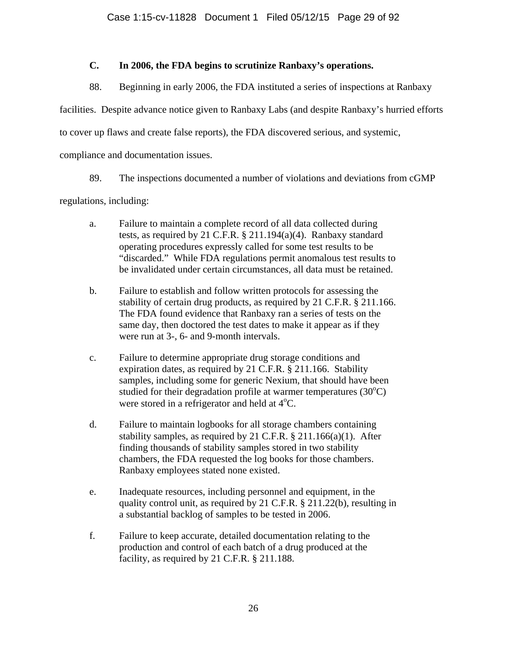# **C. In 2006, the FDA begins to scrutinize Ranbaxy's operations.**

88. Beginning in early 2006, the FDA instituted a series of inspections at Ranbaxy

facilities. Despite advance notice given to Ranbaxy Labs (and despite Ranbaxy's hurried efforts

to cover up flaws and create false reports), the FDA discovered serious, and systemic,

compliance and documentation issues.

89. The inspections documented a number of violations and deviations from cGMP

regulations, including:

- a. Failure to maintain a complete record of all data collected during tests, as required by 21 C.F.R. § 211.194(a)(4). Ranbaxy standard operating procedures expressly called for some test results to be "discarded." While FDA regulations permit anomalous test results to be invalidated under certain circumstances, all data must be retained.
- b. Failure to establish and follow written protocols for assessing the stability of certain drug products, as required by 21 C.F.R. § 211.166. The FDA found evidence that Ranbaxy ran a series of tests on the same day, then doctored the test dates to make it appear as if they were run at 3-, 6- and 9-month intervals.
- c. Failure to determine appropriate drug storage conditions and expiration dates, as required by 21 C.F.R. § 211.166. Stability samples, including some for generic Nexium, that should have been studied for their degradation profile at warmer temperatures  $(30^{\circ}C)$ were stored in a refrigerator and held at 4°C.
- d. Failure to maintain logbooks for all storage chambers containing stability samples, as required by 21 C.F.R.  $\S$  211.166(a)(1). After finding thousands of stability samples stored in two stability chambers, the FDA requested the log books for those chambers. Ranbaxy employees stated none existed.
- e. Inadequate resources, including personnel and equipment, in the quality control unit, as required by 21 C.F.R. § 211.22(b), resulting in a substantial backlog of samples to be tested in 2006.
- f. Failure to keep accurate, detailed documentation relating to the production and control of each batch of a drug produced at the facility, as required by 21 C.F.R. § 211.188.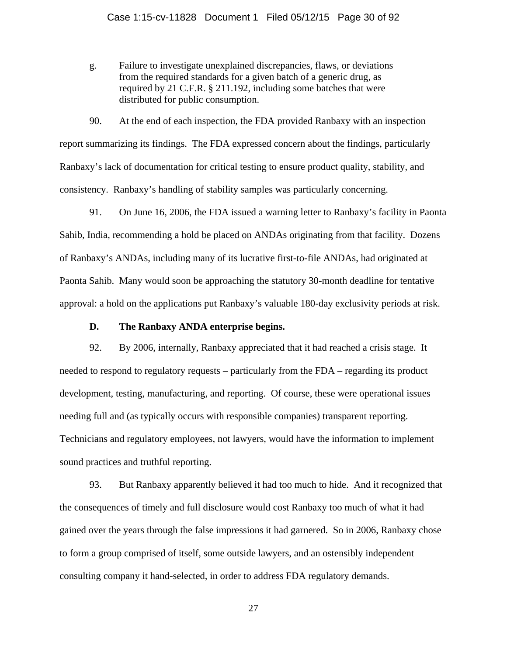g. Failure to investigate unexplained discrepancies, flaws, or deviations from the required standards for a given batch of a generic drug, as required by 21 C.F.R. § 211.192, including some batches that were distributed for public consumption.

90. At the end of each inspection, the FDA provided Ranbaxy with an inspection report summarizing its findings. The FDA expressed concern about the findings, particularly Ranbaxy's lack of documentation for critical testing to ensure product quality, stability, and consistency. Ranbaxy's handling of stability samples was particularly concerning.

91. On June 16, 2006, the FDA issued a warning letter to Ranbaxy's facility in Paonta Sahib, India, recommending a hold be placed on ANDAs originating from that facility. Dozens of Ranbaxy's ANDAs, including many of its lucrative first-to-file ANDAs, had originated at Paonta Sahib. Many would soon be approaching the statutory 30-month deadline for tentative approval: a hold on the applications put Ranbaxy's valuable 180-day exclusivity periods at risk.

### **D. The Ranbaxy ANDA enterprise begins.**

92. By 2006, internally, Ranbaxy appreciated that it had reached a crisis stage. It needed to respond to regulatory requests – particularly from the FDA – regarding its product development, testing, manufacturing, and reporting. Of course, these were operational issues needing full and (as typically occurs with responsible companies) transparent reporting. Technicians and regulatory employees, not lawyers, would have the information to implement sound practices and truthful reporting.

93. But Ranbaxy apparently believed it had too much to hide. And it recognized that the consequences of timely and full disclosure would cost Ranbaxy too much of what it had gained over the years through the false impressions it had garnered. So in 2006, Ranbaxy chose to form a group comprised of itself, some outside lawyers, and an ostensibly independent consulting company it hand-selected, in order to address FDA regulatory demands.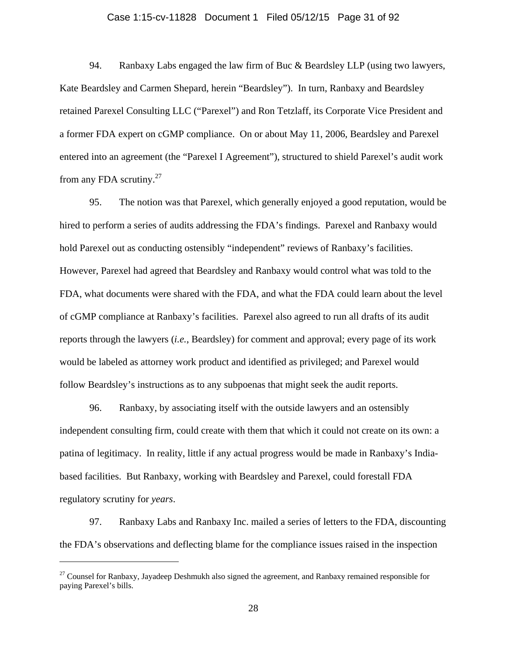#### Case 1:15-cv-11828 Document 1 Filed 05/12/15 Page 31 of 92

94. Ranbaxy Labs engaged the law firm of Buc & Beardsley LLP (using two lawyers, Kate Beardsley and Carmen Shepard, herein "Beardsley"). In turn, Ranbaxy and Beardsley retained Parexel Consulting LLC ("Parexel") and Ron Tetzlaff, its Corporate Vice President and a former FDA expert on cGMP compliance. On or about May 11, 2006, Beardsley and Parexel entered into an agreement (the "Parexel I Agreement"), structured to shield Parexel's audit work from any FDA scrutiny. $27$ 

95. The notion was that Parexel, which generally enjoyed a good reputation, would be hired to perform a series of audits addressing the FDA's findings. Parexel and Ranbaxy would hold Parexel out as conducting ostensibly "independent" reviews of Ranbaxy's facilities. However, Parexel had agreed that Beardsley and Ranbaxy would control what was told to the FDA, what documents were shared with the FDA, and what the FDA could learn about the level of cGMP compliance at Ranbaxy's facilities. Parexel also agreed to run all drafts of its audit reports through the lawyers (*i.e.*, Beardsley) for comment and approval; every page of its work would be labeled as attorney work product and identified as privileged; and Parexel would follow Beardsley's instructions as to any subpoenas that might seek the audit reports.

96. Ranbaxy, by associating itself with the outside lawyers and an ostensibly independent consulting firm, could create with them that which it could not create on its own: a patina of legitimacy. In reality, little if any actual progress would be made in Ranbaxy's Indiabased facilities. But Ranbaxy, working with Beardsley and Parexel, could forestall FDA regulatory scrutiny for *years*.

97. Ranbaxy Labs and Ranbaxy Inc. mailed a series of letters to the FDA, discounting the FDA's observations and deflecting blame for the compliance issues raised in the inspection

 $27$  Counsel for Ranbaxy, Jayadeep Deshmukh also signed the agreement, and Ranbaxy remained responsible for paying Parexel's bills.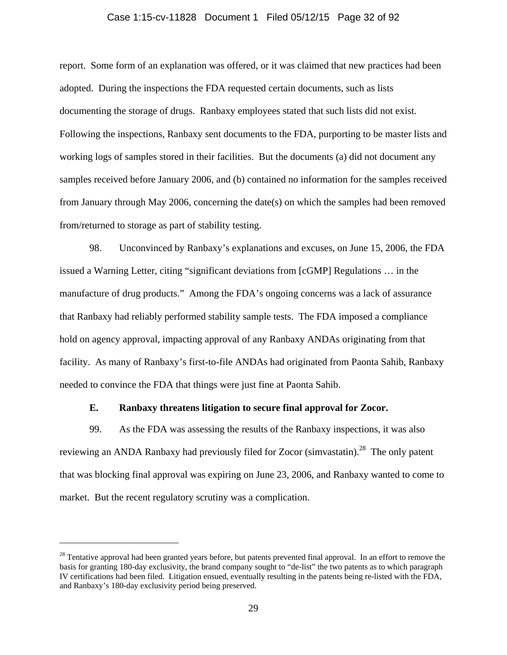### Case 1:15-cv-11828 Document 1 Filed 05/12/15 Page 32 of 92

report. Some form of an explanation was offered, or it was claimed that new practices had been adopted. During the inspections the FDA requested certain documents, such as lists documenting the storage of drugs. Ranbaxy employees stated that such lists did not exist. Following the inspections, Ranbaxy sent documents to the FDA, purporting to be master lists and working logs of samples stored in their facilities. But the documents (a) did not document any samples received before January 2006, and (b) contained no information for the samples received from January through May 2006, concerning the date(s) on which the samples had been removed from/returned to storage as part of stability testing.

98. Unconvinced by Ranbaxy's explanations and excuses, on June 15, 2006, the FDA issued a Warning Letter, citing "significant deviations from [cGMP] Regulations … in the manufacture of drug products." Among the FDA's ongoing concerns was a lack of assurance that Ranbaxy had reliably performed stability sample tests. The FDA imposed a compliance hold on agency approval, impacting approval of any Ranbaxy ANDAs originating from that facility. As many of Ranbaxy's first-to-file ANDAs had originated from Paonta Sahib, Ranbaxy needed to convince the FDA that things were just fine at Paonta Sahib.

### **E. Ranbaxy threatens litigation to secure final approval for Zocor.**

99. As the FDA was assessing the results of the Ranbaxy inspections, it was also reviewing an ANDA Ranbaxy had previously filed for Zocor (simvastatin).<sup>28</sup> The only patent that was blocking final approval was expiring on June 23, 2006, and Ranbaxy wanted to come to market. But the recent regulatory scrutiny was a complication.

<sup>&</sup>lt;sup>28</sup> Tentative approval had been granted years before, but patents prevented final approval. In an effort to remove the basis for granting 180-day exclusivity, the brand company sought to "de-list" the two patents as to which paragraph IV certifications had been filed. Litigation ensued, eventually resulting in the patents being re-listed with the FDA, and Ranbaxy's 180-day exclusivity period being preserved.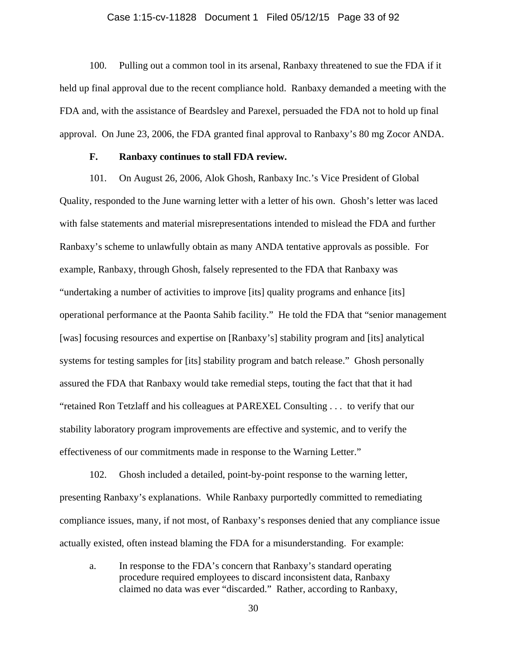### Case 1:15-cv-11828 Document 1 Filed 05/12/15 Page 33 of 92

100. Pulling out a common tool in its arsenal, Ranbaxy threatened to sue the FDA if it held up final approval due to the recent compliance hold. Ranbaxy demanded a meeting with the FDA and, with the assistance of Beardsley and Parexel, persuaded the FDA not to hold up final approval. On June 23, 2006, the FDA granted final approval to Ranbaxy's 80 mg Zocor ANDA.

### **F. Ranbaxy continues to stall FDA review.**

101. On August 26, 2006, Alok Ghosh, Ranbaxy Inc.'s Vice President of Global Quality, responded to the June warning letter with a letter of his own. Ghosh's letter was laced with false statements and material misrepresentations intended to mislead the FDA and further Ranbaxy's scheme to unlawfully obtain as many ANDA tentative approvals as possible. For example, Ranbaxy, through Ghosh, falsely represented to the FDA that Ranbaxy was "undertaking a number of activities to improve [its] quality programs and enhance [its] operational performance at the Paonta Sahib facility." He told the FDA that "senior management [was] focusing resources and expertise on [Ranbaxy's] stability program and [its] analytical systems for testing samples for [its] stability program and batch release." Ghosh personally assured the FDA that Ranbaxy would take remedial steps, touting the fact that that it had "retained Ron Tetzlaff and his colleagues at PAREXEL Consulting . . . to verify that our stability laboratory program improvements are effective and systemic, and to verify the effectiveness of our commitments made in response to the Warning Letter."

102. Ghosh included a detailed, point-by-point response to the warning letter, presenting Ranbaxy's explanations. While Ranbaxy purportedly committed to remediating compliance issues, many, if not most, of Ranbaxy's responses denied that any compliance issue actually existed, often instead blaming the FDA for a misunderstanding. For example:

a. In response to the FDA's concern that Ranbaxy's standard operating procedure required employees to discard inconsistent data, Ranbaxy claimed no data was ever "discarded." Rather, according to Ranbaxy,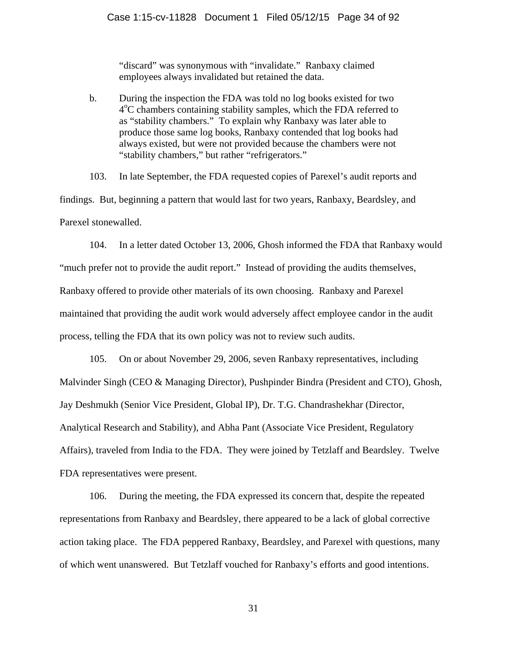"discard" was synonymous with "invalidate." Ranbaxy claimed employees always invalidated but retained the data.

b. During the inspection the FDA was told no log books existed for two 4<sup>o</sup>C chambers containing stability samples, which the FDA referred to as "stability chambers." To explain why Ranbaxy was later able to produce those same log books, Ranbaxy contended that log books had always existed, but were not provided because the chambers were not "stability chambers," but rather "refrigerators."

103. In late September, the FDA requested copies of Parexel's audit reports and findings. But, beginning a pattern that would last for two years, Ranbaxy, Beardsley, and Parexel stonewalled.

104. In a letter dated October 13, 2006, Ghosh informed the FDA that Ranbaxy would "much prefer not to provide the audit report." Instead of providing the audits themselves, Ranbaxy offered to provide other materials of its own choosing. Ranbaxy and Parexel maintained that providing the audit work would adversely affect employee candor in the audit process, telling the FDA that its own policy was not to review such audits.

105. On or about November 29, 2006, seven Ranbaxy representatives, including Malvinder Singh (CEO & Managing Director), Pushpinder Bindra (President and CTO), Ghosh, Jay Deshmukh (Senior Vice President, Global IP), Dr. T.G. Chandrashekhar (Director, Analytical Research and Stability), and Abha Pant (Associate Vice President, Regulatory Affairs), traveled from India to the FDA. They were joined by Tetzlaff and Beardsley. Twelve FDA representatives were present.

106. During the meeting, the FDA expressed its concern that, despite the repeated representations from Ranbaxy and Beardsley, there appeared to be a lack of global corrective action taking place. The FDA peppered Ranbaxy, Beardsley, and Parexel with questions, many of which went unanswered. But Tetzlaff vouched for Ranbaxy's efforts and good intentions.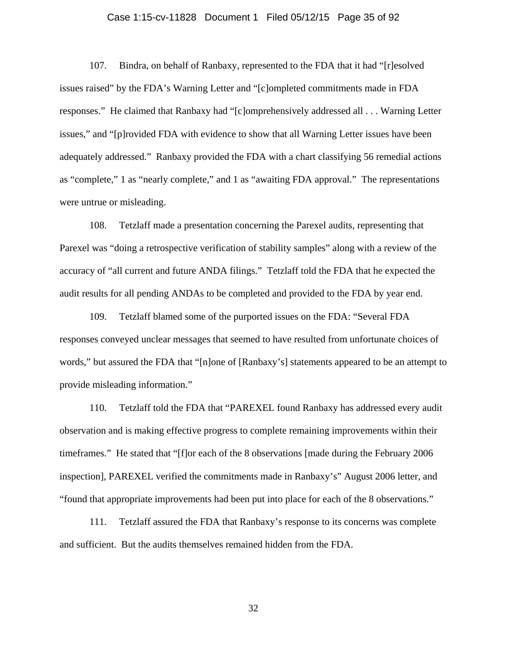### Case 1:15-cv-11828 Document 1 Filed 05/12/15 Page 35 of 92

107. Bindra, on behalf of Ranbaxy, represented to the FDA that it had "[r]esolved issues raised" by the FDA's Warning Letter and "[c]ompleted commitments made in FDA responses." He claimed that Ranbaxy had "[c]omprehensively addressed all . . . Warning Letter issues," and "[p]rovided FDA with evidence to show that all Warning Letter issues have been adequately addressed." Ranbaxy provided the FDA with a chart classifying 56 remedial actions as "complete," 1 as "nearly complete," and 1 as "awaiting FDA approval." The representations were untrue or misleading.

108. Tetzlaff made a presentation concerning the Parexel audits, representing that Parexel was "doing a retrospective verification of stability samples" along with a review of the accuracy of "all current and future ANDA filings." Tetzlaff told the FDA that he expected the audit results for all pending ANDAs to be completed and provided to the FDA by year end.

109. Tetzlaff blamed some of the purported issues on the FDA: "Several FDA responses conveyed unclear messages that seemed to have resulted from unfortunate choices of words," but assured the FDA that "[n]one of [Ranbaxy's] statements appeared to be an attempt to provide misleading information."

110. Tetzlaff told the FDA that "PAREXEL found Ranbaxy has addressed every audit observation and is making effective progress to complete remaining improvements within their timeframes." He stated that "[f]or each of the 8 observations [made during the February 2006 inspection], PAREXEL verified the commitments made in Ranbaxy's" August 2006 letter, and "found that appropriate improvements had been put into place for each of the 8 observations."

111. Tetzlaff assured the FDA that Ranbaxy's response to its concerns was complete and sufficient. But the audits themselves remained hidden from the FDA.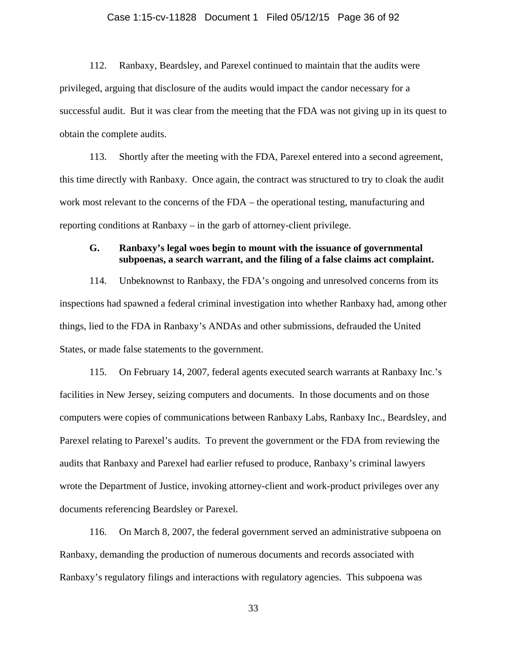### Case 1:15-cv-11828 Document 1 Filed 05/12/15 Page 36 of 92

112. Ranbaxy, Beardsley, and Parexel continued to maintain that the audits were privileged, arguing that disclosure of the audits would impact the candor necessary for a successful audit. But it was clear from the meeting that the FDA was not giving up in its quest to obtain the complete audits.

113. Shortly after the meeting with the FDA, Parexel entered into a second agreement, this time directly with Ranbaxy. Once again, the contract was structured to try to cloak the audit work most relevant to the concerns of the FDA – the operational testing, manufacturing and reporting conditions at Ranbaxy – in the garb of attorney-client privilege.

# **G. Ranbaxy's legal woes begin to mount with the issuance of governmental subpoenas, a search warrant, and the filing of a false claims act complaint.**

114. Unbeknownst to Ranbaxy, the FDA's ongoing and unresolved concerns from its inspections had spawned a federal criminal investigation into whether Ranbaxy had, among other things, lied to the FDA in Ranbaxy's ANDAs and other submissions, defrauded the United States, or made false statements to the government.

115. On February 14, 2007, federal agents executed search warrants at Ranbaxy Inc.'s facilities in New Jersey, seizing computers and documents. In those documents and on those computers were copies of communications between Ranbaxy Labs, Ranbaxy Inc., Beardsley, and Parexel relating to Parexel's audits. To prevent the government or the FDA from reviewing the audits that Ranbaxy and Parexel had earlier refused to produce, Ranbaxy's criminal lawyers wrote the Department of Justice, invoking attorney-client and work-product privileges over any documents referencing Beardsley or Parexel.

116. On March 8, 2007, the federal government served an administrative subpoena on Ranbaxy, demanding the production of numerous documents and records associated with Ranbaxy's regulatory filings and interactions with regulatory agencies. This subpoena was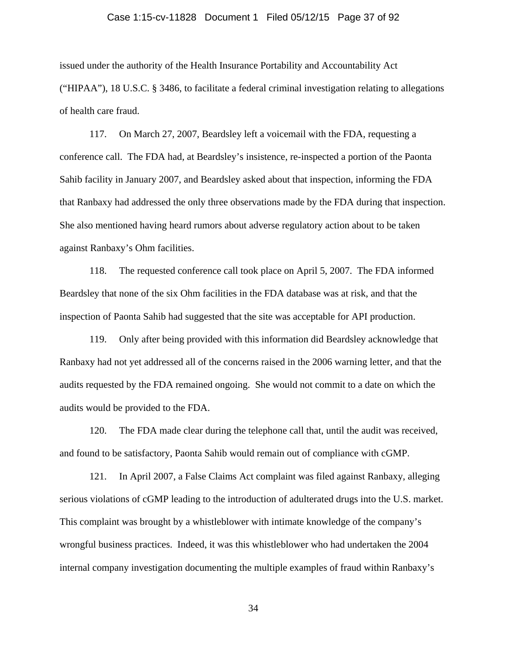#### Case 1:15-cv-11828 Document 1 Filed 05/12/15 Page 37 of 92

issued under the authority of the Health Insurance Portability and Accountability Act ("HIPAA"), 18 U.S.C. § 3486, to facilitate a federal criminal investigation relating to allegations of health care fraud.

117. On March 27, 2007, Beardsley left a voicemail with the FDA, requesting a conference call. The FDA had, at Beardsley's insistence, re-inspected a portion of the Paonta Sahib facility in January 2007, and Beardsley asked about that inspection, informing the FDA that Ranbaxy had addressed the only three observations made by the FDA during that inspection. She also mentioned having heard rumors about adverse regulatory action about to be taken against Ranbaxy's Ohm facilities.

118. The requested conference call took place on April 5, 2007. The FDA informed Beardsley that none of the six Ohm facilities in the FDA database was at risk, and that the inspection of Paonta Sahib had suggested that the site was acceptable for API production.

119. Only after being provided with this information did Beardsley acknowledge that Ranbaxy had not yet addressed all of the concerns raised in the 2006 warning letter, and that the audits requested by the FDA remained ongoing. She would not commit to a date on which the audits would be provided to the FDA.

120. The FDA made clear during the telephone call that, until the audit was received, and found to be satisfactory, Paonta Sahib would remain out of compliance with cGMP.

121. In April 2007, a False Claims Act complaint was filed against Ranbaxy, alleging serious violations of cGMP leading to the introduction of adulterated drugs into the U.S. market. This complaint was brought by a whistleblower with intimate knowledge of the company's wrongful business practices. Indeed, it was this whistleblower who had undertaken the 2004 internal company investigation documenting the multiple examples of fraud within Ranbaxy's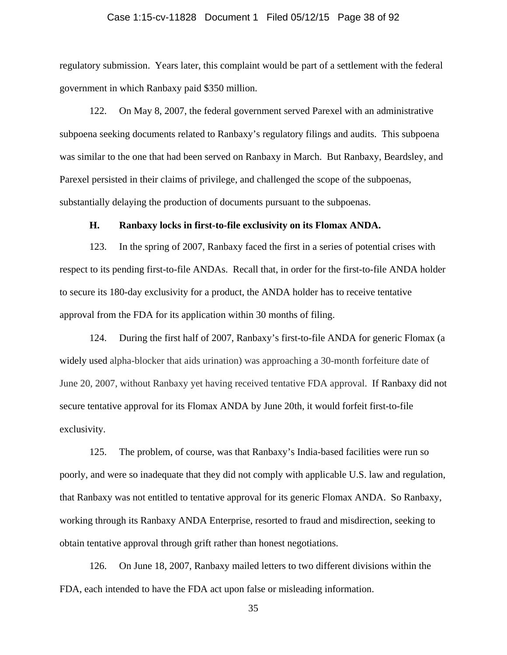#### Case 1:15-cv-11828 Document 1 Filed 05/12/15 Page 38 of 92

regulatory submission. Years later, this complaint would be part of a settlement with the federal government in which Ranbaxy paid \$350 million.

122. On May 8, 2007, the federal government served Parexel with an administrative subpoena seeking documents related to Ranbaxy's regulatory filings and audits. This subpoena was similar to the one that had been served on Ranbaxy in March. But Ranbaxy, Beardsley, and Parexel persisted in their claims of privilege, and challenged the scope of the subpoenas, substantially delaying the production of documents pursuant to the subpoenas.

#### **H. Ranbaxy locks in first-to-file exclusivity on its Flomax ANDA.**

123. In the spring of 2007, Ranbaxy faced the first in a series of potential crises with respect to its pending first-to-file ANDAs. Recall that, in order for the first-to-file ANDA holder to secure its 180-day exclusivity for a product, the ANDA holder has to receive tentative approval from the FDA for its application within 30 months of filing.

124. During the first half of 2007, Ranbaxy's first-to-file ANDA for generic Flomax (a widely used alpha-blocker that aids urination) was approaching a 30-month forfeiture date of June 20, 2007, without Ranbaxy yet having received tentative FDA approval. If Ranbaxy did not secure tentative approval for its Flomax ANDA by June 20th, it would forfeit first-to-file exclusivity.

125. The problem, of course, was that Ranbaxy's India-based facilities were run so poorly, and were so inadequate that they did not comply with applicable U.S. law and regulation, that Ranbaxy was not entitled to tentative approval for its generic Flomax ANDA. So Ranbaxy, working through its Ranbaxy ANDA Enterprise, resorted to fraud and misdirection, seeking to obtain tentative approval through grift rather than honest negotiations.

126. On June 18, 2007, Ranbaxy mailed letters to two different divisions within the FDA, each intended to have the FDA act upon false or misleading information.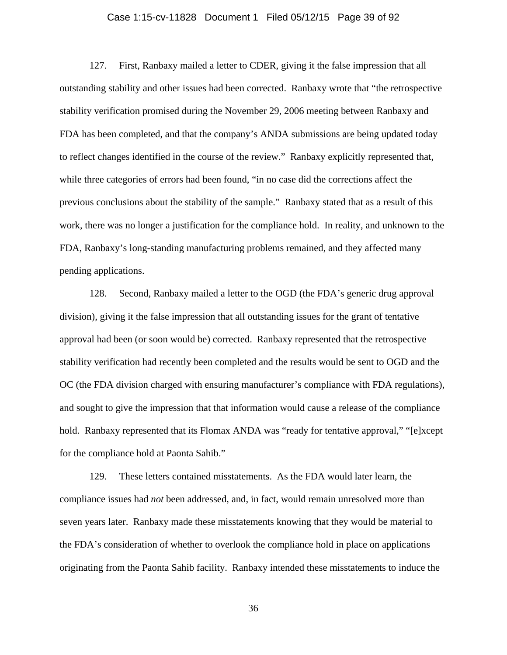## Case 1:15-cv-11828 Document 1 Filed 05/12/15 Page 39 of 92

127. First, Ranbaxy mailed a letter to CDER, giving it the false impression that all outstanding stability and other issues had been corrected. Ranbaxy wrote that "the retrospective stability verification promised during the November 29, 2006 meeting between Ranbaxy and FDA has been completed, and that the company's ANDA submissions are being updated today to reflect changes identified in the course of the review." Ranbaxy explicitly represented that, while three categories of errors had been found, "in no case did the corrections affect the previous conclusions about the stability of the sample." Ranbaxy stated that as a result of this work, there was no longer a justification for the compliance hold. In reality, and unknown to the FDA, Ranbaxy's long-standing manufacturing problems remained, and they affected many pending applications.

128. Second, Ranbaxy mailed a letter to the OGD (the FDA's generic drug approval division), giving it the false impression that all outstanding issues for the grant of tentative approval had been (or soon would be) corrected. Ranbaxy represented that the retrospective stability verification had recently been completed and the results would be sent to OGD and the OC (the FDA division charged with ensuring manufacturer's compliance with FDA regulations), and sought to give the impression that that information would cause a release of the compliance hold. Ranbaxy represented that its Flomax ANDA was "ready for tentative approval," "[e]xcept for the compliance hold at Paonta Sahib."

129. These letters contained misstatements. As the FDA would later learn, the compliance issues had *not* been addressed, and, in fact, would remain unresolved more than seven years later. Ranbaxy made these misstatements knowing that they would be material to the FDA's consideration of whether to overlook the compliance hold in place on applications originating from the Paonta Sahib facility. Ranbaxy intended these misstatements to induce the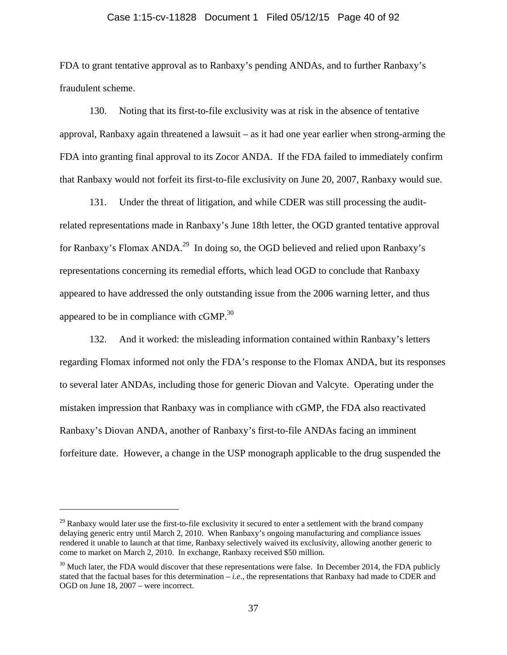## Case 1:15-cv-11828 Document 1 Filed 05/12/15 Page 40 of 92

FDA to grant tentative approval as to Ranbaxy's pending ANDAs, and to further Ranbaxy's fraudulent scheme.

130. Noting that its first-to-file exclusivity was at risk in the absence of tentative approval, Ranbaxy again threatened a lawsuit – as it had one year earlier when strong-arming the FDA into granting final approval to its Zocor ANDA. If the FDA failed to immediately confirm that Ranbaxy would not forfeit its first-to-file exclusivity on June 20, 2007, Ranbaxy would sue.

131. Under the threat of litigation, and while CDER was still processing the auditrelated representations made in Ranbaxy's June 18th letter, the OGD granted tentative approval for Ranbaxy's Flomax ANDA.<sup>29</sup> In doing so, the OGD believed and relied upon Ranbaxy's representations concerning its remedial efforts, which lead OGD to conclude that Ranbaxy appeared to have addressed the only outstanding issue from the 2006 warning letter, and thus appeared to be in compliance with  $cGMP<sup>30</sup>$ .

132. And it worked: the misleading information contained within Ranbaxy's letters regarding Flomax informed not only the FDA's response to the Flomax ANDA, but its responses to several later ANDAs, including those for generic Diovan and Valcyte. Operating under the mistaken impression that Ranbaxy was in compliance with cGMP, the FDA also reactivated Ranbaxy's Diovan ANDA, another of Ranbaxy's first-to-file ANDAs facing an imminent forfeiture date. However, a change in the USP monograph applicable to the drug suspended the

<u>.</u>

 $^{29}$  Ranbaxy would later use the first-to-file exclusivity it secured to enter a settlement with the brand company delaying generic entry until March 2, 2010. When Ranbaxy's ongoing manufacturing and compliance issues rendered it unable to launch at that time, Ranbaxy selectively waived its exclusivity, allowing another generic to come to market on March 2, 2010. In exchange, Ranbaxy received \$50 million.

 $30$  Much later, the FDA would discover that these representations were false. In December 2014, the FDA publicly stated that the factual bases for this determination  $-i.e.,$  the representations that Ranbaxy had made to CDER and OGD on June 18, 2007 – were incorrect.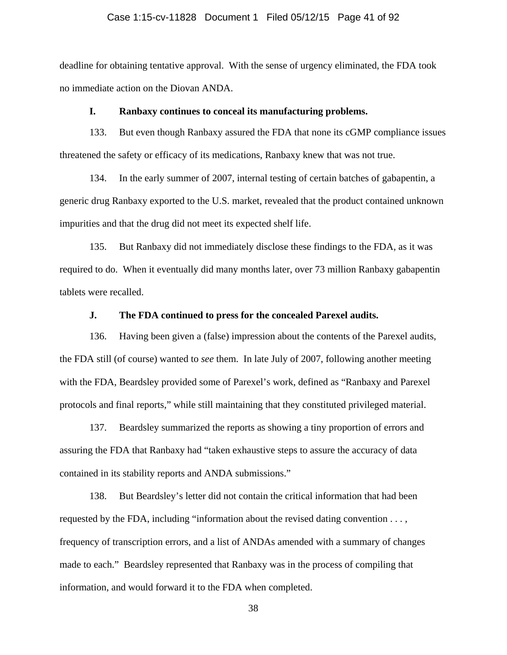#### Case 1:15-cv-11828 Document 1 Filed 05/12/15 Page 41 of 92

deadline for obtaining tentative approval. With the sense of urgency eliminated, the FDA took no immediate action on the Diovan ANDA.

### **I. Ranbaxy continues to conceal its manufacturing problems.**

133. But even though Ranbaxy assured the FDA that none its cGMP compliance issues threatened the safety or efficacy of its medications, Ranbaxy knew that was not true.

134. In the early summer of 2007, internal testing of certain batches of gabapentin, a generic drug Ranbaxy exported to the U.S. market, revealed that the product contained unknown impurities and that the drug did not meet its expected shelf life.

135. But Ranbaxy did not immediately disclose these findings to the FDA, as it was required to do. When it eventually did many months later, over 73 million Ranbaxy gabapentin tablets were recalled.

# **J. The FDA continued to press for the concealed Parexel audits.**

136. Having been given a (false) impression about the contents of the Parexel audits, the FDA still (of course) wanted to *see* them. In late July of 2007, following another meeting with the FDA, Beardsley provided some of Parexel's work, defined as "Ranbaxy and Parexel protocols and final reports," while still maintaining that they constituted privileged material.

137. Beardsley summarized the reports as showing a tiny proportion of errors and assuring the FDA that Ranbaxy had "taken exhaustive steps to assure the accuracy of data contained in its stability reports and ANDA submissions."

138. But Beardsley's letter did not contain the critical information that had been requested by the FDA, including "information about the revised dating convention . . . , frequency of transcription errors, and a list of ANDAs amended with a summary of changes made to each." Beardsley represented that Ranbaxy was in the process of compiling that information, and would forward it to the FDA when completed.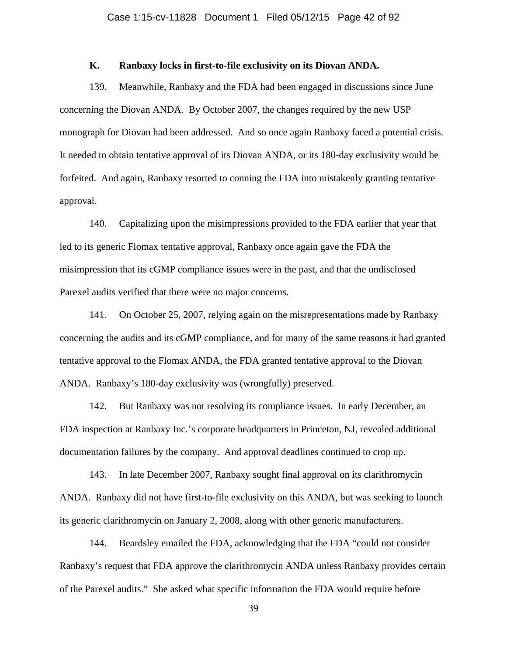### **K. Ranbaxy locks in first-to-file exclusivity on its Diovan ANDA.**

139. Meanwhile, Ranbaxy and the FDA had been engaged in discussions since June concerning the Diovan ANDA. By October 2007, the changes required by the new USP monograph for Diovan had been addressed. And so once again Ranbaxy faced a potential crisis. It needed to obtain tentative approval of its Diovan ANDA, or its 180-day exclusivity would be forfeited. And again, Ranbaxy resorted to conning the FDA into mistakenly granting tentative approval.

140. Capitalizing upon the misimpressions provided to the FDA earlier that year that led to its generic Flomax tentative approval, Ranbaxy once again gave the FDA the misimpression that its cGMP compliance issues were in the past, and that the undisclosed Parexel audits verified that there were no major concerns.

141. On October 25, 2007, relying again on the misrepresentations made by Ranbaxy concerning the audits and its cGMP compliance, and for many of the same reasons it had granted tentative approval to the Flomax ANDA, the FDA granted tentative approval to the Diovan ANDA. Ranbaxy's 180-day exclusivity was (wrongfully) preserved.

142. But Ranbaxy was not resolving its compliance issues. In early December, an FDA inspection at Ranbaxy Inc.'s corporate headquarters in Princeton, NJ, revealed additional documentation failures by the company. And approval deadlines continued to crop up.

143. In late December 2007, Ranbaxy sought final approval on its clarithromycin ANDA. Ranbaxy did not have first-to-file exclusivity on this ANDA, but was seeking to launch its generic clarithromycin on January 2, 2008, along with other generic manufacturers.

144. Beardsley emailed the FDA, acknowledging that the FDA "could not consider Ranbaxy's request that FDA approve the clarithromycin ANDA unless Ranbaxy provides certain of the Parexel audits." She asked what specific information the FDA would require before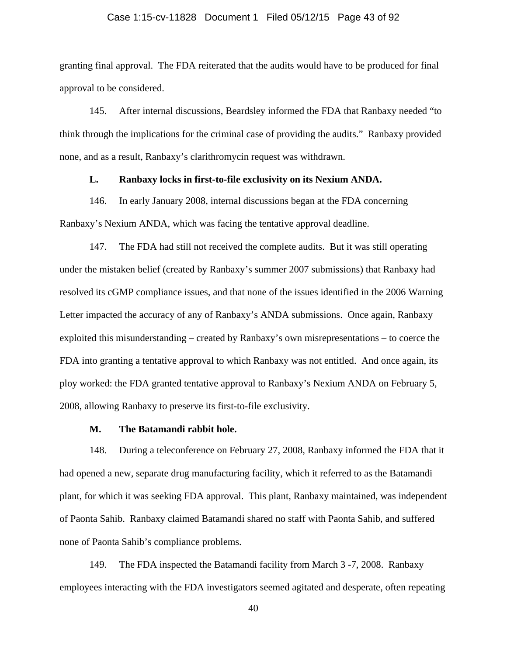#### Case 1:15-cv-11828 Document 1 Filed 05/12/15 Page 43 of 92

granting final approval. The FDA reiterated that the audits would have to be produced for final approval to be considered.

145. After internal discussions, Beardsley informed the FDA that Ranbaxy needed "to think through the implications for the criminal case of providing the audits." Ranbaxy provided none, and as a result, Ranbaxy's clarithromycin request was withdrawn.

## **L. Ranbaxy locks in first-to-file exclusivity on its Nexium ANDA.**

146. In early January 2008, internal discussions began at the FDA concerning Ranbaxy's Nexium ANDA, which was facing the tentative approval deadline.

147. The FDA had still not received the complete audits. But it was still operating under the mistaken belief (created by Ranbaxy's summer 2007 submissions) that Ranbaxy had resolved its cGMP compliance issues, and that none of the issues identified in the 2006 Warning Letter impacted the accuracy of any of Ranbaxy's ANDA submissions. Once again, Ranbaxy exploited this misunderstanding – created by Ranbaxy's own misrepresentations – to coerce the FDA into granting a tentative approval to which Ranbaxy was not entitled. And once again, its ploy worked: the FDA granted tentative approval to Ranbaxy's Nexium ANDA on February 5, 2008, allowing Ranbaxy to preserve its first-to-file exclusivity.

## **M. The Batamandi rabbit hole.**

148. During a teleconference on February 27, 2008, Ranbaxy informed the FDA that it had opened a new, separate drug manufacturing facility, which it referred to as the Batamandi plant, for which it was seeking FDA approval. This plant, Ranbaxy maintained, was independent of Paonta Sahib. Ranbaxy claimed Batamandi shared no staff with Paonta Sahib, and suffered none of Paonta Sahib's compliance problems.

149. The FDA inspected the Batamandi facility from March 3 -7, 2008. Ranbaxy employees interacting with the FDA investigators seemed agitated and desperate, often repeating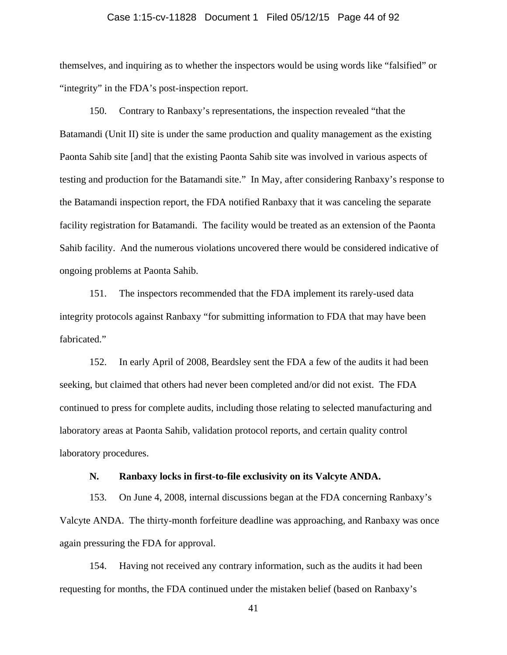#### Case 1:15-cv-11828 Document 1 Filed 05/12/15 Page 44 of 92

themselves, and inquiring as to whether the inspectors would be using words like "falsified" or "integrity" in the FDA's post-inspection report.

150. Contrary to Ranbaxy's representations, the inspection revealed "that the Batamandi (Unit II) site is under the same production and quality management as the existing Paonta Sahib site [and] that the existing Paonta Sahib site was involved in various aspects of testing and production for the Batamandi site." In May, after considering Ranbaxy's response to the Batamandi inspection report, the FDA notified Ranbaxy that it was canceling the separate facility registration for Batamandi. The facility would be treated as an extension of the Paonta Sahib facility. And the numerous violations uncovered there would be considered indicative of ongoing problems at Paonta Sahib.

151. The inspectors recommended that the FDA implement its rarely-used data integrity protocols against Ranbaxy "for submitting information to FDA that may have been fabricated."

152. In early April of 2008, Beardsley sent the FDA a few of the audits it had been seeking, but claimed that others had never been completed and/or did not exist. The FDA continued to press for complete audits, including those relating to selected manufacturing and laboratory areas at Paonta Sahib, validation protocol reports, and certain quality control laboratory procedures.

#### **N. Ranbaxy locks in first-to-file exclusivity on its Valcyte ANDA.**

153. On June 4, 2008, internal discussions began at the FDA concerning Ranbaxy's Valcyte ANDA. The thirty-month forfeiture deadline was approaching, and Ranbaxy was once again pressuring the FDA for approval.

154. Having not received any contrary information, such as the audits it had been requesting for months, the FDA continued under the mistaken belief (based on Ranbaxy's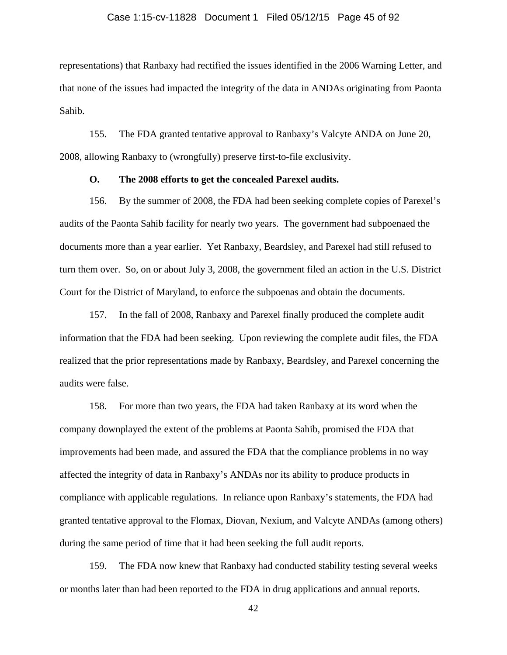#### Case 1:15-cv-11828 Document 1 Filed 05/12/15 Page 45 of 92

representations) that Ranbaxy had rectified the issues identified in the 2006 Warning Letter, and that none of the issues had impacted the integrity of the data in ANDAs originating from Paonta Sahib.

155. The FDA granted tentative approval to Ranbaxy's Valcyte ANDA on June 20, 2008, allowing Ranbaxy to (wrongfully) preserve first-to-file exclusivity.

### **O. The 2008 efforts to get the concealed Parexel audits.**

156. By the summer of 2008, the FDA had been seeking complete copies of Parexel's audits of the Paonta Sahib facility for nearly two years. The government had subpoenaed the documents more than a year earlier. Yet Ranbaxy, Beardsley, and Parexel had still refused to turn them over. So, on or about July 3, 2008, the government filed an action in the U.S. District Court for the District of Maryland, to enforce the subpoenas and obtain the documents.

157. In the fall of 2008, Ranbaxy and Parexel finally produced the complete audit information that the FDA had been seeking. Upon reviewing the complete audit files, the FDA realized that the prior representations made by Ranbaxy, Beardsley, and Parexel concerning the audits were false.

158. For more than two years, the FDA had taken Ranbaxy at its word when the company downplayed the extent of the problems at Paonta Sahib, promised the FDA that improvements had been made, and assured the FDA that the compliance problems in no way affected the integrity of data in Ranbaxy's ANDAs nor its ability to produce products in compliance with applicable regulations. In reliance upon Ranbaxy's statements, the FDA had granted tentative approval to the Flomax, Diovan, Nexium, and Valcyte ANDAs (among others) during the same period of time that it had been seeking the full audit reports.

159. The FDA now knew that Ranbaxy had conducted stability testing several weeks or months later than had been reported to the FDA in drug applications and annual reports.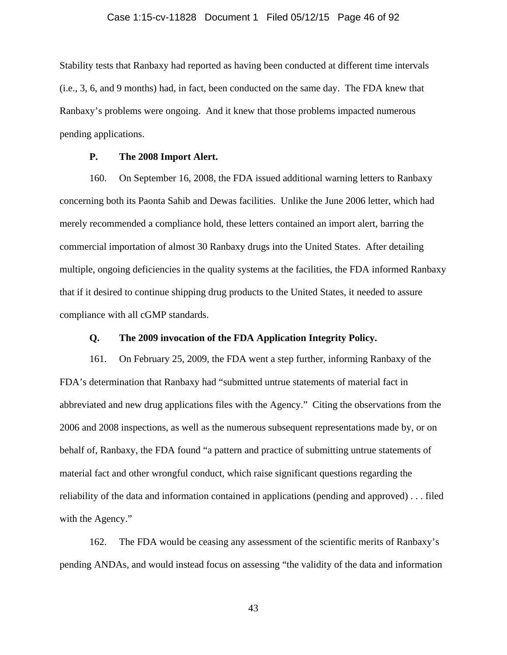#### Case 1:15-cv-11828 Document 1 Filed 05/12/15 Page 46 of 92

Stability tests that Ranbaxy had reported as having been conducted at different time intervals (i.e., 3, 6, and 9 months) had, in fact, been conducted on the same day. The FDA knew that Ranbaxy's problems were ongoing. And it knew that those problems impacted numerous pending applications.

### **P. The 2008 Import Alert.**

160. On September 16, 2008, the FDA issued additional warning letters to Ranbaxy concerning both its Paonta Sahib and Dewas facilities. Unlike the June 2006 letter, which had merely recommended a compliance hold, these letters contained an import alert, barring the commercial importation of almost 30 Ranbaxy drugs into the United States. After detailing multiple, ongoing deficiencies in the quality systems at the facilities, the FDA informed Ranbaxy that if it desired to continue shipping drug products to the United States, it needed to assure compliance with all cGMP standards.

# **Q. The 2009 invocation of the FDA Application Integrity Policy.**

161. On February 25, 2009, the FDA went a step further, informing Ranbaxy of the FDA's determination that Ranbaxy had "submitted untrue statements of material fact in abbreviated and new drug applications files with the Agency." Citing the observations from the 2006 and 2008 inspections, as well as the numerous subsequent representations made by, or on behalf of, Ranbaxy, the FDA found "a pattern and practice of submitting untrue statements of material fact and other wrongful conduct, which raise significant questions regarding the reliability of the data and information contained in applications (pending and approved) . . . filed with the Agency."

162. The FDA would be ceasing any assessment of the scientific merits of Ranbaxy's pending ANDAs, and would instead focus on assessing "the validity of the data and information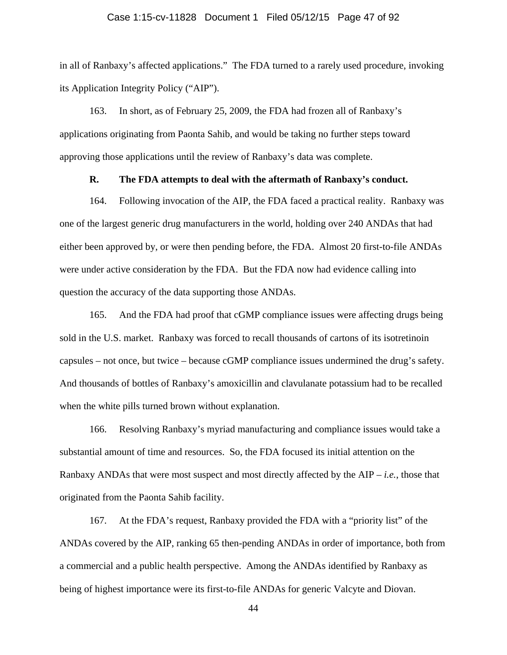#### Case 1:15-cv-11828 Document 1 Filed 05/12/15 Page 47 of 92

in all of Ranbaxy's affected applications." The FDA turned to a rarely used procedure, invoking its Application Integrity Policy ("AIP").

163. In short, as of February 25, 2009, the FDA had frozen all of Ranbaxy's applications originating from Paonta Sahib, and would be taking no further steps toward approving those applications until the review of Ranbaxy's data was complete.

### **R. The FDA attempts to deal with the aftermath of Ranbaxy's conduct.**

164. Following invocation of the AIP, the FDA faced a practical reality. Ranbaxy was one of the largest generic drug manufacturers in the world, holding over 240 ANDAs that had either been approved by, or were then pending before, the FDA. Almost 20 first-to-file ANDAs were under active consideration by the FDA. But the FDA now had evidence calling into question the accuracy of the data supporting those ANDAs.

165. And the FDA had proof that cGMP compliance issues were affecting drugs being sold in the U.S. market. Ranbaxy was forced to recall thousands of cartons of its isotretinoin capsules – not once, but twice – because cGMP compliance issues undermined the drug's safety. And thousands of bottles of Ranbaxy's amoxicillin and clavulanate potassium had to be recalled when the white pills turned brown without explanation.

166. Resolving Ranbaxy's myriad manufacturing and compliance issues would take a substantial amount of time and resources. So, the FDA focused its initial attention on the Ranbaxy ANDAs that were most suspect and most directly affected by the  $AIP - i.e.,$  those that originated from the Paonta Sahib facility.

167. At the FDA's request, Ranbaxy provided the FDA with a "priority list" of the ANDAs covered by the AIP, ranking 65 then-pending ANDAs in order of importance, both from a commercial and a public health perspective. Among the ANDAs identified by Ranbaxy as being of highest importance were its first-to-file ANDAs for generic Valcyte and Diovan.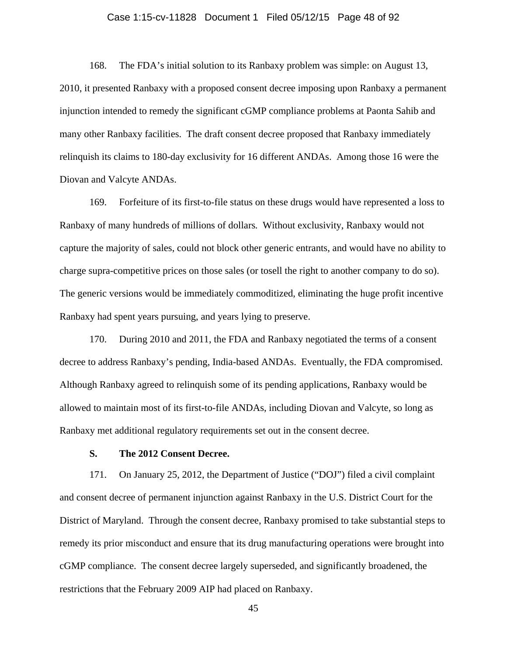#### Case 1:15-cv-11828 Document 1 Filed 05/12/15 Page 48 of 92

168. The FDA's initial solution to its Ranbaxy problem was simple: on August 13, 2010, it presented Ranbaxy with a proposed consent decree imposing upon Ranbaxy a permanent injunction intended to remedy the significant cGMP compliance problems at Paonta Sahib and many other Ranbaxy facilities. The draft consent decree proposed that Ranbaxy immediately relinquish its claims to 180-day exclusivity for 16 different ANDAs. Among those 16 were the Diovan and Valcyte ANDAs.

169. Forfeiture of its first-to-file status on these drugs would have represented a loss to Ranbaxy of many hundreds of millions of dollars. Without exclusivity, Ranbaxy would not capture the majority of sales, could not block other generic entrants, and would have no ability to charge supra-competitive prices on those sales (or tosell the right to another company to do so). The generic versions would be immediately commoditized, eliminating the huge profit incentive Ranbaxy had spent years pursuing, and years lying to preserve.

170. During 2010 and 2011, the FDA and Ranbaxy negotiated the terms of a consent decree to address Ranbaxy's pending, India-based ANDAs. Eventually, the FDA compromised. Although Ranbaxy agreed to relinquish some of its pending applications, Ranbaxy would be allowed to maintain most of its first-to-file ANDAs, including Diovan and Valcyte, so long as Ranbaxy met additional regulatory requirements set out in the consent decree.

### **S. The 2012 Consent Decree.**

171. On January 25, 2012, the Department of Justice ("DOJ") filed a civil complaint and consent decree of permanent injunction against Ranbaxy in the U.S. District Court for the District of Maryland. Through the consent decree, Ranbaxy promised to take substantial steps to remedy its prior misconduct and ensure that its drug manufacturing operations were brought into cGMP compliance. The consent decree largely superseded, and significantly broadened, the restrictions that the February 2009 AIP had placed on Ranbaxy.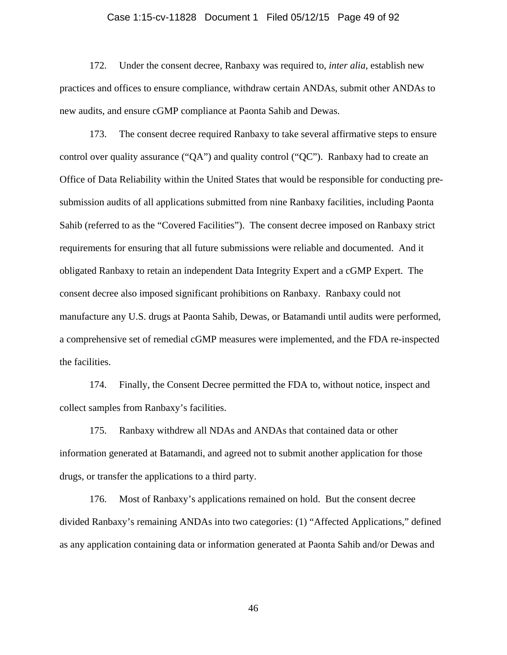#### Case 1:15-cv-11828 Document 1 Filed 05/12/15 Page 49 of 92

172. Under the consent decree, Ranbaxy was required to, *inter alia*, establish new practices and offices to ensure compliance, withdraw certain ANDAs, submit other ANDAs to new audits, and ensure cGMP compliance at Paonta Sahib and Dewas.

173. The consent decree required Ranbaxy to take several affirmative steps to ensure control over quality assurance ("QA") and quality control ("QC"). Ranbaxy had to create an Office of Data Reliability within the United States that would be responsible for conducting presubmission audits of all applications submitted from nine Ranbaxy facilities, including Paonta Sahib (referred to as the "Covered Facilities"). The consent decree imposed on Ranbaxy strict requirements for ensuring that all future submissions were reliable and documented. And it obligated Ranbaxy to retain an independent Data Integrity Expert and a cGMP Expert. The consent decree also imposed significant prohibitions on Ranbaxy. Ranbaxy could not manufacture any U.S. drugs at Paonta Sahib, Dewas, or Batamandi until audits were performed, a comprehensive set of remedial cGMP measures were implemented, and the FDA re-inspected the facilities.

174. Finally, the Consent Decree permitted the FDA to, without notice, inspect and collect samples from Ranbaxy's facilities.

175. Ranbaxy withdrew all NDAs and ANDAs that contained data or other information generated at Batamandi, and agreed not to submit another application for those drugs, or transfer the applications to a third party.

176. Most of Ranbaxy's applications remained on hold. But the consent decree divided Ranbaxy's remaining ANDAs into two categories: (1) "Affected Applications," defined as any application containing data or information generated at Paonta Sahib and/or Dewas and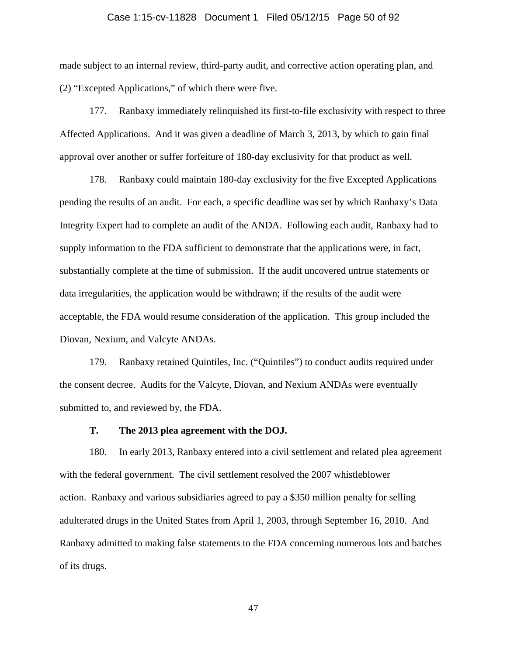#### Case 1:15-cv-11828 Document 1 Filed 05/12/15 Page 50 of 92

made subject to an internal review, third-party audit, and corrective action operating plan, and (2) "Excepted Applications," of which there were five.

177. Ranbaxy immediately relinquished its first-to-file exclusivity with respect to three Affected Applications. And it was given a deadline of March 3, 2013, by which to gain final approval over another or suffer forfeiture of 180-day exclusivity for that product as well.

178. Ranbaxy could maintain 180-day exclusivity for the five Excepted Applications pending the results of an audit. For each, a specific deadline was set by which Ranbaxy's Data Integrity Expert had to complete an audit of the ANDA. Following each audit, Ranbaxy had to supply information to the FDA sufficient to demonstrate that the applications were, in fact, substantially complete at the time of submission. If the audit uncovered untrue statements or data irregularities, the application would be withdrawn; if the results of the audit were acceptable, the FDA would resume consideration of the application. This group included the Diovan, Nexium, and Valcyte ANDAs.

179. Ranbaxy retained Quintiles, Inc. ("Quintiles") to conduct audits required under the consent decree. Audits for the Valcyte, Diovan, and Nexium ANDAs were eventually submitted to, and reviewed by, the FDA.

### **T. The 2013 plea agreement with the DOJ.**

180. In early 2013, Ranbaxy entered into a civil settlement and related plea agreement with the federal government. The civil settlement resolved the 2007 whistleblower action. Ranbaxy and various subsidiaries agreed to pay a \$350 million penalty for selling adulterated drugs in the United States from April 1, 2003, through September 16, 2010. And Ranbaxy admitted to making false statements to the FDA concerning numerous lots and batches of its drugs.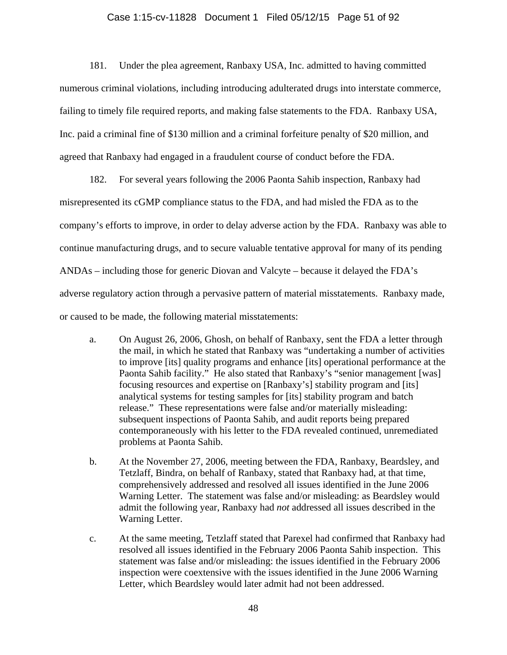#### Case 1:15-cv-11828 Document 1 Filed 05/12/15 Page 51 of 92

181. Under the plea agreement, Ranbaxy USA, Inc. admitted to having committed numerous criminal violations, including introducing adulterated drugs into interstate commerce, failing to timely file required reports, and making false statements to the FDA. Ranbaxy USA, Inc. paid a criminal fine of \$130 million and a criminal forfeiture penalty of \$20 million, and agreed that Ranbaxy had engaged in a fraudulent course of conduct before the FDA.

182. For several years following the 2006 Paonta Sahib inspection, Ranbaxy had misrepresented its cGMP compliance status to the FDA, and had misled the FDA as to the company's efforts to improve, in order to delay adverse action by the FDA. Ranbaxy was able to continue manufacturing drugs, and to secure valuable tentative approval for many of its pending ANDAs – including those for generic Diovan and Valcyte – because it delayed the FDA's adverse regulatory action through a pervasive pattern of material misstatements. Ranbaxy made, or caused to be made, the following material misstatements:

- a. On August 26, 2006, Ghosh, on behalf of Ranbaxy, sent the FDA a letter through the mail, in which he stated that Ranbaxy was "undertaking a number of activities to improve [its] quality programs and enhance [its] operational performance at the Paonta Sahib facility." He also stated that Ranbaxy's "senior management [was] focusing resources and expertise on [Ranbaxy's] stability program and [its] analytical systems for testing samples for [its] stability program and batch release." These representations were false and/or materially misleading: subsequent inspections of Paonta Sahib, and audit reports being prepared contemporaneously with his letter to the FDA revealed continued, unremediated problems at Paonta Sahib.
- b. At the November 27, 2006, meeting between the FDA, Ranbaxy, Beardsley, and Tetzlaff, Bindra, on behalf of Ranbaxy, stated that Ranbaxy had, at that time, comprehensively addressed and resolved all issues identified in the June 2006 Warning Letter. The statement was false and/or misleading: as Beardsley would admit the following year, Ranbaxy had *not* addressed all issues described in the Warning Letter.
- c. At the same meeting, Tetzlaff stated that Parexel had confirmed that Ranbaxy had resolved all issues identified in the February 2006 Paonta Sahib inspection. This statement was false and/or misleading: the issues identified in the February 2006 inspection were coextensive with the issues identified in the June 2006 Warning Letter, which Beardsley would later admit had not been addressed.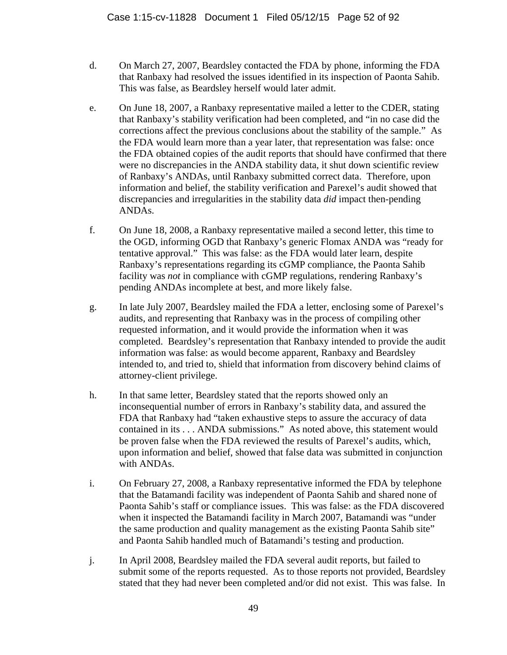- d. On March 27, 2007, Beardsley contacted the FDA by phone, informing the FDA that Ranbaxy had resolved the issues identified in its inspection of Paonta Sahib. This was false, as Beardsley herself would later admit.
- e. On June 18, 2007, a Ranbaxy representative mailed a letter to the CDER, stating that Ranbaxy's stability verification had been completed, and "in no case did the corrections affect the previous conclusions about the stability of the sample." As the FDA would learn more than a year later, that representation was false: once the FDA obtained copies of the audit reports that should have confirmed that there were no discrepancies in the ANDA stability data, it shut down scientific review of Ranbaxy's ANDAs, until Ranbaxy submitted correct data. Therefore, upon information and belief, the stability verification and Parexel's audit showed that discrepancies and irregularities in the stability data *did* impact then-pending ANDAs.
- f. On June 18, 2008, a Ranbaxy representative mailed a second letter, this time to the OGD, informing OGD that Ranbaxy's generic Flomax ANDA was "ready for tentative approval." This was false: as the FDA would later learn, despite Ranbaxy's representations regarding its cGMP compliance, the Paonta Sahib facility was *not* in compliance with cGMP regulations, rendering Ranbaxy's pending ANDAs incomplete at best, and more likely false.
- g. In late July 2007, Beardsley mailed the FDA a letter, enclosing some of Parexel's audits, and representing that Ranbaxy was in the process of compiling other requested information, and it would provide the information when it was completed. Beardsley's representation that Ranbaxy intended to provide the audit information was false: as would become apparent, Ranbaxy and Beardsley intended to, and tried to, shield that information from discovery behind claims of attorney-client privilege.
- h. In that same letter, Beardsley stated that the reports showed only an inconsequential number of errors in Ranbaxy's stability data, and assured the FDA that Ranbaxy had "taken exhaustive steps to assure the accuracy of data contained in its . . . ANDA submissions." As noted above, this statement would be proven false when the FDA reviewed the results of Parexel's audits, which, upon information and belief, showed that false data was submitted in conjunction with ANDAs.
- i. On February 27, 2008, a Ranbaxy representative informed the FDA by telephone that the Batamandi facility was independent of Paonta Sahib and shared none of Paonta Sahib's staff or compliance issues. This was false: as the FDA discovered when it inspected the Batamandi facility in March 2007, Batamandi was "under the same production and quality management as the existing Paonta Sahib site" and Paonta Sahib handled much of Batamandi's testing and production.
- j. In April 2008, Beardsley mailed the FDA several audit reports, but failed to submit some of the reports requested. As to those reports not provided, Beardsley stated that they had never been completed and/or did not exist. This was false. In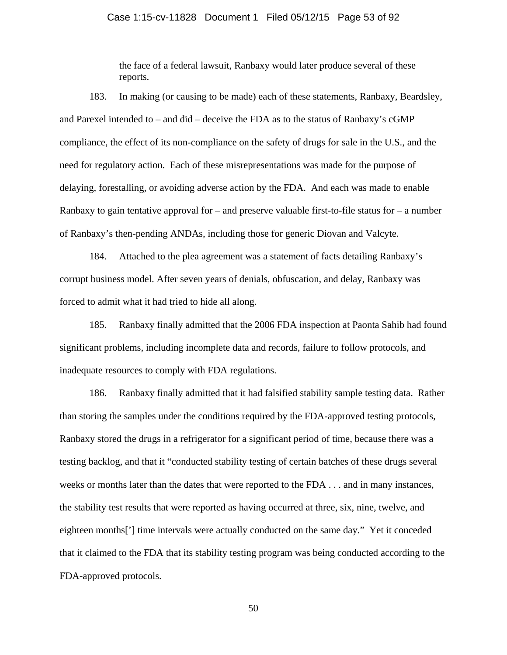#### Case 1:15-cv-11828 Document 1 Filed 05/12/15 Page 53 of 92

the face of a federal lawsuit, Ranbaxy would later produce several of these reports.

183. In making (or causing to be made) each of these statements, Ranbaxy, Beardsley, and Parexel intended to – and did – deceive the FDA as to the status of Ranbaxy's cGMP compliance, the effect of its non-compliance on the safety of drugs for sale in the U.S., and the need for regulatory action. Each of these misrepresentations was made for the purpose of delaying, forestalling, or avoiding adverse action by the FDA. And each was made to enable Ranbaxy to gain tentative approval for – and preserve valuable first-to-file status for – a number of Ranbaxy's then-pending ANDAs, including those for generic Diovan and Valcyte.

184. Attached to the plea agreement was a statement of facts detailing Ranbaxy's corrupt business model. After seven years of denials, obfuscation, and delay, Ranbaxy was forced to admit what it had tried to hide all along.

185. Ranbaxy finally admitted that the 2006 FDA inspection at Paonta Sahib had found significant problems, including incomplete data and records, failure to follow protocols, and inadequate resources to comply with FDA regulations.

186. Ranbaxy finally admitted that it had falsified stability sample testing data. Rather than storing the samples under the conditions required by the FDA-approved testing protocols, Ranbaxy stored the drugs in a refrigerator for a significant period of time, because there was a testing backlog, and that it "conducted stability testing of certain batches of these drugs several weeks or months later than the dates that were reported to the FDA . . . and in many instances, the stability test results that were reported as having occurred at three, six, nine, twelve, and eighteen months['] time intervals were actually conducted on the same day." Yet it conceded that it claimed to the FDA that its stability testing program was being conducted according to the FDA-approved protocols.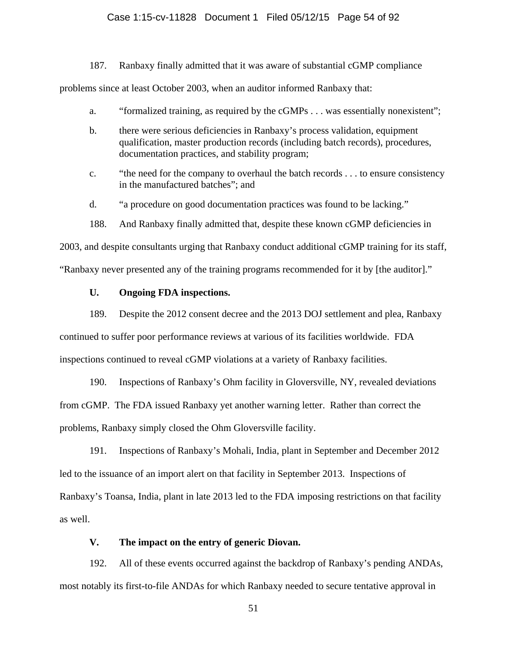### Case 1:15-cv-11828 Document 1 Filed 05/12/15 Page 54 of 92

187. Ranbaxy finally admitted that it was aware of substantial cGMP compliance

problems since at least October 2003, when an auditor informed Ranbaxy that:

- a. "formalized training, as required by the cGMPs . . . was essentially nonexistent";
- b. there were serious deficiencies in Ranbaxy's process validation, equipment qualification, master production records (including batch records), procedures, documentation practices, and stability program;
- c. "the need for the company to overhaul the batch records . . . to ensure consistency in the manufactured batches"; and
- d. "a procedure on good documentation practices was found to be lacking."
- 188. And Ranbaxy finally admitted that, despite these known cGMP deficiencies in

2003, and despite consultants urging that Ranbaxy conduct additional cGMP training for its staff,

"Ranbaxy never presented any of the training programs recommended for it by [the auditor]."

# **U. Ongoing FDA inspections.**

189. Despite the 2012 consent decree and the 2013 DOJ settlement and plea, Ranbaxy continued to suffer poor performance reviews at various of its facilities worldwide. FDA inspections continued to reveal cGMP violations at a variety of Ranbaxy facilities.

190. Inspections of Ranbaxy's Ohm facility in Gloversville, NY, revealed deviations from cGMP. The FDA issued Ranbaxy yet another warning letter. Rather than correct the problems, Ranbaxy simply closed the Ohm Gloversville facility.

191. Inspections of Ranbaxy's Mohali, India, plant in September and December 2012 led to the issuance of an import alert on that facility in September 2013. Inspections of Ranbaxy's Toansa, India, plant in late 2013 led to the FDA imposing restrictions on that facility as well.

## **V. The impact on the entry of generic Diovan.**

192. All of these events occurred against the backdrop of Ranbaxy's pending ANDAs, most notably its first-to-file ANDAs for which Ranbaxy needed to secure tentative approval in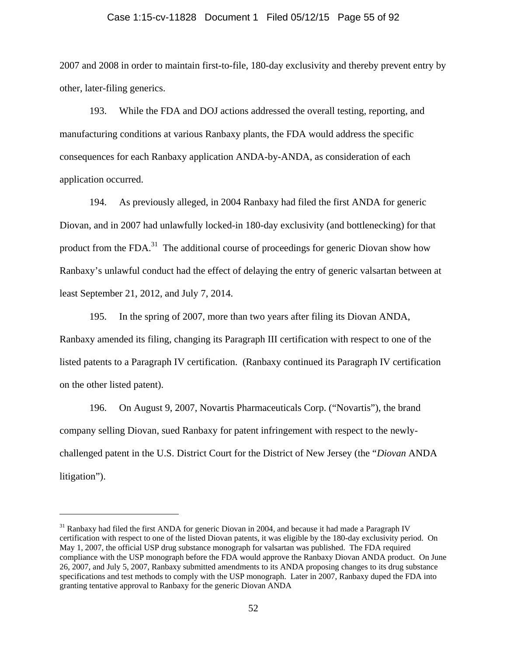#### Case 1:15-cv-11828 Document 1 Filed 05/12/15 Page 55 of 92

2007 and 2008 in order to maintain first-to-file, 180-day exclusivity and thereby prevent entry by other, later-filing generics.

193. While the FDA and DOJ actions addressed the overall testing, reporting, and manufacturing conditions at various Ranbaxy plants, the FDA would address the specific consequences for each Ranbaxy application ANDA-by-ANDA, as consideration of each application occurred.

194. As previously alleged, in 2004 Ranbaxy had filed the first ANDA for generic Diovan, and in 2007 had unlawfully locked-in 180-day exclusivity (and bottlenecking) for that product from the FDA.<sup>31</sup> The additional course of proceedings for generic Diovan show how Ranbaxy's unlawful conduct had the effect of delaying the entry of generic valsartan between at least September 21, 2012, and July 7, 2014.

195. In the spring of 2007, more than two years after filing its Diovan ANDA, Ranbaxy amended its filing, changing its Paragraph III certification with respect to one of the listed patents to a Paragraph IV certification. (Ranbaxy continued its Paragraph IV certification on the other listed patent).

196. On August 9, 2007, Novartis Pharmaceuticals Corp. ("Novartis"), the brand company selling Diovan, sued Ranbaxy for patent infringement with respect to the newlychallenged patent in the U.S. District Court for the District of New Jersey (the "*Diovan* ANDA litigation").

 $\overline{a}$ 

<sup>&</sup>lt;sup>31</sup> Ranbaxy had filed the first ANDA for generic Diovan in 2004, and because it had made a Paragraph IV certification with respect to one of the listed Diovan patents, it was eligible by the 180-day exclusivity period. On May 1, 2007, the official USP drug substance monograph for valsartan was published. The FDA required compliance with the USP monograph before the FDA would approve the Ranbaxy Diovan ANDA product. On June 26, 2007, and July 5, 2007, Ranbaxy submitted amendments to its ANDA proposing changes to its drug substance specifications and test methods to comply with the USP monograph. Later in 2007, Ranbaxy duped the FDA into granting tentative approval to Ranbaxy for the generic Diovan ANDA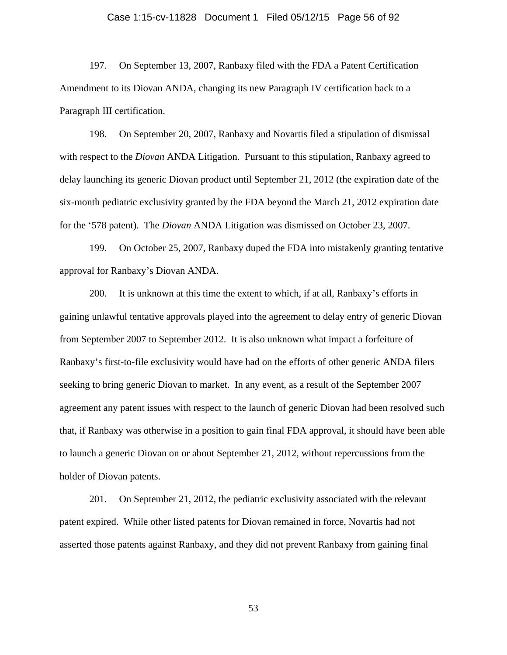#### Case 1:15-cv-11828 Document 1 Filed 05/12/15 Page 56 of 92

197. On September 13, 2007, Ranbaxy filed with the FDA a Patent Certification Amendment to its Diovan ANDA, changing its new Paragraph IV certification back to a Paragraph III certification.

198. On September 20, 2007, Ranbaxy and Novartis filed a stipulation of dismissal with respect to the *Diovan* ANDA Litigation. Pursuant to this stipulation, Ranbaxy agreed to delay launching its generic Diovan product until September 21, 2012 (the expiration date of the six-month pediatric exclusivity granted by the FDA beyond the March 21, 2012 expiration date for the '578 patent). The *Diovan* ANDA Litigation was dismissed on October 23, 2007.

199. On October 25, 2007, Ranbaxy duped the FDA into mistakenly granting tentative approval for Ranbaxy's Diovan ANDA.

200. It is unknown at this time the extent to which, if at all, Ranbaxy's efforts in gaining unlawful tentative approvals played into the agreement to delay entry of generic Diovan from September 2007 to September 2012. It is also unknown what impact a forfeiture of Ranbaxy's first-to-file exclusivity would have had on the efforts of other generic ANDA filers seeking to bring generic Diovan to market. In any event, as a result of the September 2007 agreement any patent issues with respect to the launch of generic Diovan had been resolved such that, if Ranbaxy was otherwise in a position to gain final FDA approval, it should have been able to launch a generic Diovan on or about September 21, 2012, without repercussions from the holder of Diovan patents.

201. On September 21, 2012, the pediatric exclusivity associated with the relevant patent expired. While other listed patents for Diovan remained in force, Novartis had not asserted those patents against Ranbaxy, and they did not prevent Ranbaxy from gaining final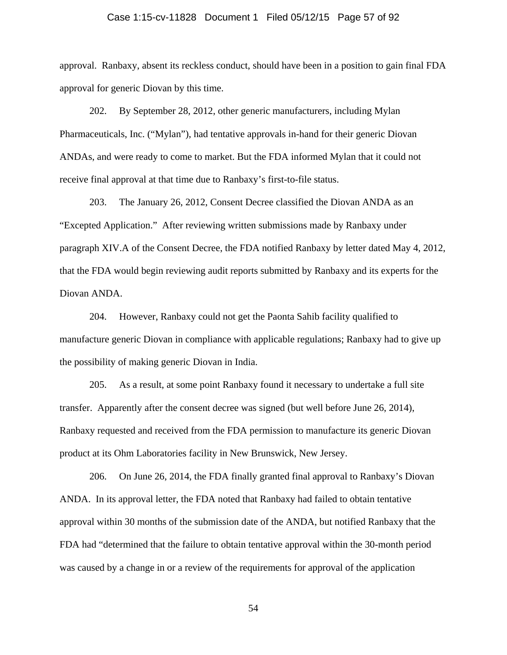#### Case 1:15-cv-11828 Document 1 Filed 05/12/15 Page 57 of 92

approval. Ranbaxy, absent its reckless conduct, should have been in a position to gain final FDA approval for generic Diovan by this time.

202. By September 28, 2012, other generic manufacturers, including Mylan Pharmaceuticals, Inc. ("Mylan"), had tentative approvals in-hand for their generic Diovan ANDAs, and were ready to come to market. But the FDA informed Mylan that it could not receive final approval at that time due to Ranbaxy's first-to-file status.

203. The January 26, 2012, Consent Decree classified the Diovan ANDA as an "Excepted Application." After reviewing written submissions made by Ranbaxy under paragraph XIV.A of the Consent Decree, the FDA notified Ranbaxy by letter dated May 4, 2012, that the FDA would begin reviewing audit reports submitted by Ranbaxy and its experts for the Diovan ANDA.

204. However, Ranbaxy could not get the Paonta Sahib facility qualified to manufacture generic Diovan in compliance with applicable regulations; Ranbaxy had to give up the possibility of making generic Diovan in India.

205. As a result, at some point Ranbaxy found it necessary to undertake a full site transfer. Apparently after the consent decree was signed (but well before June 26, 2014), Ranbaxy requested and received from the FDA permission to manufacture its generic Diovan product at its Ohm Laboratories facility in New Brunswick, New Jersey.

206. On June 26, 2014, the FDA finally granted final approval to Ranbaxy's Diovan ANDA. In its approval letter, the FDA noted that Ranbaxy had failed to obtain tentative approval within 30 months of the submission date of the ANDA, but notified Ranbaxy that the FDA had "determined that the failure to obtain tentative approval within the 30-month period was caused by a change in or a review of the requirements for approval of the application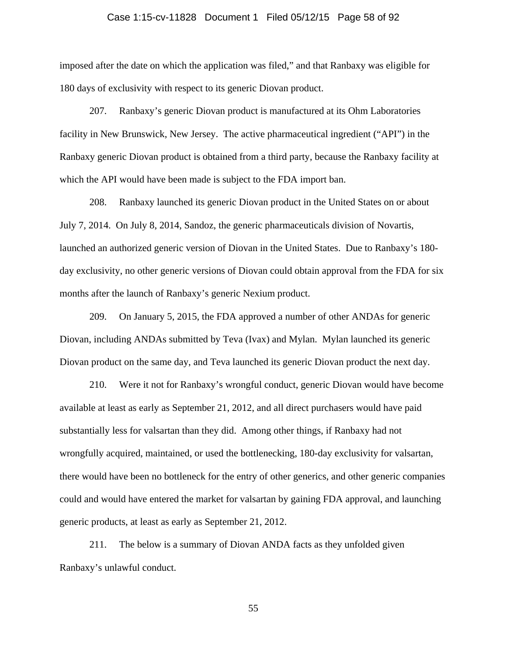## Case 1:15-cv-11828 Document 1 Filed 05/12/15 Page 58 of 92

imposed after the date on which the application was filed," and that Ranbaxy was eligible for 180 days of exclusivity with respect to its generic Diovan product.

207. Ranbaxy's generic Diovan product is manufactured at its Ohm Laboratories facility in New Brunswick, New Jersey. The active pharmaceutical ingredient ("API") in the Ranbaxy generic Diovan product is obtained from a third party, because the Ranbaxy facility at which the API would have been made is subject to the FDA import ban.

208. Ranbaxy launched its generic Diovan product in the United States on or about July 7, 2014. On July 8, 2014, Sandoz, the generic pharmaceuticals division of Novartis, launched an authorized generic version of Diovan in the United States. Due to Ranbaxy's 180 day exclusivity, no other generic versions of Diovan could obtain approval from the FDA for six months after the launch of Ranbaxy's generic Nexium product.

209. On January 5, 2015, the FDA approved a number of other ANDAs for generic Diovan, including ANDAs submitted by Teva (Ivax) and Mylan. Mylan launched its generic Diovan product on the same day, and Teva launched its generic Diovan product the next day.

210. Were it not for Ranbaxy's wrongful conduct, generic Diovan would have become available at least as early as September 21, 2012, and all direct purchasers would have paid substantially less for valsartan than they did. Among other things, if Ranbaxy had not wrongfully acquired, maintained, or used the bottlenecking, 180-day exclusivity for valsartan, there would have been no bottleneck for the entry of other generics, and other generic companies could and would have entered the market for valsartan by gaining FDA approval, and launching generic products, at least as early as September 21, 2012.

211. The below is a summary of Diovan ANDA facts as they unfolded given Ranbaxy's unlawful conduct.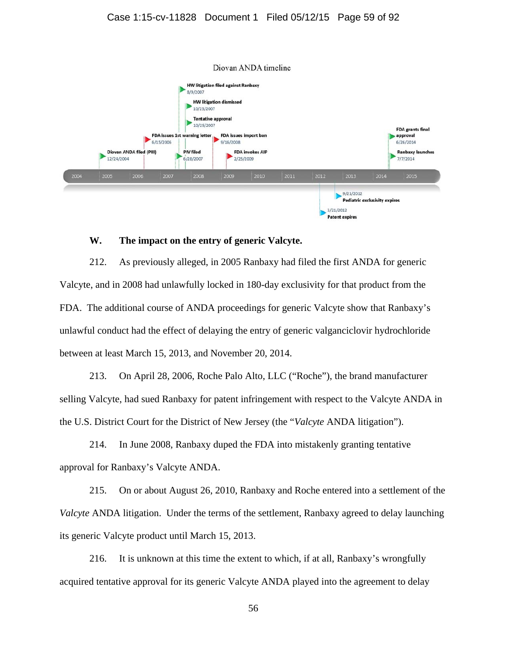

#### **W. The impact on the entry of generic Valcyte.**

212. As previously alleged, in 2005 Ranbaxy had filed the first ANDA for generic Valcyte, and in 2008 had unlawfully locked in 180-day exclusivity for that product from the FDA. The additional course of ANDA proceedings for generic Valcyte show that Ranbaxy's unlawful conduct had the effect of delaying the entry of generic valganciclovir hydrochloride between at least March 15, 2013, and November 20, 2014.

213. On April 28, 2006, Roche Palo Alto, LLC ("Roche"), the brand manufacturer selling Valcyte, had sued Ranbaxy for patent infringement with respect to the Valcyte ANDA in the U.S. District Court for the District of New Jersey (the "*Valcyte* ANDA litigation").

214. In June 2008, Ranbaxy duped the FDA into mistakenly granting tentative approval for Ranbaxy's Valcyte ANDA.

215. On or about August 26, 2010, Ranbaxy and Roche entered into a settlement of the *Valcyte* ANDA litigation. Under the terms of the settlement, Ranbaxy agreed to delay launching its generic Valcyte product until March 15, 2013.

216. It is unknown at this time the extent to which, if at all, Ranbaxy's wrongfully acquired tentative approval for its generic Valcyte ANDA played into the agreement to delay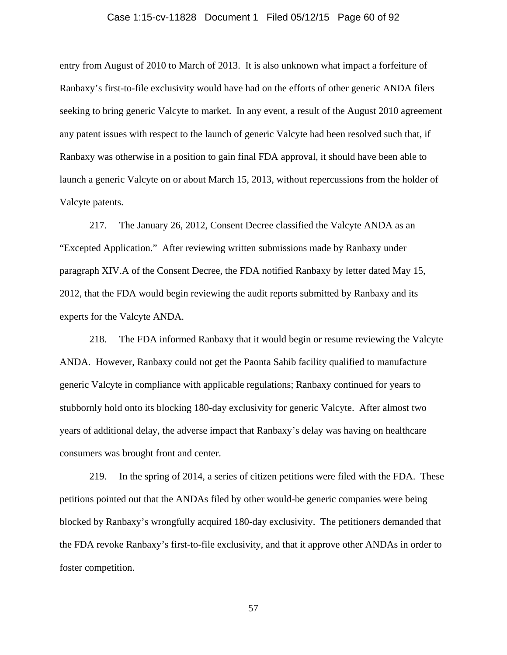#### Case 1:15-cv-11828 Document 1 Filed 05/12/15 Page 60 of 92

entry from August of 2010 to March of 2013. It is also unknown what impact a forfeiture of Ranbaxy's first-to-file exclusivity would have had on the efforts of other generic ANDA filers seeking to bring generic Valcyte to market. In any event, a result of the August 2010 agreement any patent issues with respect to the launch of generic Valcyte had been resolved such that, if Ranbaxy was otherwise in a position to gain final FDA approval, it should have been able to launch a generic Valcyte on or about March 15, 2013, without repercussions from the holder of Valcyte patents.

217. The January 26, 2012, Consent Decree classified the Valcyte ANDA as an "Excepted Application." After reviewing written submissions made by Ranbaxy under paragraph XIV.A of the Consent Decree, the FDA notified Ranbaxy by letter dated May 15, 2012, that the FDA would begin reviewing the audit reports submitted by Ranbaxy and its experts for the Valcyte ANDA.

218. The FDA informed Ranbaxy that it would begin or resume reviewing the Valcyte ANDA. However, Ranbaxy could not get the Paonta Sahib facility qualified to manufacture generic Valcyte in compliance with applicable regulations; Ranbaxy continued for years to stubbornly hold onto its blocking 180-day exclusivity for generic Valcyte. After almost two years of additional delay, the adverse impact that Ranbaxy's delay was having on healthcare consumers was brought front and center.

219. In the spring of 2014, a series of citizen petitions were filed with the FDA. These petitions pointed out that the ANDAs filed by other would-be generic companies were being blocked by Ranbaxy's wrongfully acquired 180-day exclusivity. The petitioners demanded that the FDA revoke Ranbaxy's first-to-file exclusivity, and that it approve other ANDAs in order to foster competition.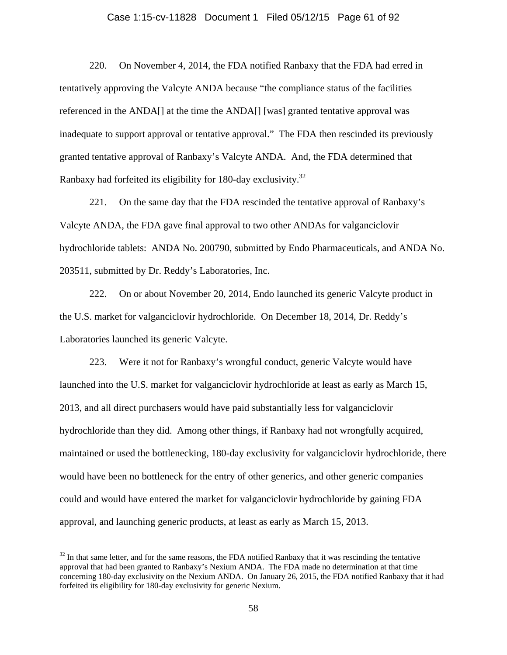## Case 1:15-cv-11828 Document 1 Filed 05/12/15 Page 61 of 92

220. On November 4, 2014, the FDA notified Ranbaxy that the FDA had erred in tentatively approving the Valcyte ANDA because "the compliance status of the facilities referenced in the ANDA[] at the time the ANDA[] [was] granted tentative approval was inadequate to support approval or tentative approval." The FDA then rescinded its previously granted tentative approval of Ranbaxy's Valcyte ANDA. And, the FDA determined that Ranbaxy had forfeited its eligibility for 180-day exclusivity.32

221. On the same day that the FDA rescinded the tentative approval of Ranbaxy's Valcyte ANDA, the FDA gave final approval to two other ANDAs for valganciclovir hydrochloride tablets: ANDA No. 200790, submitted by Endo Pharmaceuticals, and ANDA No. 203511, submitted by Dr. Reddy's Laboratories, Inc.

222. On or about November 20, 2014, Endo launched its generic Valcyte product in the U.S. market for valganciclovir hydrochloride. On December 18, 2014, Dr. Reddy's Laboratories launched its generic Valcyte.

223. Were it not for Ranbaxy's wrongful conduct, generic Valcyte would have launched into the U.S. market for valganciclovir hydrochloride at least as early as March 15, 2013, and all direct purchasers would have paid substantially less for valganciclovir hydrochloride than they did. Among other things, if Ranbaxy had not wrongfully acquired, maintained or used the bottlenecking, 180-day exclusivity for valganciclovir hydrochloride, there would have been no bottleneck for the entry of other generics, and other generic companies could and would have entered the market for valganciclovir hydrochloride by gaining FDA approval, and launching generic products, at least as early as March 15, 2013.

<u>.</u>

 $32$  In that same letter, and for the same reasons, the FDA notified Ranbaxy that it was rescinding the tentative approval that had been granted to Ranbaxy's Nexium ANDA. The FDA made no determination at that time concerning 180-day exclusivity on the Nexium ANDA. On January 26, 2015, the FDA notified Ranbaxy that it had forfeited its eligibility for 180-day exclusivity for generic Nexium.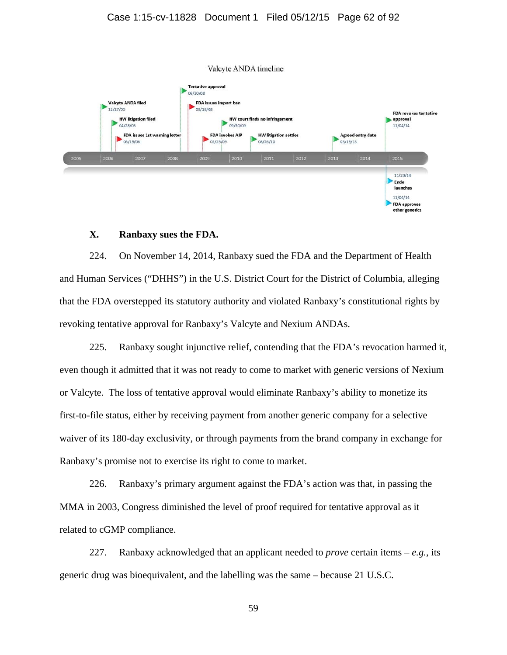

# **X. Ranbaxy sues the FDA.**

224. On November 14, 2014, Ranbaxy sued the FDA and the Department of Health and Human Services ("DHHS") in the U.S. District Court for the District of Columbia, alleging that the FDA overstepped its statutory authority and violated Ranbaxy's constitutional rights by revoking tentative approval for Ranbaxy's Valcyte and Nexium ANDAs.

225. Ranbaxy sought injunctive relief, contending that the FDA's revocation harmed it, even though it admitted that it was not ready to come to market with generic versions of Nexium or Valcyte. The loss of tentative approval would eliminate Ranbaxy's ability to monetize its first-to-file status, either by receiving payment from another generic company for a selective waiver of its 180-day exclusivity, or through payments from the brand company in exchange for Ranbaxy's promise not to exercise its right to come to market.

226. Ranbaxy's primary argument against the FDA's action was that, in passing the MMA in 2003, Congress diminished the level of proof required for tentative approval as it related to cGMP compliance.

227. Ranbaxy acknowledged that an applicant needed to *prove* certain items – *e.g.*, its generic drug was bioequivalent, and the labelling was the same – because 21 U.S.C.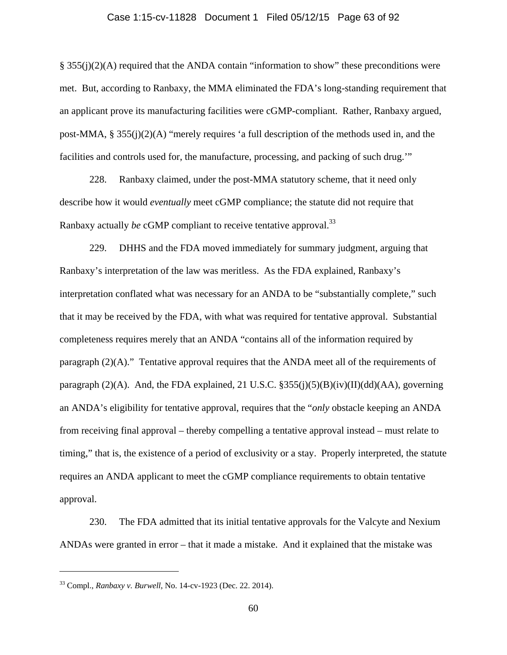#### Case 1:15-cv-11828 Document 1 Filed 05/12/15 Page 63 of 92

§ 355(j)(2)(A) required that the ANDA contain "information to show" these preconditions were met. But, according to Ranbaxy, the MMA eliminated the FDA's long-standing requirement that an applicant prove its manufacturing facilities were cGMP-compliant. Rather, Ranbaxy argued, post-MMA, § 355(j)(2)(A) "merely requires 'a full description of the methods used in, and the facilities and controls used for, the manufacture, processing, and packing of such drug.'"

228. Ranbaxy claimed, under the post-MMA statutory scheme, that it need only describe how it would *eventually* meet cGMP compliance; the statute did not require that Ranbaxy actually *be* cGMP compliant to receive tentative approval.<sup>33</sup>

229. DHHS and the FDA moved immediately for summary judgment, arguing that Ranbaxy's interpretation of the law was meritless. As the FDA explained, Ranbaxy's interpretation conflated what was necessary for an ANDA to be "substantially complete," such that it may be received by the FDA, with what was required for tentative approval. Substantial completeness requires merely that an ANDA "contains all of the information required by paragraph (2)(A)." Tentative approval requires that the ANDA meet all of the requirements of paragraph (2)(A). And, the FDA explained, 21 U.S.C.  $\S 355(j)(5)(B)(iv)(II)(dd)(AA)$ , governing an ANDA's eligibility for tentative approval, requires that the "*only* obstacle keeping an ANDA from receiving final approval – thereby compelling a tentative approval instead – must relate to timing," that is, the existence of a period of exclusivity or a stay. Properly interpreted, the statute requires an ANDA applicant to meet the cGMP compliance requirements to obtain tentative approval.

230. The FDA admitted that its initial tentative approvals for the Valcyte and Nexium ANDAs were granted in error – that it made a mistake. And it explained that the mistake was

 $\overline{a}$ 

<sup>33</sup> Compl., *Ranbaxy v. Burwell*, No. 14-cv-1923 (Dec. 22. 2014).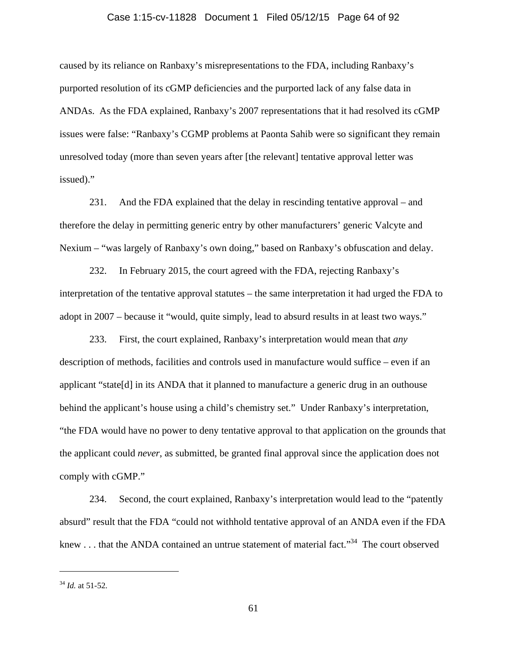#### Case 1:15-cv-11828 Document 1 Filed 05/12/15 Page 64 of 92

caused by its reliance on Ranbaxy's misrepresentations to the FDA, including Ranbaxy's purported resolution of its cGMP deficiencies and the purported lack of any false data in ANDAs. As the FDA explained, Ranbaxy's 2007 representations that it had resolved its cGMP issues were false: "Ranbaxy's CGMP problems at Paonta Sahib were so significant they remain unresolved today (more than seven years after [the relevant] tentative approval letter was issued)."

231. And the FDA explained that the delay in rescinding tentative approval – and therefore the delay in permitting generic entry by other manufacturers' generic Valcyte and Nexium – "was largely of Ranbaxy's own doing," based on Ranbaxy's obfuscation and delay.

232. In February 2015, the court agreed with the FDA, rejecting Ranbaxy's interpretation of the tentative approval statutes – the same interpretation it had urged the FDA to adopt in 2007 – because it "would, quite simply, lead to absurd results in at least two ways."

233. First, the court explained, Ranbaxy's interpretation would mean that *any*  description of methods, facilities and controls used in manufacture would suffice – even if an applicant "state[d] in its ANDA that it planned to manufacture a generic drug in an outhouse behind the applicant's house using a child's chemistry set." Under Ranbaxy's interpretation, "the FDA would have no power to deny tentative approval to that application on the grounds that the applicant could *never*, as submitted, be granted final approval since the application does not comply with cGMP."

234. Second, the court explained, Ranbaxy's interpretation would lead to the "patently absurd" result that the FDA "could not withhold tentative approval of an ANDA even if the FDA knew . . . that the ANDA contained an untrue statement of material fact."<sup>34</sup> The court observed

 $\overline{a}$ 

 $34$  *Id.* at 51-52.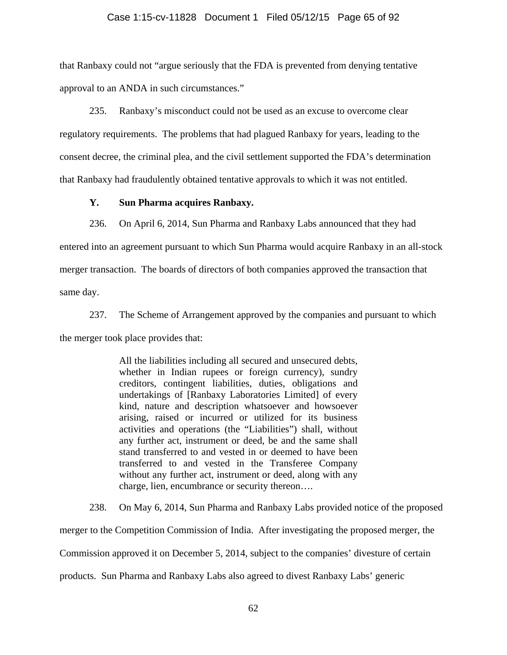#### Case 1:15-cv-11828 Document 1 Filed 05/12/15 Page 65 of 92

that Ranbaxy could not "argue seriously that the FDA is prevented from denying tentative approval to an ANDA in such circumstances."

235. Ranbaxy's misconduct could not be used as an excuse to overcome clear regulatory requirements. The problems that had plagued Ranbaxy for years, leading to the consent decree, the criminal plea, and the civil settlement supported the FDA's determination that Ranbaxy had fraudulently obtained tentative approvals to which it was not entitled.

## **Y. Sun Pharma acquires Ranbaxy.**

236. On April 6, 2014, Sun Pharma and Ranbaxy Labs announced that they had

entered into an agreement pursuant to which Sun Pharma would acquire Ranbaxy in an all-stock merger transaction. The boards of directors of both companies approved the transaction that

same day.

237. The Scheme of Arrangement approved by the companies and pursuant to which

the merger took place provides that:

All the liabilities including all secured and unsecured debts, whether in Indian rupees or foreign currency), sundry creditors, contingent liabilities, duties, obligations and undertakings of [Ranbaxy Laboratories Limited] of every kind, nature and description whatsoever and howsoever arising, raised or incurred or utilized for its business activities and operations (the "Liabilities") shall, without any further act, instrument or deed, be and the same shall stand transferred to and vested in or deemed to have been transferred to and vested in the Transferee Company without any further act, instrument or deed, along with any charge, lien, encumbrance or security thereon….

238. On May 6, 2014, Sun Pharma and Ranbaxy Labs provided notice of the proposed

merger to the Competition Commission of India. After investigating the proposed merger, the

Commission approved it on December 5, 2014, subject to the companies' divesture of certain

products. Sun Pharma and Ranbaxy Labs also agreed to divest Ranbaxy Labs' generic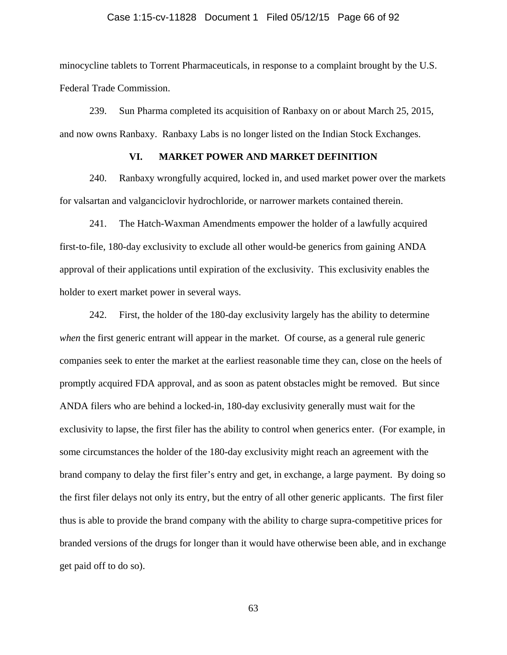#### Case 1:15-cv-11828 Document 1 Filed 05/12/15 Page 66 of 92

minocycline tablets to Torrent Pharmaceuticals, in response to a complaint brought by the U.S. Federal Trade Commission.

239. Sun Pharma completed its acquisition of Ranbaxy on or about March 25, 2015, and now owns Ranbaxy. Ranbaxy Labs is no longer listed on the Indian Stock Exchanges.

## **VI. MARKET POWER AND MARKET DEFINITION**

240. Ranbaxy wrongfully acquired, locked in, and used market power over the markets for valsartan and valganciclovir hydrochloride, or narrower markets contained therein.

241. The Hatch-Waxman Amendments empower the holder of a lawfully acquired first-to-file, 180-day exclusivity to exclude all other would-be generics from gaining ANDA approval of their applications until expiration of the exclusivity. This exclusivity enables the holder to exert market power in several ways.

242. First, the holder of the 180-day exclusivity largely has the ability to determine *when* the first generic entrant will appear in the market. Of course, as a general rule generic companies seek to enter the market at the earliest reasonable time they can, close on the heels of promptly acquired FDA approval, and as soon as patent obstacles might be removed. But since ANDA filers who are behind a locked-in, 180-day exclusivity generally must wait for the exclusivity to lapse, the first filer has the ability to control when generics enter. (For example, in some circumstances the holder of the 180-day exclusivity might reach an agreement with the brand company to delay the first filer's entry and get, in exchange, a large payment. By doing so the first filer delays not only its entry, but the entry of all other generic applicants. The first filer thus is able to provide the brand company with the ability to charge supra-competitive prices for branded versions of the drugs for longer than it would have otherwise been able, and in exchange get paid off to do so).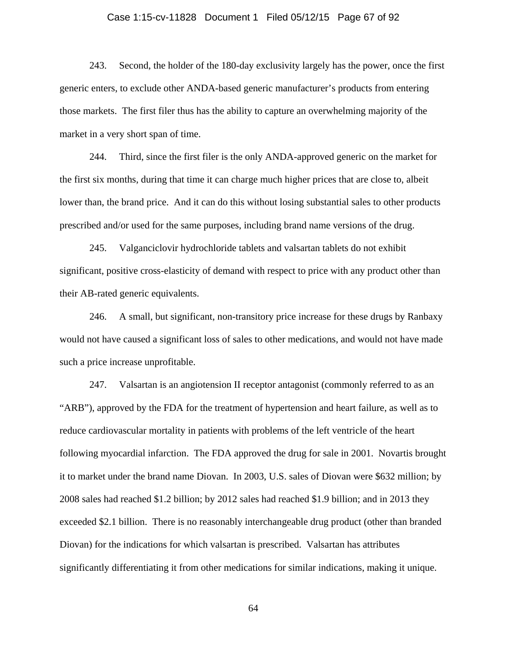#### Case 1:15-cv-11828 Document 1 Filed 05/12/15 Page 67 of 92

243. Second, the holder of the 180-day exclusivity largely has the power, once the first generic enters, to exclude other ANDA-based generic manufacturer's products from entering those markets. The first filer thus has the ability to capture an overwhelming majority of the market in a very short span of time.

244. Third, since the first filer is the only ANDA-approved generic on the market for the first six months, during that time it can charge much higher prices that are close to, albeit lower than, the brand price. And it can do this without losing substantial sales to other products prescribed and/or used for the same purposes, including brand name versions of the drug.

245. Valganciclovir hydrochloride tablets and valsartan tablets do not exhibit significant, positive cross-elasticity of demand with respect to price with any product other than their AB-rated generic equivalents.

246. A small, but significant, non-transitory price increase for these drugs by Ranbaxy would not have caused a significant loss of sales to other medications, and would not have made such a price increase unprofitable.

247. Valsartan is an angiotension II receptor antagonist (commonly referred to as an "ARB"), approved by the FDA for the treatment of hypertension and heart failure, as well as to reduce cardiovascular mortality in patients with problems of the left ventricle of the heart following myocardial infarction. The FDA approved the drug for sale in 2001. Novartis brought it to market under the brand name Diovan. In 2003, U.S. sales of Diovan were \$632 million; by 2008 sales had reached \$1.2 billion; by 2012 sales had reached \$1.9 billion; and in 2013 they exceeded \$2.1 billion. There is no reasonably interchangeable drug product (other than branded Diovan) for the indications for which valsartan is prescribed. Valsartan has attributes significantly differentiating it from other medications for similar indications, making it unique.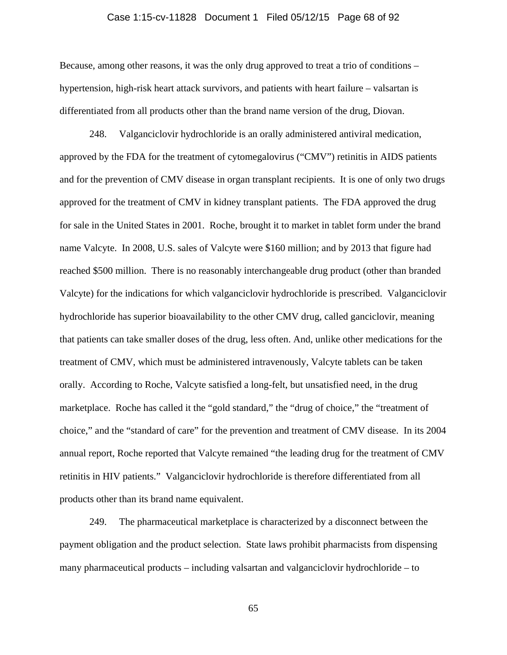#### Case 1:15-cv-11828 Document 1 Filed 05/12/15 Page 68 of 92

Because, among other reasons, it was the only drug approved to treat a trio of conditions – hypertension, high-risk heart attack survivors, and patients with heart failure – valsartan is differentiated from all products other than the brand name version of the drug, Diovan.

248. Valganciclovir hydrochloride is an orally administered antiviral medication, approved by the FDA for the treatment of cytomegalovirus ("CMV") retinitis in AIDS patients and for the prevention of CMV disease in organ transplant recipients. It is one of only two drugs approved for the treatment of CMV in kidney transplant patients. The FDA approved the drug for sale in the United States in 2001. Roche, brought it to market in tablet form under the brand name Valcyte. In 2008, U.S. sales of Valcyte were \$160 million; and by 2013 that figure had reached \$500 million. There is no reasonably interchangeable drug product (other than branded Valcyte) for the indications for which valganciclovir hydrochloride is prescribed. Valganciclovir hydrochloride has superior bioavailability to the other CMV drug, called ganciclovir, meaning that patients can take smaller doses of the drug, less often. And, unlike other medications for the treatment of CMV, which must be administered intravenously, Valcyte tablets can be taken orally. According to Roche, Valcyte satisfied a long-felt, but unsatisfied need, in the drug marketplace. Roche has called it the "gold standard," the "drug of choice," the "treatment of choice," and the "standard of care" for the prevention and treatment of CMV disease. In its 2004 annual report, Roche reported that Valcyte remained "the leading drug for the treatment of CMV retinitis in HIV patients." Valganciclovir hydrochloride is therefore differentiated from all products other than its brand name equivalent.

249. The pharmaceutical marketplace is characterized by a disconnect between the payment obligation and the product selection. State laws prohibit pharmacists from dispensing many pharmaceutical products – including valsartan and valganciclovir hydrochloride – to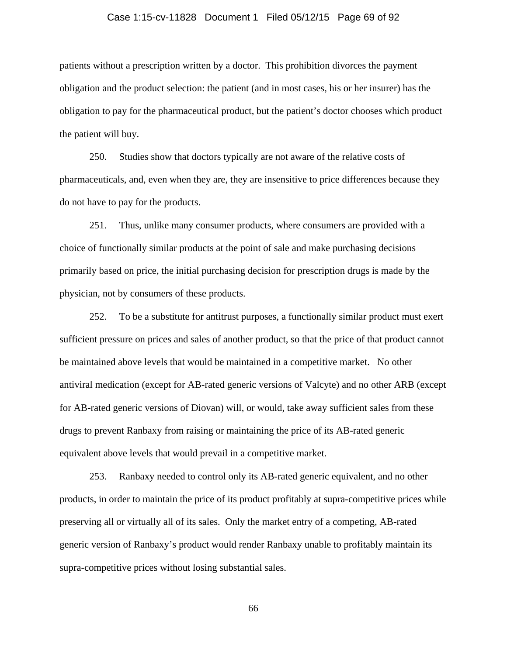#### Case 1:15-cv-11828 Document 1 Filed 05/12/15 Page 69 of 92

patients without a prescription written by a doctor. This prohibition divorces the payment obligation and the product selection: the patient (and in most cases, his or her insurer) has the obligation to pay for the pharmaceutical product, but the patient's doctor chooses which product the patient will buy.

250. Studies show that doctors typically are not aware of the relative costs of pharmaceuticals, and, even when they are, they are insensitive to price differences because they do not have to pay for the products.

251. Thus, unlike many consumer products, where consumers are provided with a choice of functionally similar products at the point of sale and make purchasing decisions primarily based on price, the initial purchasing decision for prescription drugs is made by the physician, not by consumers of these products.

252. To be a substitute for antitrust purposes, a functionally similar product must exert sufficient pressure on prices and sales of another product, so that the price of that product cannot be maintained above levels that would be maintained in a competitive market. No other antiviral medication (except for AB-rated generic versions of Valcyte) and no other ARB (except for AB-rated generic versions of Diovan) will, or would, take away sufficient sales from these drugs to prevent Ranbaxy from raising or maintaining the price of its AB-rated generic equivalent above levels that would prevail in a competitive market.

253. Ranbaxy needed to control only its AB-rated generic equivalent, and no other products, in order to maintain the price of its product profitably at supra-competitive prices while preserving all or virtually all of its sales. Only the market entry of a competing, AB-rated generic version of Ranbaxy's product would render Ranbaxy unable to profitably maintain its supra-competitive prices without losing substantial sales.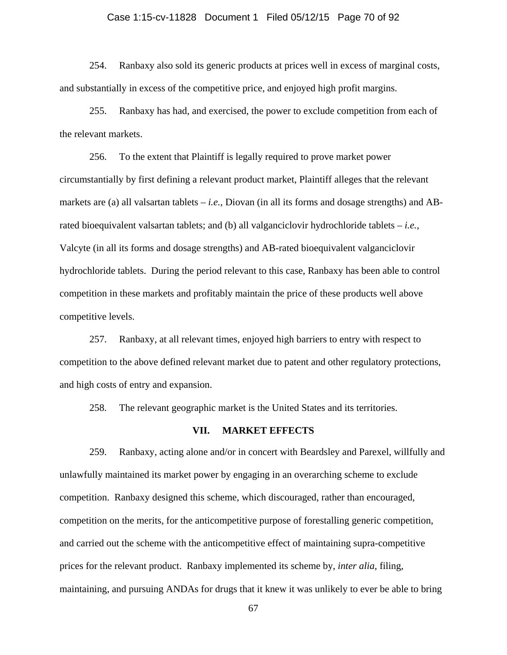## Case 1:15-cv-11828 Document 1 Filed 05/12/15 Page 70 of 92

254. Ranbaxy also sold its generic products at prices well in excess of marginal costs, and substantially in excess of the competitive price, and enjoyed high profit margins.

255. Ranbaxy has had, and exercised, the power to exclude competition from each of the relevant markets.

256. To the extent that Plaintiff is legally required to prove market power circumstantially by first defining a relevant product market, Plaintiff alleges that the relevant markets are (a) all valsartan tablets – *i.e.*, Diovan (in all its forms and dosage strengths) and ABrated bioequivalent valsartan tablets; and (b) all valganciclovir hydrochloride tablets – *i.e.*, Valcyte (in all its forms and dosage strengths) and AB-rated bioequivalent valganciclovir hydrochloride tablets. During the period relevant to this case, Ranbaxy has been able to control competition in these markets and profitably maintain the price of these products well above competitive levels.

257. Ranbaxy, at all relevant times, enjoyed high barriers to entry with respect to competition to the above defined relevant market due to patent and other regulatory protections, and high costs of entry and expansion.

258. The relevant geographic market is the United States and its territories.

#### **VII. MARKET EFFECTS**

259. Ranbaxy, acting alone and/or in concert with Beardsley and Parexel, willfully and unlawfully maintained its market power by engaging in an overarching scheme to exclude competition. Ranbaxy designed this scheme, which discouraged, rather than encouraged, competition on the merits, for the anticompetitive purpose of forestalling generic competition, and carried out the scheme with the anticompetitive effect of maintaining supra-competitive prices for the relevant product. Ranbaxy implemented its scheme by, *inter alia*, filing, maintaining, and pursuing ANDAs for drugs that it knew it was unlikely to ever be able to bring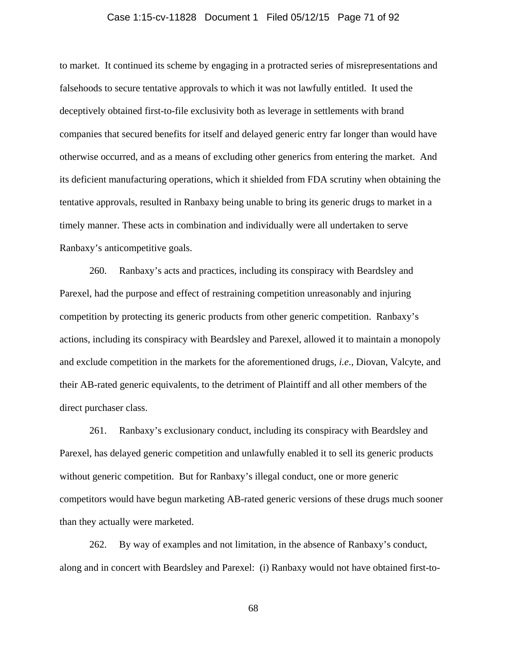#### Case 1:15-cv-11828 Document 1 Filed 05/12/15 Page 71 of 92

to market. It continued its scheme by engaging in a protracted series of misrepresentations and falsehoods to secure tentative approvals to which it was not lawfully entitled. It used the deceptively obtained first-to-file exclusivity both as leverage in settlements with brand companies that secured benefits for itself and delayed generic entry far longer than would have otherwise occurred, and as a means of excluding other generics from entering the market. And its deficient manufacturing operations, which it shielded from FDA scrutiny when obtaining the tentative approvals, resulted in Ranbaxy being unable to bring its generic drugs to market in a timely manner. These acts in combination and individually were all undertaken to serve Ranbaxy's anticompetitive goals.

260. Ranbaxy's acts and practices, including its conspiracy with Beardsley and Parexel, had the purpose and effect of restraining competition unreasonably and injuring competition by protecting its generic products from other generic competition. Ranbaxy's actions, including its conspiracy with Beardsley and Parexel, allowed it to maintain a monopoly and exclude competition in the markets for the aforementioned drugs, *i.e*., Diovan, Valcyte, and their AB-rated generic equivalents, to the detriment of Plaintiff and all other members of the direct purchaser class.

261. Ranbaxy's exclusionary conduct, including its conspiracy with Beardsley and Parexel, has delayed generic competition and unlawfully enabled it to sell its generic products without generic competition. But for Ranbaxy's illegal conduct, one or more generic competitors would have begun marketing AB-rated generic versions of these drugs much sooner than they actually were marketed.

262. By way of examples and not limitation, in the absence of Ranbaxy's conduct, along and in concert with Beardsley and Parexel: (i) Ranbaxy would not have obtained first-to-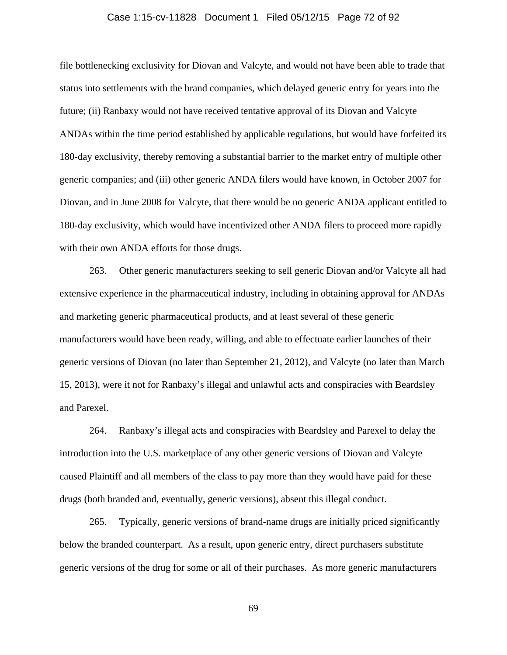#### Case 1:15-cv-11828 Document 1 Filed 05/12/15 Page 72 of 92

file bottlenecking exclusivity for Diovan and Valcyte, and would not have been able to trade that status into settlements with the brand companies, which delayed generic entry for years into the future; (ii) Ranbaxy would not have received tentative approval of its Diovan and Valcyte ANDAs within the time period established by applicable regulations, but would have forfeited its 180-day exclusivity, thereby removing a substantial barrier to the market entry of multiple other generic companies; and (iii) other generic ANDA filers would have known, in October 2007 for Diovan, and in June 2008 for Valcyte, that there would be no generic ANDA applicant entitled to 180-day exclusivity, which would have incentivized other ANDA filers to proceed more rapidly with their own ANDA efforts for those drugs.

263. Other generic manufacturers seeking to sell generic Diovan and/or Valcyte all had extensive experience in the pharmaceutical industry, including in obtaining approval for ANDAs and marketing generic pharmaceutical products, and at least several of these generic manufacturers would have been ready, willing, and able to effectuate earlier launches of their generic versions of Diovan (no later than September 21, 2012), and Valcyte (no later than March 15, 2013), were it not for Ranbaxy's illegal and unlawful acts and conspiracies with Beardsley and Parexel.

264. Ranbaxy's illegal acts and conspiracies with Beardsley and Parexel to delay the introduction into the U.S. marketplace of any other generic versions of Diovan and Valcyte caused Plaintiff and all members of the class to pay more than they would have paid for these drugs (both branded and, eventually, generic versions), absent this illegal conduct.

265. Typically, generic versions of brand-name drugs are initially priced significantly below the branded counterpart. As a result, upon generic entry, direct purchasers substitute generic versions of the drug for some or all of their purchases. As more generic manufacturers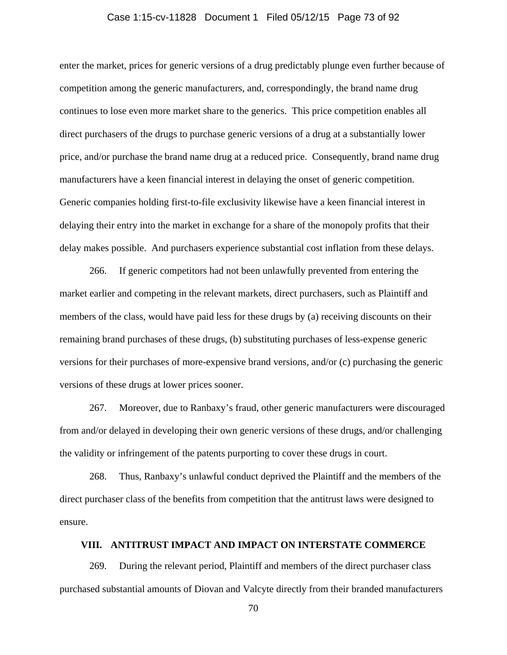### Case 1:15-cv-11828 Document 1 Filed 05/12/15 Page 73 of 92

enter the market, prices for generic versions of a drug predictably plunge even further because of competition among the generic manufacturers, and, correspondingly, the brand name drug continues to lose even more market share to the generics. This price competition enables all direct purchasers of the drugs to purchase generic versions of a drug at a substantially lower price, and/or purchase the brand name drug at a reduced price. Consequently, brand name drug manufacturers have a keen financial interest in delaying the onset of generic competition. Generic companies holding first-to-file exclusivity likewise have a keen financial interest in delaying their entry into the market in exchange for a share of the monopoly profits that their delay makes possible. And purchasers experience substantial cost inflation from these delays.

266. If generic competitors had not been unlawfully prevented from entering the market earlier and competing in the relevant markets, direct purchasers, such as Plaintiff and members of the class, would have paid less for these drugs by (a) receiving discounts on their remaining brand purchases of these drugs, (b) substituting purchases of less-expense generic versions for their purchases of more-expensive brand versions, and/or (c) purchasing the generic versions of these drugs at lower prices sooner.

267. Moreover, due to Ranbaxy's fraud, other generic manufacturers were discouraged from and/or delayed in developing their own generic versions of these drugs, and/or challenging the validity or infringement of the patents purporting to cover these drugs in court.

268. Thus, Ranbaxy's unlawful conduct deprived the Plaintiff and the members of the direct purchaser class of the benefits from competition that the antitrust laws were designed to ensure.

# **VIII. ANTITRUST IMPACT AND IMPACT ON INTERSTATE COMMERCE**

269. During the relevant period, Plaintiff and members of the direct purchaser class purchased substantial amounts of Diovan and Valcyte directly from their branded manufacturers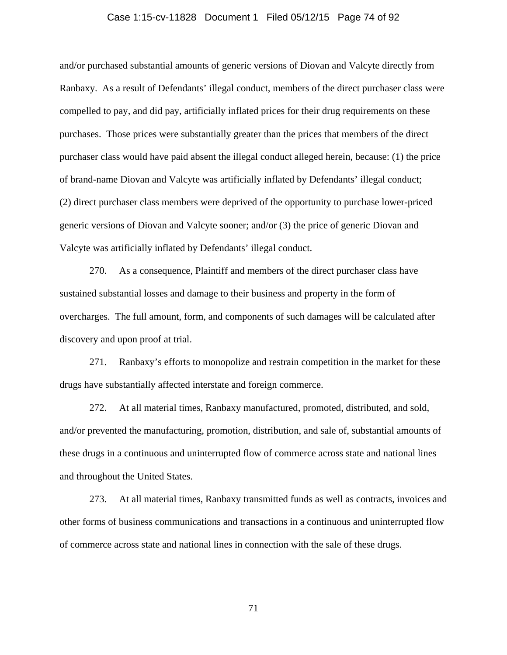### Case 1:15-cv-11828 Document 1 Filed 05/12/15 Page 74 of 92

and/or purchased substantial amounts of generic versions of Diovan and Valcyte directly from Ranbaxy. As a result of Defendants' illegal conduct, members of the direct purchaser class were compelled to pay, and did pay, artificially inflated prices for their drug requirements on these purchases. Those prices were substantially greater than the prices that members of the direct purchaser class would have paid absent the illegal conduct alleged herein, because: (1) the price of brand-name Diovan and Valcyte was artificially inflated by Defendants' illegal conduct; (2) direct purchaser class members were deprived of the opportunity to purchase lower-priced generic versions of Diovan and Valcyte sooner; and/or (3) the price of generic Diovan and Valcyte was artificially inflated by Defendants' illegal conduct.

270. As a consequence, Plaintiff and members of the direct purchaser class have sustained substantial losses and damage to their business and property in the form of overcharges. The full amount, form, and components of such damages will be calculated after discovery and upon proof at trial.

271. Ranbaxy's efforts to monopolize and restrain competition in the market for these drugs have substantially affected interstate and foreign commerce.

272. At all material times, Ranbaxy manufactured, promoted, distributed, and sold, and/or prevented the manufacturing, promotion, distribution, and sale of, substantial amounts of these drugs in a continuous and uninterrupted flow of commerce across state and national lines and throughout the United States.

273. At all material times, Ranbaxy transmitted funds as well as contracts, invoices and other forms of business communications and transactions in a continuous and uninterrupted flow of commerce across state and national lines in connection with the sale of these drugs.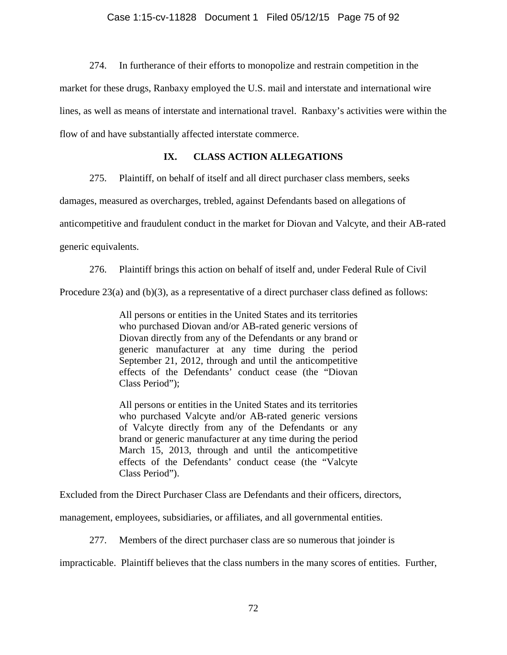274. In furtherance of their efforts to monopolize and restrain competition in the

market for these drugs, Ranbaxy employed the U.S. mail and interstate and international wire

lines, as well as means of interstate and international travel. Ranbaxy's activities were within the

flow of and have substantially affected interstate commerce.

# **IX. CLASS ACTION ALLEGATIONS**

275. Plaintiff, on behalf of itself and all direct purchaser class members, seeks

damages, measured as overcharges, trebled, against Defendants based on allegations of

anticompetitive and fraudulent conduct in the market for Diovan and Valcyte, and their AB-rated

generic equivalents.

276. Plaintiff brings this action on behalf of itself and, under Federal Rule of Civil

Procedure 23(a) and  $(b)(3)$ , as a representative of a direct purchaser class defined as follows:

All persons or entities in the United States and its territories who purchased Diovan and/or AB-rated generic versions of Diovan directly from any of the Defendants or any brand or generic manufacturer at any time during the period September 21, 2012, through and until the anticompetitive effects of the Defendants' conduct cease (the "Diovan Class Period");

All persons or entities in the United States and its territories who purchased Valcyte and/or AB-rated generic versions of Valcyte directly from any of the Defendants or any brand or generic manufacturer at any time during the period March 15, 2013, through and until the anticompetitive effects of the Defendants' conduct cease (the "Valcyte Class Period").

Excluded from the Direct Purchaser Class are Defendants and their officers, directors,

management, employees, subsidiaries, or affiliates, and all governmental entities.

277. Members of the direct purchaser class are so numerous that joinder is

impracticable. Plaintiff believes that the class numbers in the many scores of entities. Further,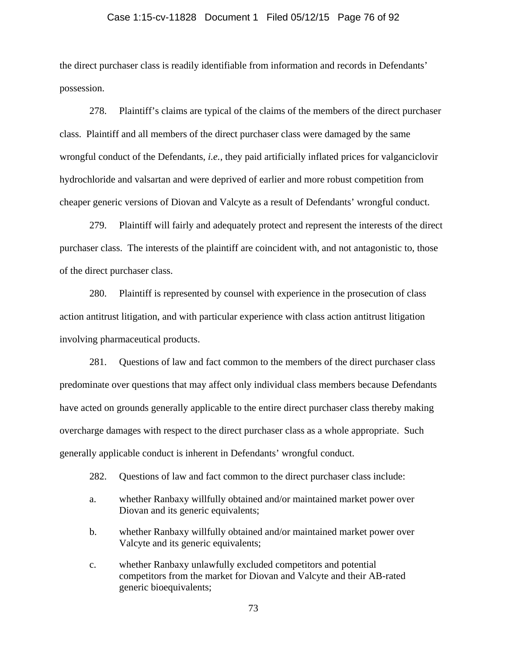### Case 1:15-cv-11828 Document 1 Filed 05/12/15 Page 76 of 92

the direct purchaser class is readily identifiable from information and records in Defendants' possession.

278. Plaintiff's claims are typical of the claims of the members of the direct purchaser class. Plaintiff and all members of the direct purchaser class were damaged by the same wrongful conduct of the Defendants, *i.e.*, they paid artificially inflated prices for valganciclovir hydrochloride and valsartan and were deprived of earlier and more robust competition from cheaper generic versions of Diovan and Valcyte as a result of Defendants' wrongful conduct.

279. Plaintiff will fairly and adequately protect and represent the interests of the direct purchaser class. The interests of the plaintiff are coincident with, and not antagonistic to, those of the direct purchaser class.

280. Plaintiff is represented by counsel with experience in the prosecution of class action antitrust litigation, and with particular experience with class action antitrust litigation involving pharmaceutical products.

281. Questions of law and fact common to the members of the direct purchaser class predominate over questions that may affect only individual class members because Defendants have acted on grounds generally applicable to the entire direct purchaser class thereby making overcharge damages with respect to the direct purchaser class as a whole appropriate. Such generally applicable conduct is inherent in Defendants' wrongful conduct.

- 282. Questions of law and fact common to the direct purchaser class include:
- a. whether Ranbaxy willfully obtained and/or maintained market power over Diovan and its generic equivalents;
- b. whether Ranbaxy willfully obtained and/or maintained market power over Valcyte and its generic equivalents;
- c. whether Ranbaxy unlawfully excluded competitors and potential competitors from the market for Diovan and Valcyte and their AB-rated generic bioequivalents;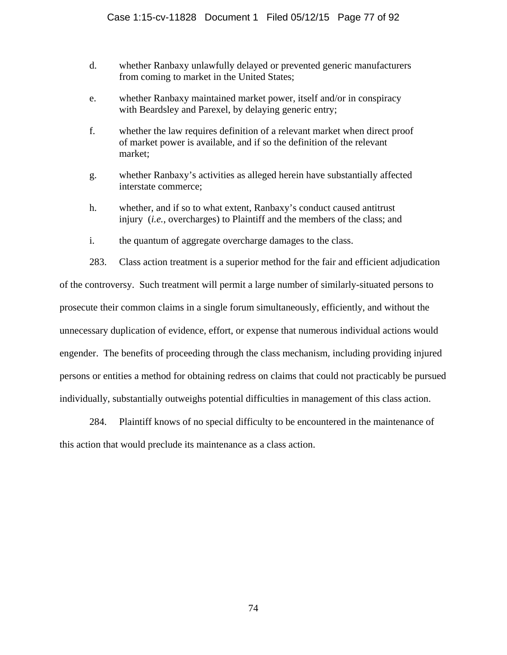- d. whether Ranbaxy unlawfully delayed or prevented generic manufacturers from coming to market in the United States;
- e. whether Ranbaxy maintained market power, itself and/or in conspiracy with Beardsley and Parexel, by delaying generic entry;
- f. whether the law requires definition of a relevant market when direct proof of market power is available, and if so the definition of the relevant market;
- g. whether Ranbaxy's activities as alleged herein have substantially affected interstate commerce;
- h. whether, and if so to what extent, Ranbaxy's conduct caused antitrust injury (*i.e.*, overcharges) to Plaintiff and the members of the class; and
- i. the quantum of aggregate overcharge damages to the class.

283. Class action treatment is a superior method for the fair and efficient adjudication of the controversy. Such treatment will permit a large number of similarly-situated persons to prosecute their common claims in a single forum simultaneously, efficiently, and without the unnecessary duplication of evidence, effort, or expense that numerous individual actions would engender. The benefits of proceeding through the class mechanism, including providing injured persons or entities a method for obtaining redress on claims that could not practicably be pursued individually, substantially outweighs potential difficulties in management of this class action.

284. Plaintiff knows of no special difficulty to be encountered in the maintenance of this action that would preclude its maintenance as a class action.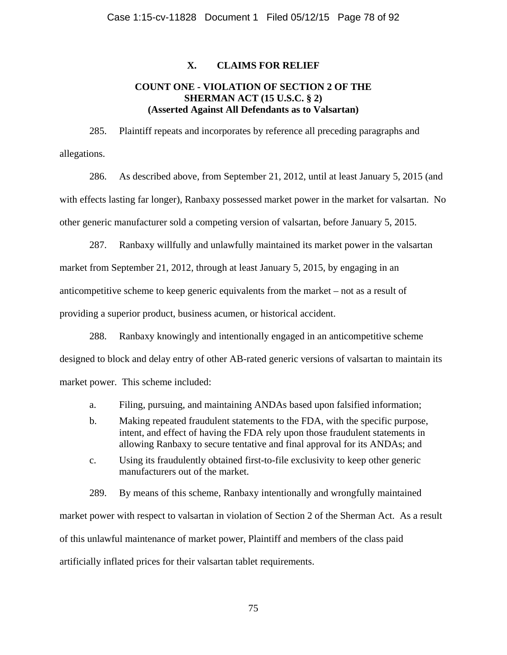# **X. CLAIMS FOR RELIEF**

# **COUNT ONE - VIOLATION OF SECTION 2 OF THE SHERMAN ACT (15 U.S.C. § 2) (Asserted Against All Defendants as to Valsartan)**

285. Plaintiff repeats and incorporates by reference all preceding paragraphs and allegations.

286. As described above, from September 21, 2012, until at least January 5, 2015 (and with effects lasting far longer), Ranbaxy possessed market power in the market for valsartan. No other generic manufacturer sold a competing version of valsartan, before January 5, 2015.

287. Ranbaxy willfully and unlawfully maintained its market power in the valsartan market from September 21, 2012, through at least January 5, 2015, by engaging in an anticompetitive scheme to keep generic equivalents from the market – not as a result of providing a superior product, business acumen, or historical accident.

288. Ranbaxy knowingly and intentionally engaged in an anticompetitive scheme designed to block and delay entry of other AB-rated generic versions of valsartan to maintain its market power. This scheme included:

- a. Filing, pursuing, and maintaining ANDAs based upon falsified information;
- b. Making repeated fraudulent statements to the FDA, with the specific purpose, intent, and effect of having the FDA rely upon those fraudulent statements in allowing Ranbaxy to secure tentative and final approval for its ANDAs; and
- c. Using its fraudulently obtained first-to-file exclusivity to keep other generic manufacturers out of the market.

289. By means of this scheme, Ranbaxy intentionally and wrongfully maintained market power with respect to valsartan in violation of Section 2 of the Sherman Act. As a result of this unlawful maintenance of market power, Plaintiff and members of the class paid artificially inflated prices for their valsartan tablet requirements.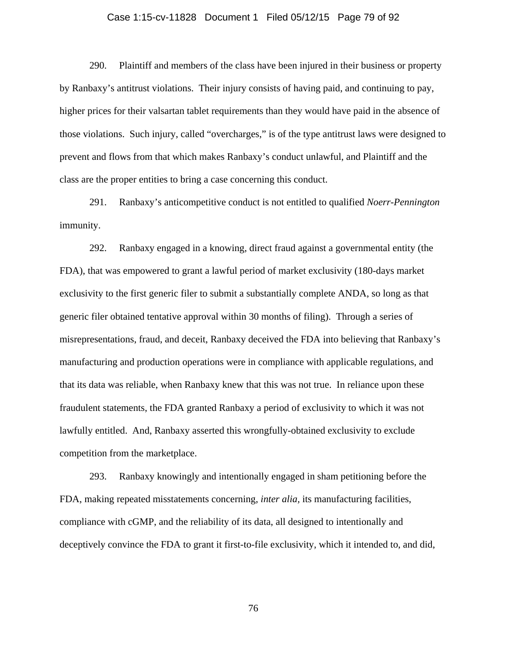#### Case 1:15-cv-11828 Document 1 Filed 05/12/15 Page 79 of 92

290. Plaintiff and members of the class have been injured in their business or property by Ranbaxy's antitrust violations. Their injury consists of having paid, and continuing to pay, higher prices for their valsartan tablet requirements than they would have paid in the absence of those violations. Such injury, called "overcharges," is of the type antitrust laws were designed to prevent and flows from that which makes Ranbaxy's conduct unlawful, and Plaintiff and the class are the proper entities to bring a case concerning this conduct.

291. Ranbaxy's anticompetitive conduct is not entitled to qualified *Noerr-Pennington* immunity.

292. Ranbaxy engaged in a knowing, direct fraud against a governmental entity (the FDA), that was empowered to grant a lawful period of market exclusivity (180-days market exclusivity to the first generic filer to submit a substantially complete ANDA, so long as that generic filer obtained tentative approval within 30 months of filing). Through a series of misrepresentations, fraud, and deceit, Ranbaxy deceived the FDA into believing that Ranbaxy's manufacturing and production operations were in compliance with applicable regulations, and that its data was reliable, when Ranbaxy knew that this was not true. In reliance upon these fraudulent statements, the FDA granted Ranbaxy a period of exclusivity to which it was not lawfully entitled. And, Ranbaxy asserted this wrongfully-obtained exclusivity to exclude competition from the marketplace.

293. Ranbaxy knowingly and intentionally engaged in sham petitioning before the FDA, making repeated misstatements concerning, *inter alia,* its manufacturing facilities, compliance with cGMP, and the reliability of its data, all designed to intentionally and deceptively convince the FDA to grant it first-to-file exclusivity, which it intended to, and did,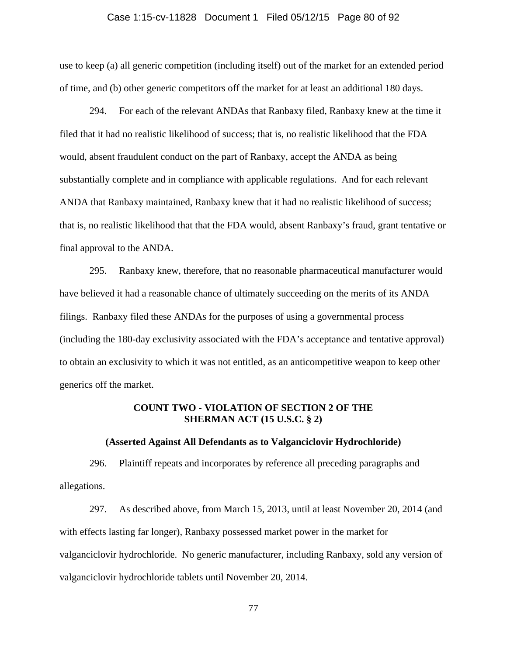### Case 1:15-cv-11828 Document 1 Filed 05/12/15 Page 80 of 92

use to keep (a) all generic competition (including itself) out of the market for an extended period of time, and (b) other generic competitors off the market for at least an additional 180 days.

294. For each of the relevant ANDAs that Ranbaxy filed, Ranbaxy knew at the time it filed that it had no realistic likelihood of success; that is, no realistic likelihood that the FDA would, absent fraudulent conduct on the part of Ranbaxy, accept the ANDA as being substantially complete and in compliance with applicable regulations. And for each relevant ANDA that Ranbaxy maintained, Ranbaxy knew that it had no realistic likelihood of success; that is, no realistic likelihood that that the FDA would, absent Ranbaxy's fraud, grant tentative or final approval to the ANDA.

295. Ranbaxy knew, therefore, that no reasonable pharmaceutical manufacturer would have believed it had a reasonable chance of ultimately succeeding on the merits of its ANDA filings. Ranbaxy filed these ANDAs for the purposes of using a governmental process (including the 180-day exclusivity associated with the FDA's acceptance and tentative approval) to obtain an exclusivity to which it was not entitled, as an anticompetitive weapon to keep other generics off the market.

# **COUNT TWO - VIOLATION OF SECTION 2 OF THE SHERMAN ACT (15 U.S.C. § 2)**

### **(Asserted Against All Defendants as to Valganciclovir Hydrochloride)**

296. Plaintiff repeats and incorporates by reference all preceding paragraphs and allegations.

297. As described above, from March 15, 2013, until at least November 20, 2014 (and with effects lasting far longer), Ranbaxy possessed market power in the market for valganciclovir hydrochloride. No generic manufacturer, including Ranbaxy, sold any version of valganciclovir hydrochloride tablets until November 20, 2014.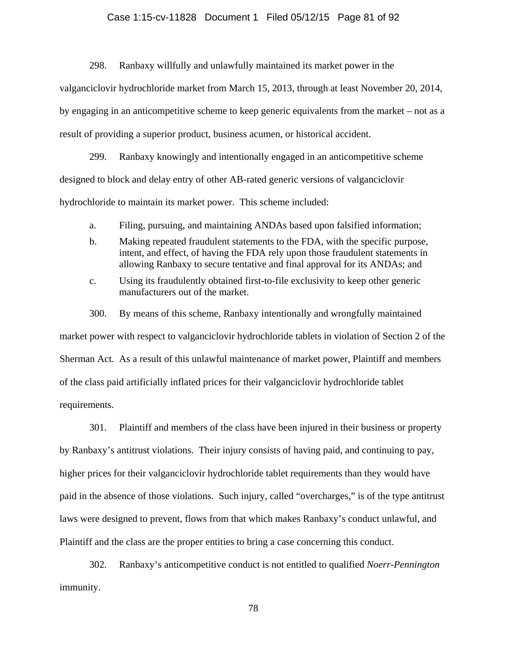# Case 1:15-cv-11828 Document 1 Filed 05/12/15 Page 81 of 92

298. Ranbaxy willfully and unlawfully maintained its market power in the valganciclovir hydrochloride market from March 15, 2013, through at least November 20, 2014, by engaging in an anticompetitive scheme to keep generic equivalents from the market – not as a result of providing a superior product, business acumen, or historical accident.

299. Ranbaxy knowingly and intentionally engaged in an anticompetitive scheme designed to block and delay entry of other AB-rated generic versions of valganciclovir hydrochloride to maintain its market power. This scheme included:

- a. Filing, pursuing, and maintaining ANDAs based upon falsified information;
- b. Making repeated fraudulent statements to the FDA, with the specific purpose, intent, and effect, of having the FDA rely upon those fraudulent statements in allowing Ranbaxy to secure tentative and final approval for its ANDAs; and
- c. Using its fraudulently obtained first-to-file exclusivity to keep other generic manufacturers out of the market.
- 300. By means of this scheme, Ranbaxy intentionally and wrongfully maintained

market power with respect to valganciclovir hydrochloride tablets in violation of Section 2 of the Sherman Act. As a result of this unlawful maintenance of market power, Plaintiff and members of the class paid artificially inflated prices for their valganciclovir hydrochloride tablet requirements.

301. Plaintiff and members of the class have been injured in their business or property by Ranbaxy's antitrust violations. Their injury consists of having paid, and continuing to pay, higher prices for their valganciclovir hydrochloride tablet requirements than they would have paid in the absence of those violations. Such injury, called "overcharges," is of the type antitrust laws were designed to prevent, flows from that which makes Ranbaxy's conduct unlawful, and Plaintiff and the class are the proper entities to bring a case concerning this conduct.

302. Ranbaxy's anticompetitive conduct is not entitled to qualified *Noerr-Pennington* immunity.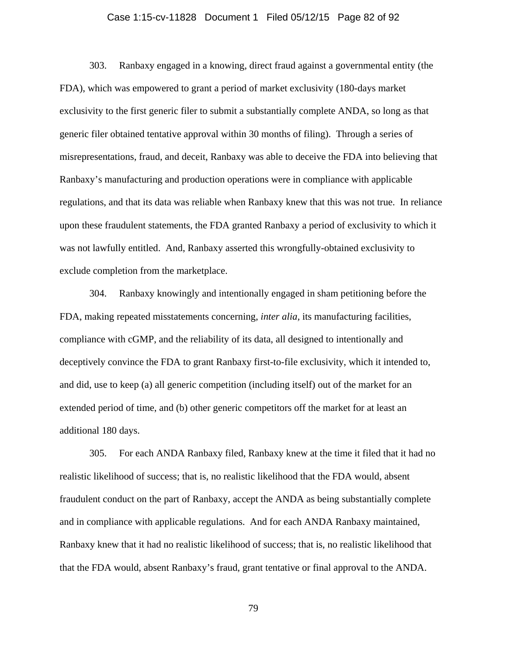### Case 1:15-cv-11828 Document 1 Filed 05/12/15 Page 82 of 92

303. Ranbaxy engaged in a knowing, direct fraud against a governmental entity (the FDA), which was empowered to grant a period of market exclusivity (180-days market exclusivity to the first generic filer to submit a substantially complete ANDA, so long as that generic filer obtained tentative approval within 30 months of filing). Through a series of misrepresentations, fraud, and deceit, Ranbaxy was able to deceive the FDA into believing that Ranbaxy's manufacturing and production operations were in compliance with applicable regulations, and that its data was reliable when Ranbaxy knew that this was not true. In reliance upon these fraudulent statements, the FDA granted Ranbaxy a period of exclusivity to which it was not lawfully entitled. And, Ranbaxy asserted this wrongfully-obtained exclusivity to exclude completion from the marketplace.

304. Ranbaxy knowingly and intentionally engaged in sham petitioning before the FDA, making repeated misstatements concerning, *inter alia,* its manufacturing facilities, compliance with cGMP, and the reliability of its data, all designed to intentionally and deceptively convince the FDA to grant Ranbaxy first-to-file exclusivity, which it intended to, and did, use to keep (a) all generic competition (including itself) out of the market for an extended period of time, and (b) other generic competitors off the market for at least an additional 180 days.

305. For each ANDA Ranbaxy filed, Ranbaxy knew at the time it filed that it had no realistic likelihood of success; that is, no realistic likelihood that the FDA would, absent fraudulent conduct on the part of Ranbaxy, accept the ANDA as being substantially complete and in compliance with applicable regulations. And for each ANDA Ranbaxy maintained, Ranbaxy knew that it had no realistic likelihood of success; that is, no realistic likelihood that that the FDA would, absent Ranbaxy's fraud, grant tentative or final approval to the ANDA.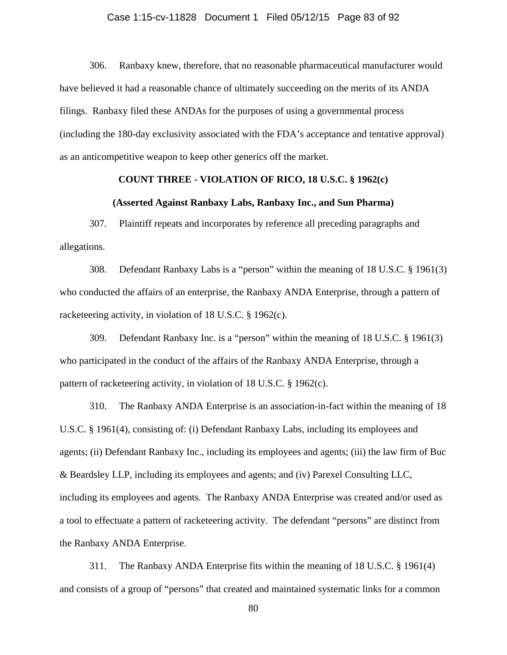### Case 1:15-cv-11828 Document 1 Filed 05/12/15 Page 83 of 92

306. Ranbaxy knew, therefore, that no reasonable pharmaceutical manufacturer would have believed it had a reasonable chance of ultimately succeeding on the merits of its ANDA filings. Ranbaxy filed these ANDAs for the purposes of using a governmental process (including the 180-day exclusivity associated with the FDA's acceptance and tentative approval) as an anticompetitive weapon to keep other generics off the market.

## **COUNT THREE - VIOLATION OF RICO, 18 U.S.C. § 1962(c)**

### **(Asserted Against Ranbaxy Labs, Ranbaxy Inc., and Sun Pharma)**

307. Plaintiff repeats and incorporates by reference all preceding paragraphs and allegations.

308. Defendant Ranbaxy Labs is a "person" within the meaning of 18 U.S.C. § 1961(3) who conducted the affairs of an enterprise, the Ranbaxy ANDA Enterprise, through a pattern of racketeering activity, in violation of 18 U.S.C. § 1962(c).

309. Defendant Ranbaxy Inc. is a "person" within the meaning of 18 U.S.C. § 1961(3) who participated in the conduct of the affairs of the Ranbaxy ANDA Enterprise, through a pattern of racketeering activity, in violation of 18 U.S.C. § 1962(c).

310. The Ranbaxy ANDA Enterprise is an association-in-fact within the meaning of 18 U.S.C. § 1961(4), consisting of: (i) Defendant Ranbaxy Labs, including its employees and agents; (ii) Defendant Ranbaxy Inc., including its employees and agents; (iii) the law firm of Buc & Beardsley LLP, including its employees and agents; and (iv) Parexel Consulting LLC, including its employees and agents. The Ranbaxy ANDA Enterprise was created and/or used as a tool to effectuate a pattern of racketeering activity. The defendant "persons" are distinct from the Ranbaxy ANDA Enterprise.

311. The Ranbaxy ANDA Enterprise fits within the meaning of 18 U.S.C. § 1961(4) and consists of a group of "persons" that created and maintained systematic links for a common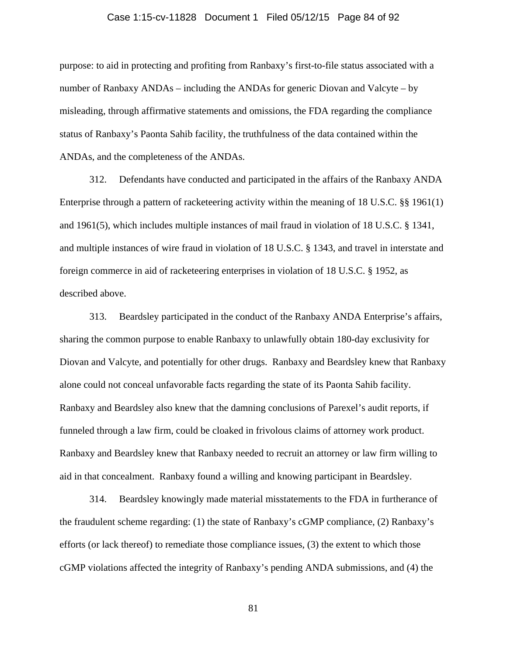# Case 1:15-cv-11828 Document 1 Filed 05/12/15 Page 84 of 92

purpose: to aid in protecting and profiting from Ranbaxy's first-to-file status associated with a number of Ranbaxy ANDAs – including the ANDAs for generic Diovan and Valcyte – by misleading, through affirmative statements and omissions, the FDA regarding the compliance status of Ranbaxy's Paonta Sahib facility, the truthfulness of the data contained within the ANDAs, and the completeness of the ANDAs.

312. Defendants have conducted and participated in the affairs of the Ranbaxy ANDA Enterprise through a pattern of racketeering activity within the meaning of 18 U.S.C. §§ 1961(1) and 1961(5), which includes multiple instances of mail fraud in violation of 18 U.S.C. § 1341, and multiple instances of wire fraud in violation of 18 U.S.C. § 1343, and travel in interstate and foreign commerce in aid of racketeering enterprises in violation of 18 U.S.C. § 1952, as described above.

313. Beardsley participated in the conduct of the Ranbaxy ANDA Enterprise's affairs, sharing the common purpose to enable Ranbaxy to unlawfully obtain 180-day exclusivity for Diovan and Valcyte, and potentially for other drugs. Ranbaxy and Beardsley knew that Ranbaxy alone could not conceal unfavorable facts regarding the state of its Paonta Sahib facility. Ranbaxy and Beardsley also knew that the damning conclusions of Parexel's audit reports, if funneled through a law firm, could be cloaked in frivolous claims of attorney work product. Ranbaxy and Beardsley knew that Ranbaxy needed to recruit an attorney or law firm willing to aid in that concealment. Ranbaxy found a willing and knowing participant in Beardsley.

314. Beardsley knowingly made material misstatements to the FDA in furtherance of the fraudulent scheme regarding: (1) the state of Ranbaxy's cGMP compliance, (2) Ranbaxy's efforts (or lack thereof) to remediate those compliance issues, (3) the extent to which those cGMP violations affected the integrity of Ranbaxy's pending ANDA submissions, and (4) the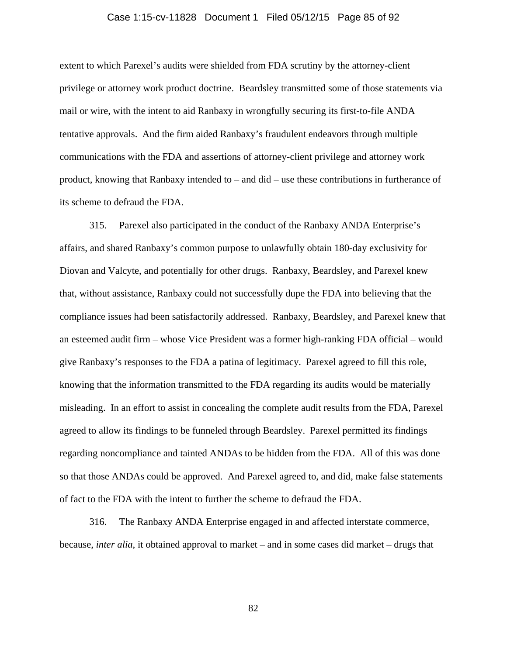### Case 1:15-cv-11828 Document 1 Filed 05/12/15 Page 85 of 92

extent to which Parexel's audits were shielded from FDA scrutiny by the attorney-client privilege or attorney work product doctrine. Beardsley transmitted some of those statements via mail or wire, with the intent to aid Ranbaxy in wrongfully securing its first-to-file ANDA tentative approvals. And the firm aided Ranbaxy's fraudulent endeavors through multiple communications with the FDA and assertions of attorney-client privilege and attorney work product, knowing that Ranbaxy intended to – and did – use these contributions in furtherance of its scheme to defraud the FDA.

315. Parexel also participated in the conduct of the Ranbaxy ANDA Enterprise's affairs, and shared Ranbaxy's common purpose to unlawfully obtain 180-day exclusivity for Diovan and Valcyte, and potentially for other drugs. Ranbaxy, Beardsley, and Parexel knew that, without assistance, Ranbaxy could not successfully dupe the FDA into believing that the compliance issues had been satisfactorily addressed. Ranbaxy, Beardsley, and Parexel knew that an esteemed audit firm – whose Vice President was a former high-ranking FDA official – would give Ranbaxy's responses to the FDA a patina of legitimacy. Parexel agreed to fill this role, knowing that the information transmitted to the FDA regarding its audits would be materially misleading. In an effort to assist in concealing the complete audit results from the FDA, Parexel agreed to allow its findings to be funneled through Beardsley. Parexel permitted its findings regarding noncompliance and tainted ANDAs to be hidden from the FDA. All of this was done so that those ANDAs could be approved. And Parexel agreed to, and did, make false statements of fact to the FDA with the intent to further the scheme to defraud the FDA.

316. The Ranbaxy ANDA Enterprise engaged in and affected interstate commerce, because, *inter alia*, it obtained approval to market – and in some cases did market – drugs that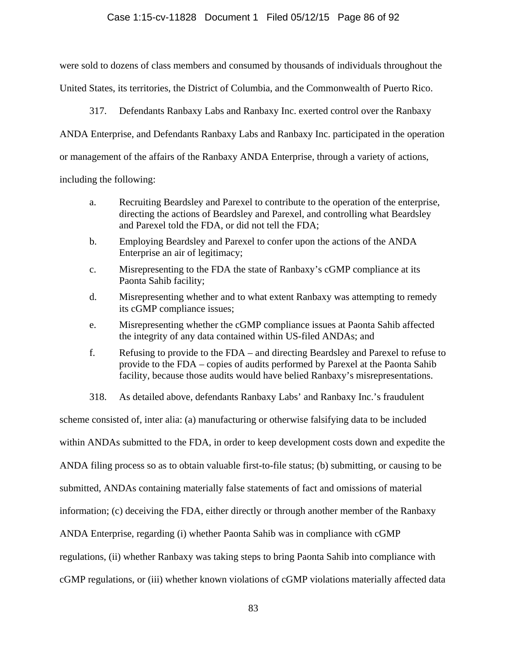# Case 1:15-cv-11828 Document 1 Filed 05/12/15 Page 86 of 92

were sold to dozens of class members and consumed by thousands of individuals throughout the United States, its territories, the District of Columbia, and the Commonwealth of Puerto Rico.

317. Defendants Ranbaxy Labs and Ranbaxy Inc. exerted control over the Ranbaxy

ANDA Enterprise, and Defendants Ranbaxy Labs and Ranbaxy Inc. participated in the operation

or management of the affairs of the Ranbaxy ANDA Enterprise, through a variety of actions,

including the following:

- a. Recruiting Beardsley and Parexel to contribute to the operation of the enterprise, directing the actions of Beardsley and Parexel, and controlling what Beardsley and Parexel told the FDA, or did not tell the FDA;
- b. Employing Beardsley and Parexel to confer upon the actions of the ANDA Enterprise an air of legitimacy;
- c. Misrepresenting to the FDA the state of Ranbaxy's cGMP compliance at its Paonta Sahib facility;
- d. Misrepresenting whether and to what extent Ranbaxy was attempting to remedy its cGMP compliance issues;
- e. Misrepresenting whether the cGMP compliance issues at Paonta Sahib affected the integrity of any data contained within US-filed ANDAs; and
- f. Refusing to provide to the FDA and directing Beardsley and Parexel to refuse to provide to the FDA – copies of audits performed by Parexel at the Paonta Sahib facility, because those audits would have belied Ranbaxy's misrepresentations.
- 318. As detailed above, defendants Ranbaxy Labs' and Ranbaxy Inc.'s fraudulent

scheme consisted of, inter alia: (a) manufacturing or otherwise falsifying data to be included within ANDAs submitted to the FDA, in order to keep development costs down and expedite the ANDA filing process so as to obtain valuable first-to-file status; (b) submitting, or causing to be submitted, ANDAs containing materially false statements of fact and omissions of material information; (c) deceiving the FDA, either directly or through another member of the Ranbaxy ANDA Enterprise, regarding (i) whether Paonta Sahib was in compliance with cGMP regulations, (ii) whether Ranbaxy was taking steps to bring Paonta Sahib into compliance with cGMP regulations, or (iii) whether known violations of cGMP violations materially affected data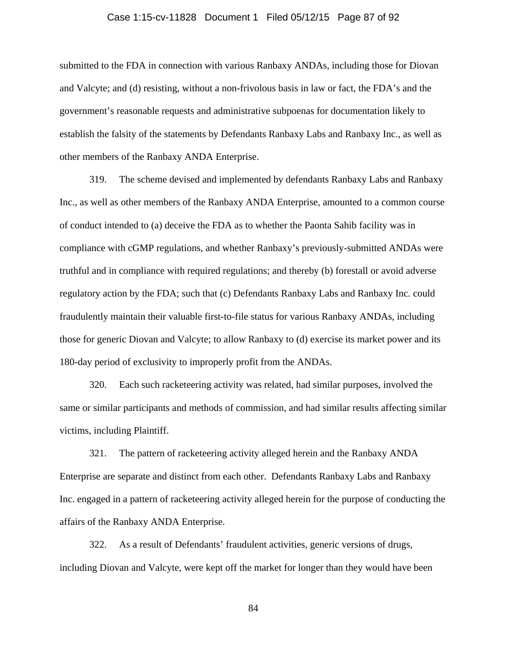### Case 1:15-cv-11828 Document 1 Filed 05/12/15 Page 87 of 92

submitted to the FDA in connection with various Ranbaxy ANDAs, including those for Diovan and Valcyte; and (d) resisting, without a non-frivolous basis in law or fact, the FDA's and the government's reasonable requests and administrative subpoenas for documentation likely to establish the falsity of the statements by Defendants Ranbaxy Labs and Ranbaxy Inc., as well as other members of the Ranbaxy ANDA Enterprise.

319. The scheme devised and implemented by defendants Ranbaxy Labs and Ranbaxy Inc., as well as other members of the Ranbaxy ANDA Enterprise, amounted to a common course of conduct intended to (a) deceive the FDA as to whether the Paonta Sahib facility was in compliance with cGMP regulations, and whether Ranbaxy's previously-submitted ANDAs were truthful and in compliance with required regulations; and thereby (b) forestall or avoid adverse regulatory action by the FDA; such that (c) Defendants Ranbaxy Labs and Ranbaxy Inc. could fraudulently maintain their valuable first-to-file status for various Ranbaxy ANDAs, including those for generic Diovan and Valcyte; to allow Ranbaxy to (d) exercise its market power and its 180-day period of exclusivity to improperly profit from the ANDAs.

320. Each such racketeering activity was related, had similar purposes, involved the same or similar participants and methods of commission, and had similar results affecting similar victims, including Plaintiff.

321. The pattern of racketeering activity alleged herein and the Ranbaxy ANDA Enterprise are separate and distinct from each other. Defendants Ranbaxy Labs and Ranbaxy Inc. engaged in a pattern of racketeering activity alleged herein for the purpose of conducting the affairs of the Ranbaxy ANDA Enterprise.

322. As a result of Defendants' fraudulent activities, generic versions of drugs, including Diovan and Valcyte, were kept off the market for longer than they would have been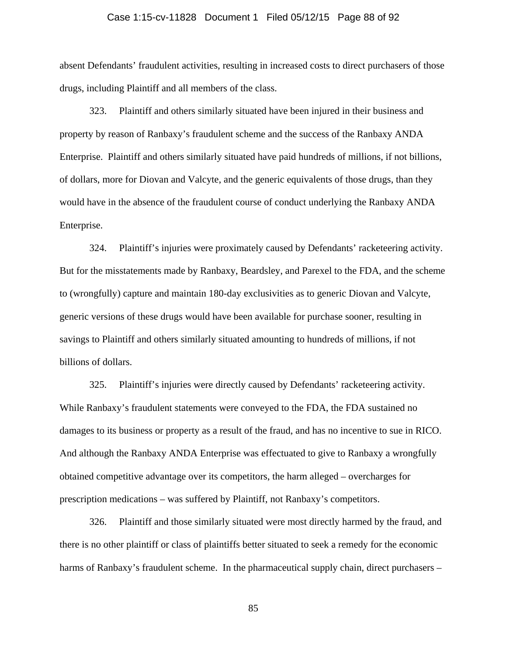# Case 1:15-cv-11828 Document 1 Filed 05/12/15 Page 88 of 92

absent Defendants' fraudulent activities, resulting in increased costs to direct purchasers of those drugs, including Plaintiff and all members of the class.

323. Plaintiff and others similarly situated have been injured in their business and property by reason of Ranbaxy's fraudulent scheme and the success of the Ranbaxy ANDA Enterprise. Plaintiff and others similarly situated have paid hundreds of millions, if not billions, of dollars, more for Diovan and Valcyte, and the generic equivalents of those drugs, than they would have in the absence of the fraudulent course of conduct underlying the Ranbaxy ANDA Enterprise.

324. Plaintiff's injuries were proximately caused by Defendants' racketeering activity. But for the misstatements made by Ranbaxy, Beardsley, and Parexel to the FDA, and the scheme to (wrongfully) capture and maintain 180-day exclusivities as to generic Diovan and Valcyte, generic versions of these drugs would have been available for purchase sooner, resulting in savings to Plaintiff and others similarly situated amounting to hundreds of millions, if not billions of dollars.

325. Plaintiff's injuries were directly caused by Defendants' racketeering activity. While Ranbaxy's fraudulent statements were conveyed to the FDA, the FDA sustained no damages to its business or property as a result of the fraud, and has no incentive to sue in RICO. And although the Ranbaxy ANDA Enterprise was effectuated to give to Ranbaxy a wrongfully obtained competitive advantage over its competitors, the harm alleged – overcharges for prescription medications – was suffered by Plaintiff, not Ranbaxy's competitors.

326. Plaintiff and those similarly situated were most directly harmed by the fraud, and there is no other plaintiff or class of plaintiffs better situated to seek a remedy for the economic harms of Ranbaxy's fraudulent scheme. In the pharmaceutical supply chain, direct purchasers –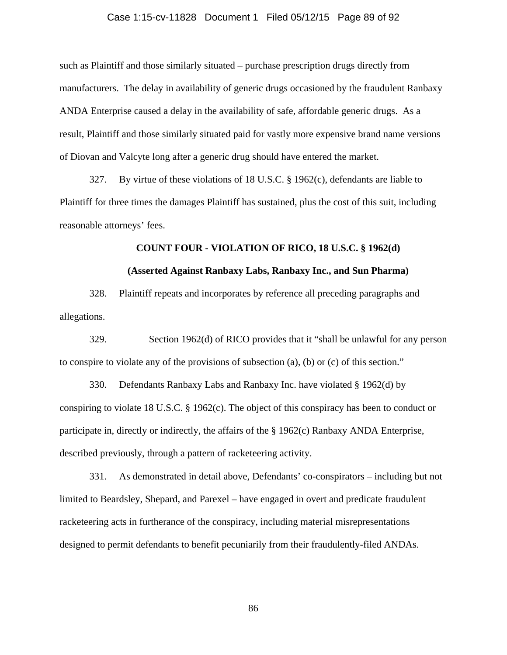# Case 1:15-cv-11828 Document 1 Filed 05/12/15 Page 89 of 92

such as Plaintiff and those similarly situated – purchase prescription drugs directly from manufacturers. The delay in availability of generic drugs occasioned by the fraudulent Ranbaxy ANDA Enterprise caused a delay in the availability of safe, affordable generic drugs. As a result, Plaintiff and those similarly situated paid for vastly more expensive brand name versions of Diovan and Valcyte long after a generic drug should have entered the market.

327. By virtue of these violations of 18 U.S.C. § 1962(c), defendants are liable to Plaintiff for three times the damages Plaintiff has sustained, plus the cost of this suit, including reasonable attorneys' fees.

#### **COUNT FOUR - VIOLATION OF RICO, 18 U.S.C. § 1962(d)**

### **(Asserted Against Ranbaxy Labs, Ranbaxy Inc., and Sun Pharma)**

328. Plaintiff repeats and incorporates by reference all preceding paragraphs and allegations.

329. Section 1962(d) of RICO provides that it "shall be unlawful for any person to conspire to violate any of the provisions of subsection (a), (b) or (c) of this section."

330. Defendants Ranbaxy Labs and Ranbaxy Inc. have violated § 1962(d) by conspiring to violate 18 U.S.C. § 1962(c). The object of this conspiracy has been to conduct or participate in, directly or indirectly, the affairs of the § 1962(c) Ranbaxy ANDA Enterprise, described previously, through a pattern of racketeering activity.

331. As demonstrated in detail above, Defendants' co-conspirators – including but not limited to Beardsley, Shepard, and Parexel – have engaged in overt and predicate fraudulent racketeering acts in furtherance of the conspiracy, including material misrepresentations designed to permit defendants to benefit pecuniarily from their fraudulently-filed ANDAs.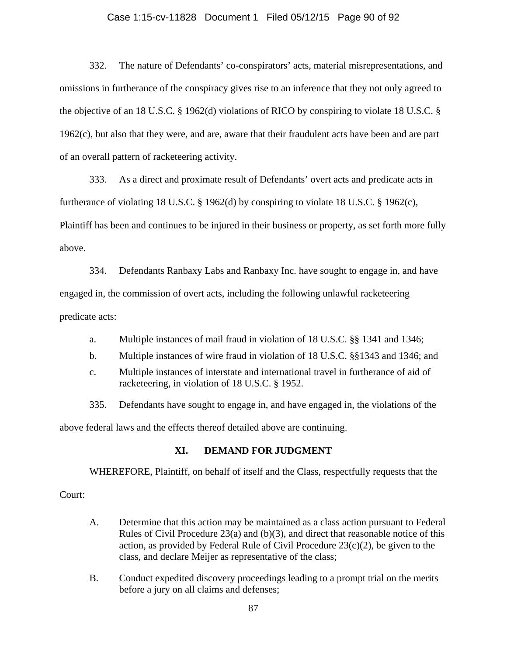# Case 1:15-cv-11828 Document 1 Filed 05/12/15 Page 90 of 92

332. The nature of Defendants' co-conspirators' acts, material misrepresentations, and omissions in furtherance of the conspiracy gives rise to an inference that they not only agreed to the objective of an 18 U.S.C. § 1962(d) violations of RICO by conspiring to violate 18 U.S.C. § 1962(c), but also that they were, and are, aware that their fraudulent acts have been and are part of an overall pattern of racketeering activity.

333. As a direct and proximate result of Defendants' overt acts and predicate acts in furtherance of violating 18 U.S.C. § 1962(d) by conspiring to violate 18 U.S.C. § 1962(c), Plaintiff has been and continues to be injured in their business or property, as set forth more fully above.

334. Defendants Ranbaxy Labs and Ranbaxy Inc. have sought to engage in, and have engaged in, the commission of overt acts, including the following unlawful racketeering predicate acts:

- a. Multiple instances of mail fraud in violation of 18 U.S.C. §§ 1341 and 1346;
- b. Multiple instances of wire fraud in violation of 18 U.S.C. §§1343 and 1346; and
- c. Multiple instances of interstate and international travel in furtherance of aid of racketeering, in violation of 18 U.S.C. § 1952.

335. Defendants have sought to engage in, and have engaged in, the violations of the

above federal laws and the effects thereof detailed above are continuing.

# **XI. DEMAND FOR JUDGMENT**

WHEREFORE, Plaintiff, on behalf of itself and the Class, respectfully requests that the

### Court:

- A. Determine that this action may be maintained as a class action pursuant to Federal Rules of Civil Procedure 23(a) and (b)(3), and direct that reasonable notice of this action, as provided by Federal Rule of Civil Procedure  $23(c)(2)$ , be given to the class, and declare Meijer as representative of the class;
- B. Conduct expedited discovery proceedings leading to a prompt trial on the merits before a jury on all claims and defenses;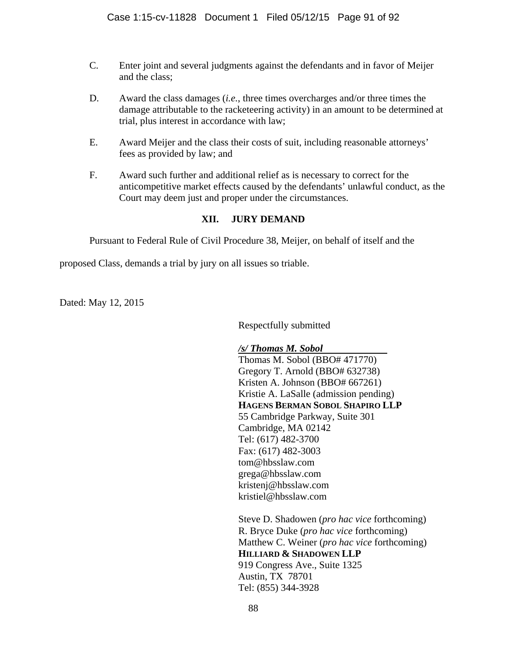- C. Enter joint and several judgments against the defendants and in favor of Meijer and the class;
- D. Award the class damages (*i.e.*, three times overcharges and/or three times the damage attributable to the racketeering activity) in an amount to be determined at trial, plus interest in accordance with law;
- E. Award Meijer and the class their costs of suit, including reasonable attorneys' fees as provided by law; and
- F. Award such further and additional relief as is necessary to correct for the anticompetitive market effects caused by the defendants' unlawful conduct, as the Court may deem just and proper under the circumstances.

# **XII. JURY DEMAND**

Pursuant to Federal Rule of Civil Procedure 38, Meijer, on behalf of itself and the

proposed Class, demands a trial by jury on all issues so triable.

Dated: May 12, 2015

Respectfully submitted

*/s/ Thomas M. Sobol* 

Thomas M. Sobol (BBO# 471770) Gregory T. Arnold (BBO# 632738) Kristen A. Johnson (BBO# 667261) Kristie A. LaSalle (admission pending) **HAGENS BERMAN SOBOL SHAPIRO LLP** 55 Cambridge Parkway, Suite 301 Cambridge, MA 02142 Tel: (617) 482-3700 Fax: (617) 482-3003 tom@hbsslaw.com grega@hbsslaw.com kristenj@hbsslaw.com kristiel@hbsslaw.com

Steve D. Shadowen (*pro hac vice* forthcoming) R. Bryce Duke (*pro hac vice* forthcoming) Matthew C. Weiner (*pro hac vice* forthcoming) **HILLIARD & SHADOWEN LLP** 919 Congress Ave., Suite 1325 Austin, TX 78701 Tel: (855) 344-3928